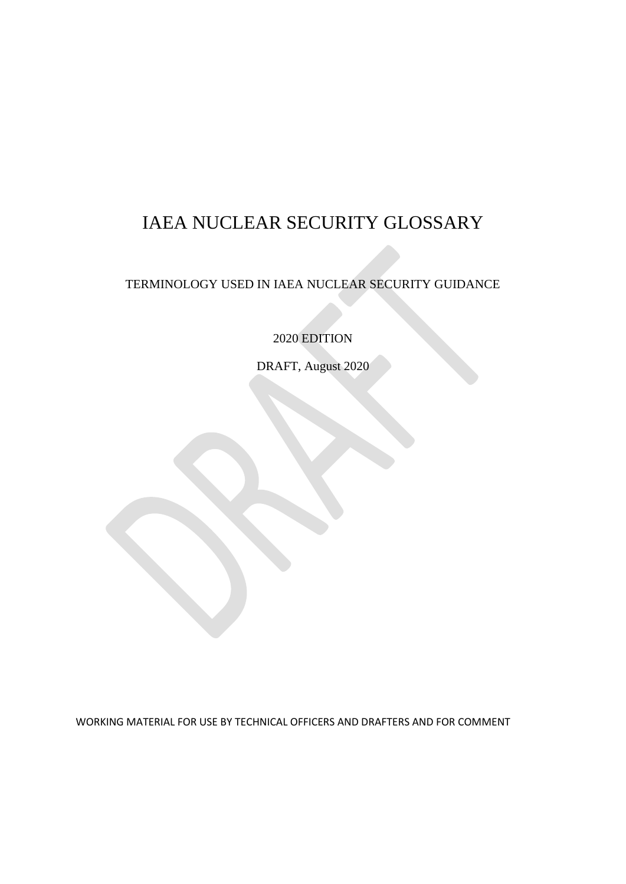# IAEA NUCLEAR SECURITY GLOSSARY

# TERMINOLOGY USED IN IAEA NUCLEAR SECURITY GUIDANCE

2020 EDITION

DRAFT, August 2020

WORKING MATERIAL FOR USE BY TECHNICAL OFFICERS AND DRAFTERS AND FOR COMMENT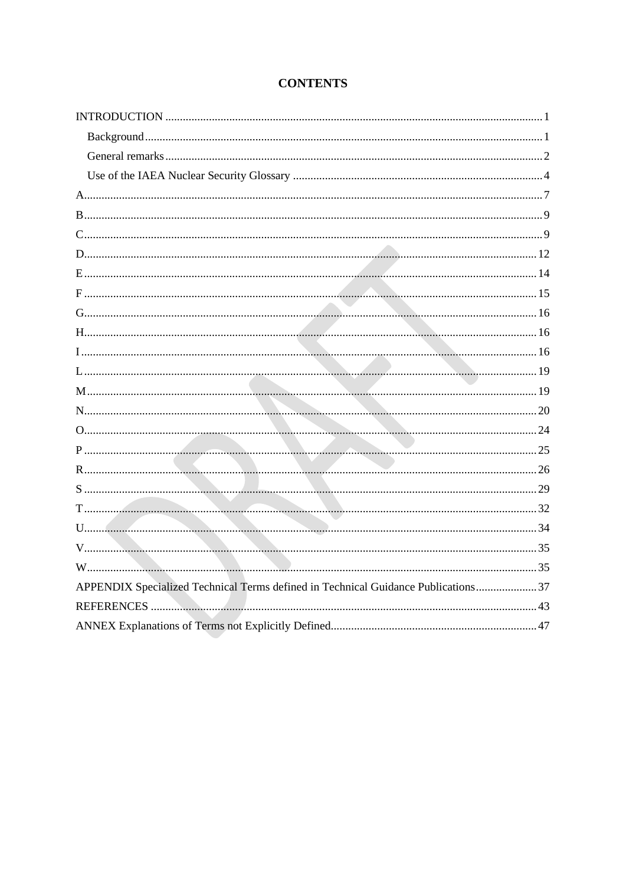| APPENDIX Specialized Technical Terms defined in Technical Guidance Publications 37 |
|------------------------------------------------------------------------------------|
|                                                                                    |
|                                                                                    |

# **CONTENTS**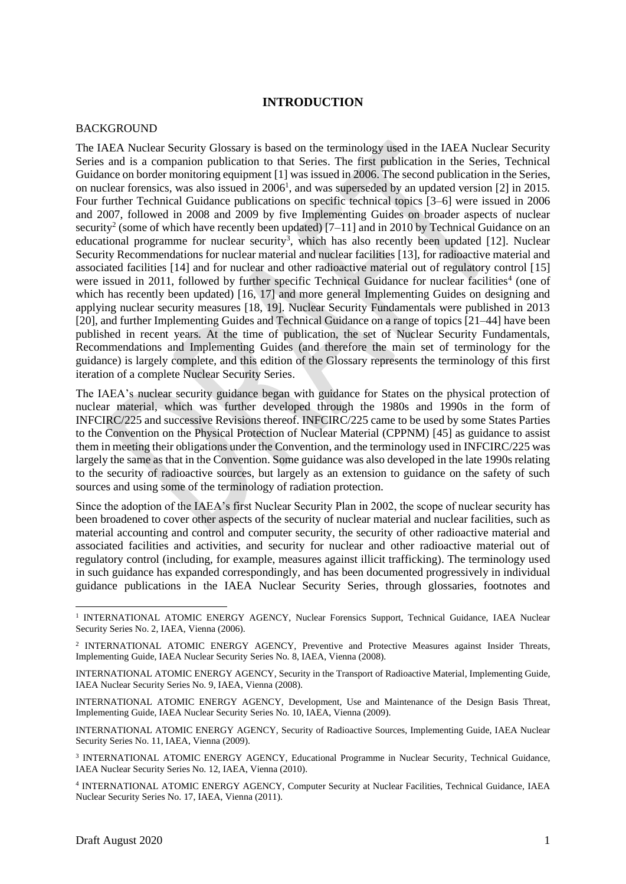## **INTRODUCTION**

#### <span id="page-2-1"></span><span id="page-2-0"></span>BACKGROUND

The IAEA Nuclear Security Glossary is based on the terminology used in the IAEA Nuclear Security Series and is a companion publication to that Series. The first publication in the Series, Technical Guidance on border monitoring equipment [1] was issued in 2006. The second publication in the Series, on nuclear forensics, was also issued in 2006<sup>1</sup>, and was superseded by an updated version [2] in 2015. Four further Technical Guidance publications on specific technical topics [3–6] were issued in 2006 and 2007, followed in 2008 and 2009 by five Implementing Guides on broader aspects of nuclear security<sup>2</sup> (some of which have recently been updated) [7–11] and in 2010 by Technical Guidance on an educational programme for nuclear security<sup>3</sup>, which has also recently been updated  $[12]$ . Nuclear Security Recommendations for nuclear material and nuclear facilities [13], for radioactive material and associated facilities [14] and for nuclear and other radioactive material out of regulatory control [15] were issued in 2011, followed by further specific Technical Guidance for nuclear facilities<sup>4</sup> (one of which has recently been updated) [16, 17] and more general Implementing Guides on designing and applying nuclear security measures [18, 19]. Nuclear Security Fundamentals were published in 2013 [20], and further Implementing Guides and Technical Guidance on a range of topics [21–44] have been published in recent years. At the time of publication, the set of Nuclear Security Fundamentals, Recommendations and Implementing Guides (and therefore the main set of terminology for the guidance) is largely complete, and this edition of the Glossary represents the terminology of this first iteration of a complete Nuclear Security Series.

The IAEA's nuclear security guidance began with guidance for States on the physical protection of nuclear material, which was further developed through the 1980s and 1990s in the form of INFCIRC/225 and successive Revisions thereof. INFCIRC/225 came to be used by some States Parties to the Convention on the Physical Protection of Nuclear Material (CPPNM) [45] as guidance to assist them in meeting their obligations under the Convention, and the terminology used in INFCIRC/225 was largely the same as that in the Convention. Some guidance was also developed in the late 1990s relating to the security of radioactive sources, but largely as an extension to guidance on the safety of such sources and using some of the terminology of radiation protection.

Since the adoption of the IAEA's first Nuclear Security Plan in 2002, the scope of nuclear security has been broadened to cover other aspects of the security of nuclear material and nuclear facilities, such as material accounting and control and computer security, the security of other radioactive material and associated facilities and activities, and security for nuclear and other radioactive material out of regulatory control (including, for example, measures against illicit trafficking). The terminology used in such guidance has expanded correspondingly, and has been documented progressively in individual guidance publications in the IAEA Nuclear Security Series, through glossaries, footnotes and

INTERNATIONAL ATOMIC ENERGY AGENCY, Security of Radioactive Sources, Implementing Guide, IAEA Nuclear Security Series No. 11, IAEA, Vienna (2009).

<sup>3</sup> INTERNATIONAL ATOMIC ENERGY AGENCY, Educational Programme in Nuclear Security, Technical Guidance, IAEA Nuclear Security Series No. 12, IAEA, Vienna (2010).

4 INTERNATIONAL ATOMIC ENERGY AGENCY, Computer Security at Nuclear Facilities, Technical Guidance, IAEA Nuclear Security Series No. 17, IAEA, Vienna (2011).

<sup>&</sup>lt;sup>1</sup> INTERNATIONAL ATOMIC ENERGY AGENCY, Nuclear Forensics Support, Technical Guidance, IAEA Nuclear Security Series No. 2, IAEA, Vienna (2006).

<sup>&</sup>lt;sup>2</sup> INTERNATIONAL ATOMIC ENERGY AGENCY, Preventive and Protective Measures against Insider Threats, Implementing Guide, IAEA Nuclear Security Series No. 8, IAEA, Vienna (2008).

INTERNATIONAL ATOMIC ENERGY AGENCY, Security in the Transport of Radioactive Material, Implementing Guide, IAEA Nuclear Security Series No. 9, IAEA, Vienna (2008).

INTERNATIONAL ATOMIC ENERGY AGENCY, Development, Use and Maintenance of the Design Basis Threat, Implementing Guide, IAEA Nuclear Security Series No. 10, IAEA, Vienna (2009).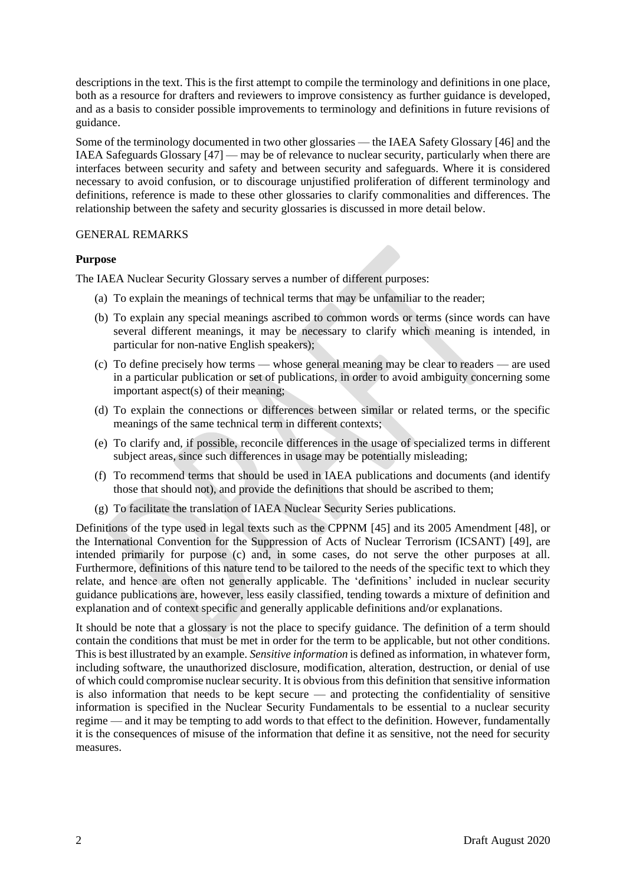descriptions in the text. This is the first attempt to compile the terminology and definitions in one place, both as a resource for drafters and reviewers to improve consistency as further guidance is developed, and as a basis to consider possible improvements to terminology and definitions in future revisions of guidance.

Some of the terminology documented in two other glossaries — the IAEA Safety Glossary [46] and the IAEA Safeguards Glossary [47] — may be of relevance to nuclear security, particularly when there are interfaces between security and safety and between security and safeguards. Where it is considered necessary to avoid confusion, or to discourage unjustified proliferation of different terminology and definitions, reference is made to these other glossaries to clarify commonalities and differences. The relationship between the safety and security glossaries is discussed in more detail below.

## <span id="page-3-0"></span>GENERAL REMARKS

# **Purpose**

The IAEA Nuclear Security Glossary serves a number of different purposes:

- (a) To explain the meanings of technical terms that may be unfamiliar to the reader;
- (b) To explain any special meanings ascribed to common words or terms (since words can have several different meanings, it may be necessary to clarify which meaning is intended, in particular for non-native English speakers);
- (c) To define precisely how terms whose general meaning may be clear to readers are used in a particular publication or set of publications, in order to avoid ambiguity concerning some important aspect(s) of their meaning;
- (d) To explain the connections or differences between similar or related terms, or the specific meanings of the same technical term in different contexts;
- (e) To clarify and, if possible, reconcile differences in the usage of specialized terms in different subject areas, since such differences in usage may be potentially misleading;
- (f) To recommend terms that should be used in IAEA publications and documents (and identify those that should not), and provide the definitions that should be ascribed to them;
- (g) To facilitate the translation of IAEA Nuclear Security Series publications.

Definitions of the type used in legal texts such as the CPPNM [45] and its 2005 Amendment [48], or the International Convention for the Suppression of Acts of Nuclear Terrorism (ICSANT) [49], are intended primarily for purpose (c) and, in some cases, do not serve the other purposes at all. Furthermore, definitions of this nature tend to be tailored to the needs of the specific text to which they relate, and hence are often not generally applicable. The 'definitions' included in nuclear security guidance publications are, however, less easily classified, tending towards a mixture of definition and explanation and of context specific and generally applicable definitions and/or explanations.

It should be note that a glossary is not the place to specify guidance. The definition of a term should contain the conditions that must be met in order for the term to be applicable, but not other conditions. This is best illustrated by an example. *Sensitive information* is defined as information, in whatever form, including software, the unauthorized disclosure, modification, alteration, destruction, or denial of use of which could compromise nuclear security. It is obvious from this definition that sensitive information is also information that needs to be kept secure — and protecting the confidentiality of sensitive information is specified in the Nuclear Security Fundamentals to be essential to a nuclear security regime — and it may be tempting to add words to that effect to the definition. However, fundamentally it is the consequences of misuse of the information that define it as sensitive, not the need for security measures.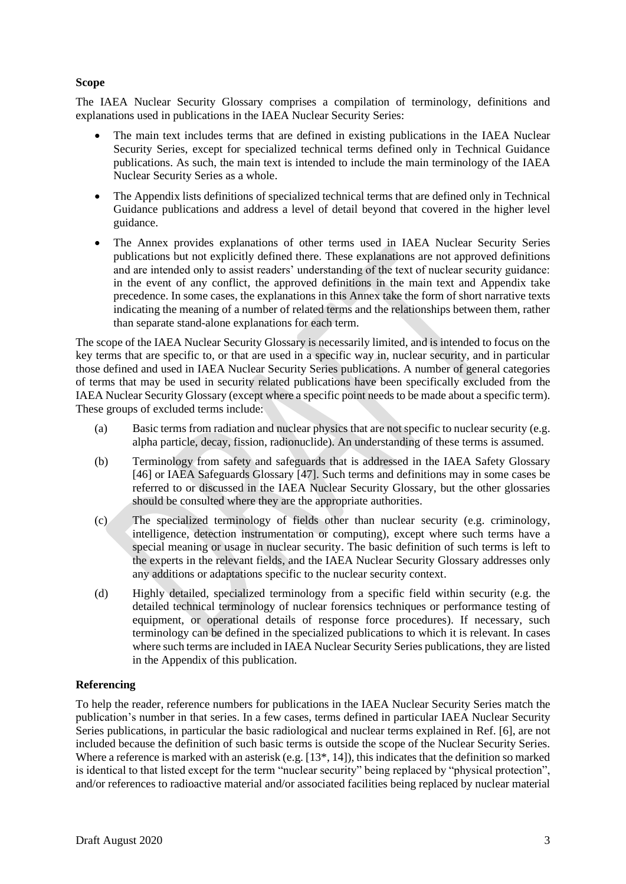## **Scope**

The IAEA Nuclear Security Glossary comprises a compilation of terminology, definitions and explanations used in publications in the IAEA Nuclear Security Series:

- The main text includes terms that are defined in existing publications in the IAEA Nuclear Security Series, except for specialized technical terms defined only in Technical Guidance publications. As such, the main text is intended to include the main terminology of the IAEA Nuclear Security Series as a whole.
- The Appendix lists definitions of specialized technical terms that are defined only in Technical Guidance publications and address a level of detail beyond that covered in the higher level guidance.
- The Annex provides explanations of other terms used in IAEA Nuclear Security Series publications but not explicitly defined there. These explanations are not approved definitions and are intended only to assist readers' understanding of the text of nuclear security guidance: in the event of any conflict, the approved definitions in the main text and Appendix take precedence. In some cases, the explanations in this Annex take the form of short narrative texts indicating the meaning of a number of related terms and the relationships between them, rather than separate stand-alone explanations for each term.

The scope of the IAEA Nuclear Security Glossary is necessarily limited, and is intended to focus on the key terms that are specific to, or that are used in a specific way in, nuclear security, and in particular those defined and used in IAEA Nuclear Security Series publications. A number of general categories of terms that may be used in security related publications have been specifically excluded from the IAEA Nuclear Security Glossary (except where a specific point needs to be made about a specific term). These groups of excluded terms include:

- (a) Basic terms from radiation and nuclear physics that are not specific to nuclear security (e.g. alpha particle, decay, fission, radionuclide). An understanding of these terms is assumed.
- (b) Terminology from safety and safeguards that is addressed in the IAEA Safety Glossary [46] or IAEA Safeguards Glossary [47]. Such terms and definitions may in some cases be referred to or discussed in the IAEA Nuclear Security Glossary, but the other glossaries should be consulted where they are the appropriate authorities.
- (c) The specialized terminology of fields other than nuclear security (e.g. criminology, intelligence, detection instrumentation or computing), except where such terms have a special meaning or usage in nuclear security. The basic definition of such terms is left to the experts in the relevant fields, and the IAEA Nuclear Security Glossary addresses only any additions or adaptations specific to the nuclear security context.
- (d) Highly detailed, specialized terminology from a specific field within security (e.g. the detailed technical terminology of nuclear forensics techniques or performance testing of equipment, or operational details of response force procedures). If necessary, such terminology can be defined in the specialized publications to which it is relevant. In cases where such terms are included in IAEA Nuclear Security Series publications, they are listed in the Appendix of this publication.

## **Referencing**

To help the reader, reference numbers for publications in the IAEA Nuclear Security Series match the publication's number in that series. In a few cases, terms defined in particular IAEA Nuclear Security Series publications, in particular the basic radiological and nuclear terms explained in Ref. [6], are not included because the definition of such basic terms is outside the scope of the Nuclear Security Series. Where a reference is marked with an asterisk (e.g. [13\*, 14]), this indicates that the definition so marked is identical to that listed except for the term "nuclear security" being replaced by "physical protection", and/or references to radioactive material and/or associated facilities being replaced by nuclear material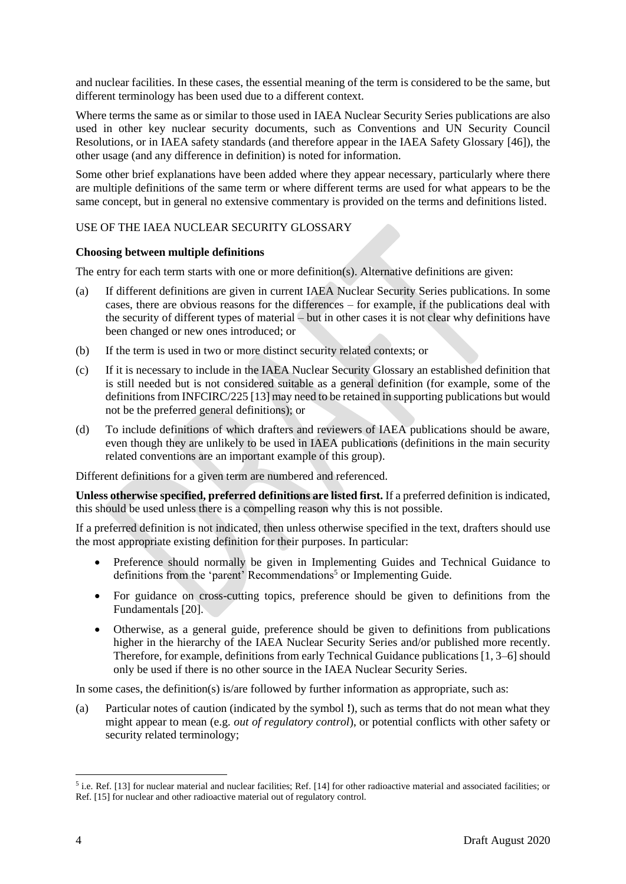and nuclear facilities. In these cases, the essential meaning of the term is considered to be the same, but different terminology has been used due to a different context.

Where terms the same as or similar to those used in IAEA Nuclear Security Series publications are also used in other key nuclear security documents, such as Conventions and UN Security Council Resolutions, or in IAEA safety standards (and therefore appear in the IAEA Safety Glossary [46]), the other usage (and any difference in definition) is noted for information.

Some other brief explanations have been added where they appear necessary, particularly where there are multiple definitions of the same term or where different terms are used for what appears to be the same concept, but in general no extensive commentary is provided on the terms and definitions listed.

# <span id="page-5-0"></span>USE OF THE IAEA NUCLEAR SECURITY GLOSSARY

## **Choosing between multiple definitions**

The entry for each term starts with one or more definition(s). Alternative definitions are given:

- (a) If different definitions are given in current IAEA Nuclear Security Series publications. In some cases, there are obvious reasons for the differences – for example, if the publications deal with the security of different types of material – but in other cases it is not clear why definitions have been changed or new ones introduced; or
- (b) If the term is used in two or more distinct security related contexts; or
- (c) If it is necessary to include in the IAEA Nuclear Security Glossary an established definition that is still needed but is not considered suitable as a general definition (for example, some of the definitions from INFCIRC/225 [13] may need to be retained in supporting publications but would not be the preferred general definitions); or
- (d) To include definitions of which drafters and reviewers of IAEA publications should be aware, even though they are unlikely to be used in IAEA publications (definitions in the main security related conventions are an important example of this group).

Different definitions for a given term are numbered and referenced.

**Unless otherwise specified, preferred definitions are listed first.** If a preferred definition is indicated, this should be used unless there is a compelling reason why this is not possible.

If a preferred definition is not indicated, then unless otherwise specified in the text, drafters should use the most appropriate existing definition for their purposes. In particular:

- Preference should normally be given in Implementing Guides and Technical Guidance to definitions from the 'parent' Recommendations<sup>5</sup> or Implementing Guide.
- For guidance on cross-cutting topics, preference should be given to definitions from the Fundamentals [20].
- Otherwise, as a general guide, preference should be given to definitions from publications higher in the hierarchy of the IAEA Nuclear Security Series and/or published more recently. Therefore, for example, definitions from early Technical Guidance publications [1, 3–6] should only be used if there is no other source in the IAEA Nuclear Security Series.

In some cases, the definition(s) is/are followed by further information as appropriate, such as:

(a) Particular notes of caution (indicated by the symbol **!**), such as terms that do not mean what they might appear to mean (e.g. *out of regulatory control*), or potential conflicts with other safety or security related terminology;

 $<sup>5</sup>$  i.e. Ref. [13] for nuclear material and nuclear facilities; Ref. [14] for other radioactive material and associated facilities; or</sup> Ref. [15] for nuclear and other radioactive material out of regulatory control.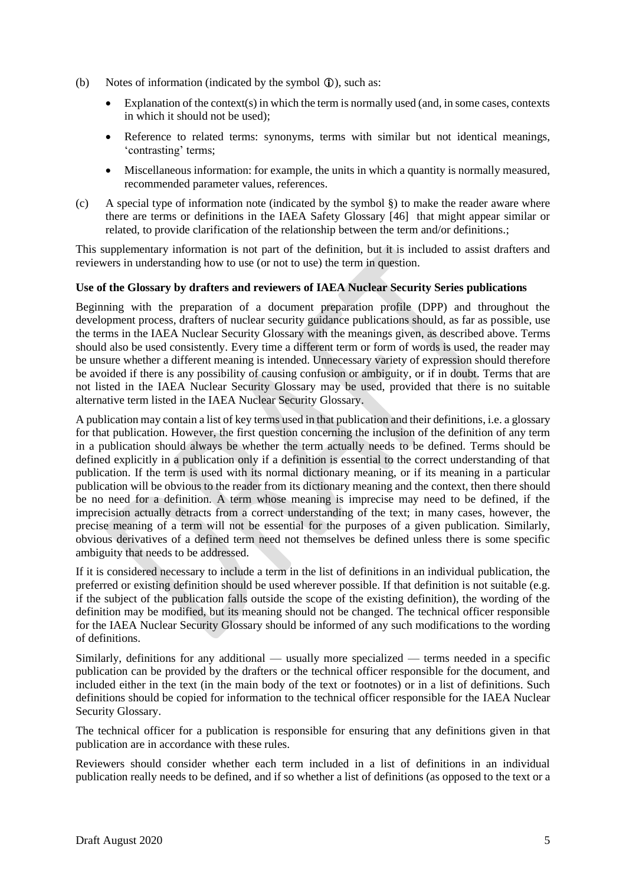- (b) Notes of information (indicated by the symbol  $\hat{u}$ ), such as:
	- Explanation of the context(s) in which the term is normally used (and, in some cases, contexts in which it should not be used);
	- Reference to related terms: synonyms, terms with similar but not identical meanings, 'contrasting' terms;
	- Miscellaneous information: for example, the units in which a quantity is normally measured, recommended parameter values, references.
- (c) A special type of information note (indicated by the symbol §) to make the reader aware where there are terms or definitions in the IAEA Safety Glossary [46] that might appear similar or related, to provide clarification of the relationship between the term and/or definitions.;

This supplementary information is not part of the definition, but it is included to assist drafters and reviewers in understanding how to use (or not to use) the term in question.

## **Use of the Glossary by drafters and reviewers of IAEA Nuclear Security Series publications**

Beginning with the preparation of a document preparation profile (DPP) and throughout the development process, drafters of nuclear security guidance publications should, as far as possible, use the terms in the IAEA Nuclear Security Glossary with the meanings given, as described above. Terms should also be used consistently. Every time a different term or form of words is used, the reader may be unsure whether a different meaning is intended. Unnecessary variety of expression should therefore be avoided if there is any possibility of causing confusion or ambiguity, or if in doubt. Terms that are not listed in the IAEA Nuclear Security Glossary may be used, provided that there is no suitable alternative term listed in the IAEA Nuclear Security Glossary.

A publication may contain a list of key terms used in that publication and their definitions, i.e. a glossary for that publication. However, the first question concerning the inclusion of the definition of any term in a publication should always be whether the term actually needs to be defined. Terms should be defined explicitly in a publication only if a definition is essential to the correct understanding of that publication. If the term is used with its normal dictionary meaning, or if its meaning in a particular publication will be obvious to the reader from its dictionary meaning and the context, then there should be no need for a definition. A term whose meaning is imprecise may need to be defined, if the imprecision actually detracts from a correct understanding of the text; in many cases, however, the precise meaning of a term will not be essential for the purposes of a given publication. Similarly, obvious derivatives of a defined term need not themselves be defined unless there is some specific ambiguity that needs to be addressed.

If it is considered necessary to include a term in the list of definitions in an individual publication, the preferred or existing definition should be used wherever possible. If that definition is not suitable (e.g. if the subject of the publication falls outside the scope of the existing definition), the wording of the definition may be modified, but its meaning should not be changed. The technical officer responsible for the IAEA Nuclear Security Glossary should be informed of any such modifications to the wording of definitions.

Similarly, definitions for any additional — usually more specialized — terms needed in a specific publication can be provided by the drafters or the technical officer responsible for the document, and included either in the text (in the main body of the text or footnotes) or in a list of definitions. Such definitions should be copied for information to the technical officer responsible for the IAEA Nuclear Security Glossary.

The technical officer for a publication is responsible for ensuring that any definitions given in that publication are in accordance with these rules.

Reviewers should consider whether each term included in a list of definitions in an individual publication really needs to be defined, and if so whether a list of definitions (as opposed to the text or a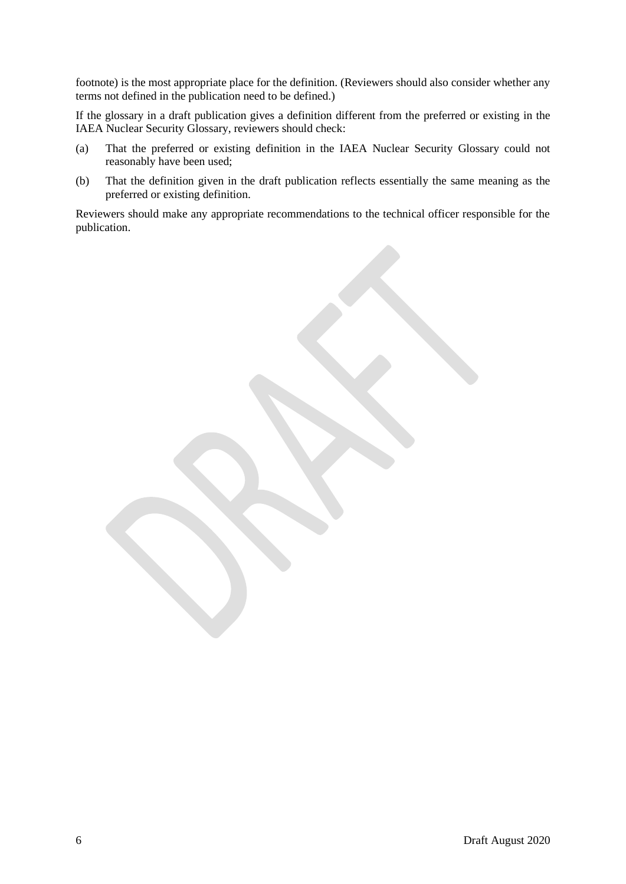footnote) is the most appropriate place for the definition. (Reviewers should also consider whether any terms not defined in the publication need to be defined.)

If the glossary in a draft publication gives a definition different from the preferred or existing in the IAEA Nuclear Security Glossary, reviewers should check:

- (a) That the preferred or existing definition in the IAEA Nuclear Security Glossary could not reasonably have been used;
- (b) That the definition given in the draft publication reflects essentially the same meaning as the preferred or existing definition.

Reviewers should make any appropriate recommendations to the technical officer responsible for the publication.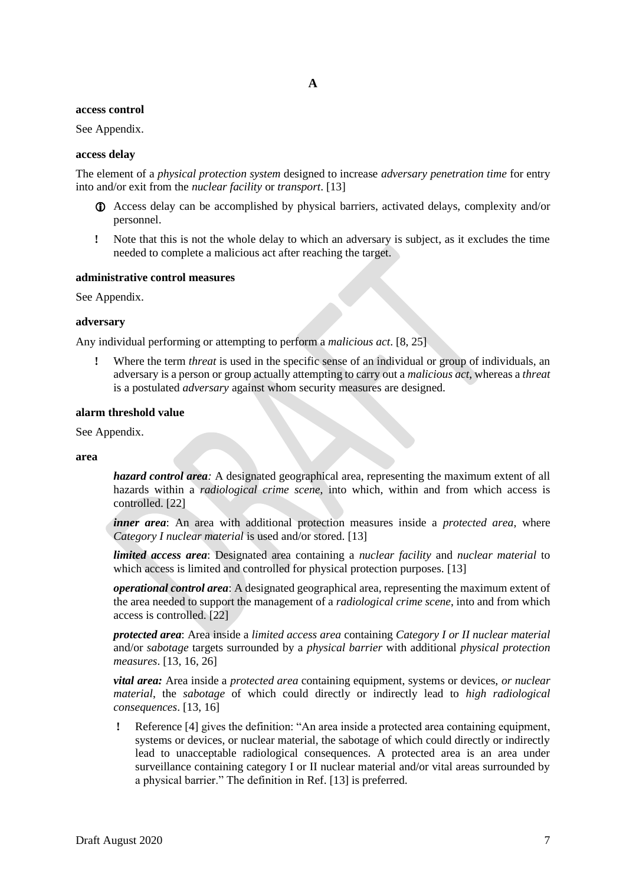## **A**

#### <span id="page-8-0"></span>**access control**

See Appendix.

#### **access delay**

The element of a *physical protection system* designed to increase *adversary penetration time* for entry into and/or exit from the *nuclear facility* or *transport*. [13]

- Access delay can be accomplished by physical barriers, activated delays, complexity and/or personnel.
- **!** Note that this is not the whole delay to which an adversary is subject, as it excludes the time needed to complete a malicious act after reaching the target.

#### **administrative control measures**

See Appendix.

#### **adversary**

Any individual performing or attempting to perform a *malicious act*. [8, 25]

**!** Where the term *threat* is used in the specific sense of an individual or group of individuals, an adversary is a person or group actually attempting to carry out a *malicious act*, whereas a *threat* is a postulated *adversary* against whom security measures are designed.

#### **alarm threshold value**

See Appendix.

#### **area**

*hazard control area:* A designated geographical area, representing the maximum extent of all hazards within a *radiological crime scene*, into which, within and from which access is controlled. [22]

*inner area*: An area with additional protection measures inside a *protected area*, where *Category I nuclear material* is used and/or stored. [13]

*limited access area*: Designated area containing a *nuclear facility* and *nuclear material* to which access is limited and controlled for physical protection purposes. [13]

*operational control area*: A designated geographical area, representing the maximum extent of the area needed to support the management of a *radiological crime scene*, into and from which access is controlled. [22]

*protected area*: Area inside a *limited access area* containing *Category I or II nuclear material*  and/or *sabotage* targets surrounded by a *physical barrier* with additional *physical protection measures*. [13, 16, 26]

*vital area:* Area inside a *protected area* containing equipment, systems or devices, *or nuclear material*, the *sabotage* of which could directly or indirectly lead to *high radiological consequences*. [13, 16]

**!** Reference [4] gives the definition: "An area inside a protected area containing equipment, systems or devices, or nuclear material, the sabotage of which could directly or indirectly lead to unacceptable radiological consequences. A protected area is an area under surveillance containing category I or II nuclear material and/or vital areas surrounded by a physical barrier." The definition in Ref. [13] is preferred.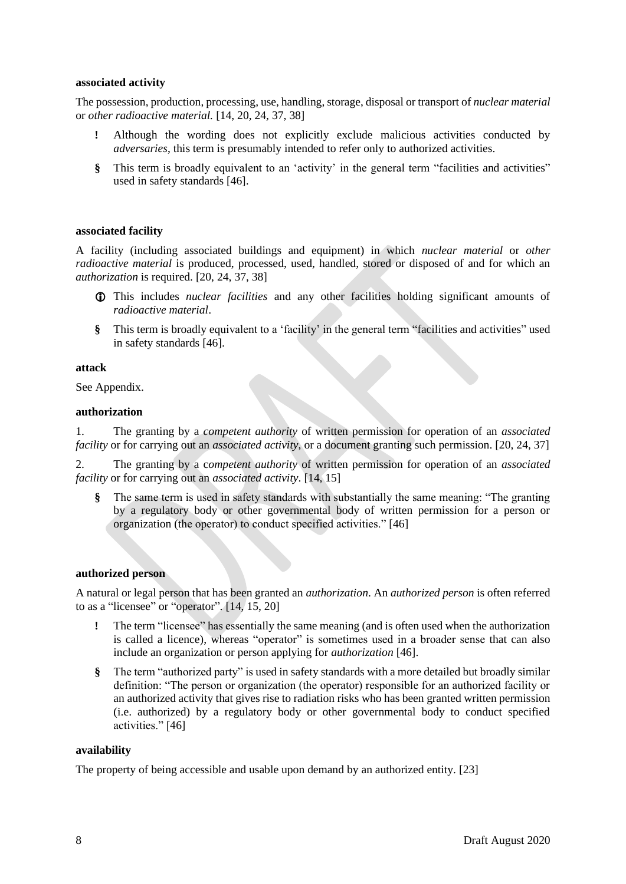## **associated activity**

The possession, production, processing, use, handling, storage, disposal or transport of *nuclear material* or *other radioactive material.* [14, 20, 24, 37, 38]

- **!** Although the wording does not explicitly exclude malicious activities conducted by *adversaries*, this term is presumably intended to refer only to authorized activities.
- **§** This term is broadly equivalent to an 'activity' in the general term "facilities and activities" used in safety standards [46].

## **associated facility**

A facility (including associated buildings and equipment) in which *nuclear material* or *other radioactive material* is produced, processed, used, handled, stored or disposed of and for which an *authorization* is required. [20, 24, 37, 38]

- This includes *nuclear facilities* and any other facilities holding significant amounts of *radioactive material*.
- **§** This term is broadly equivalent to a 'facility' in the general term "facilities and activities" used in safety standards [46].

#### **attack**

See Appendix.

## **authorization**

1. The granting by a *competent authority* of written permission for operation of an *associated facility* or for carrying out an *associated activity*, or a document granting such permission. [20, 24, 37]

2. The granting by a c*ompetent authority* of written permission for operation of an *associated facility* or for carrying out an *associated activity*. [14, 15]

**§** The same term is used in safety standards with substantially the same meaning: "The granting by a regulatory body or other governmental body of written permission for a person or organization (the operator) to conduct specified activities." [46]

#### **authorized person**

A natural or legal person that has been granted an *authorization*. An *authorized person* is often referred to as a "licensee" or "operator". [14, 15, 20]

- The term "licensee" has essentially the same meaning (and is often used when the authorization is called a licence), whereas "operator" is sometimes used in a broader sense that can also include an organization or person applying for *authorization* [46].
- **§** The term "authorized party" is used in safety standards with a more detailed but broadly similar definition: "The person or organization (the operator) responsible for an authorized facility or an authorized activity that gives rise to radiation risks who has been granted written permission (i.e. authorized) by a regulatory body or other governmental body to conduct specified activities." [46]

#### **availability**

The property of being accessible and usable upon demand by an authorized entity. [23]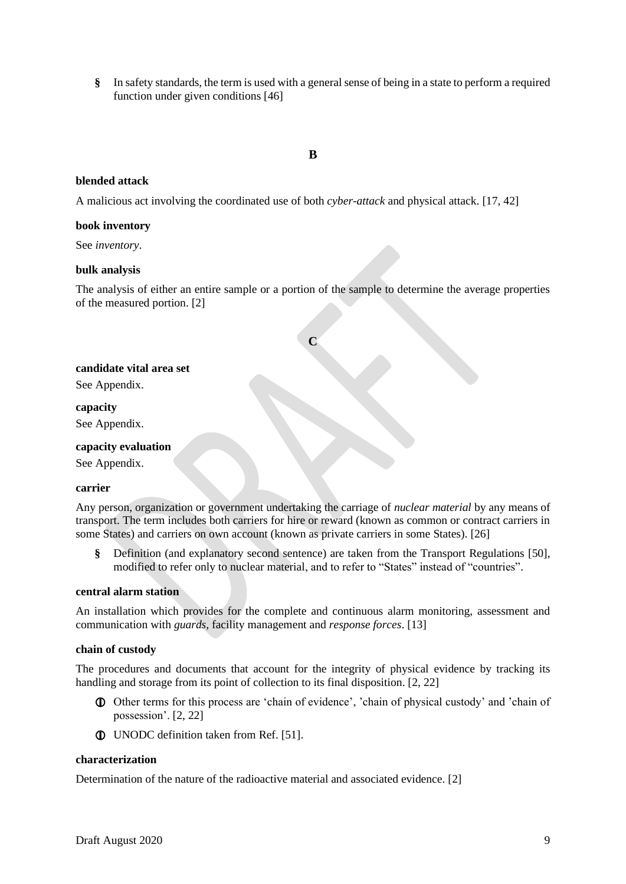**§** In safety standards, the term is used with a general sense of being in a state to perform a required function under given conditions [46]

# **B**

## <span id="page-10-0"></span>**blended attack**

A malicious act involving the coordinated use of both *cyber-attack* and physical attack. [17, 42]

#### **book inventory**

See *inventory*.

## **bulk analysis**

<span id="page-10-1"></span>The analysis of either an entire sample or a portion of the sample to determine the average properties of the measured portion. [2]

**C**

#### **candidate vital area set**

See Appendix.

#### **capacity**

See Appendix.

## **capacity evaluation**

See Appendix.

#### **carrier**

Any person, organization or government undertaking the carriage of *nuclear material* by any means of transport. The term includes both carriers for hire or reward (known as common or contract carriers in some States) and carriers on own account (known as private carriers in some States). [26]

**§** Definition (and explanatory second sentence) are taken from the Transport Regulations [50], modified to refer only to nuclear material, and to refer to "States" instead of "countries".

#### **central alarm station**

An installation which provides for the complete and continuous alarm monitoring, assessment and communication with *guards*, facility management and *response forces*. [13]

#### **chain of custody**

The procedures and documents that account for the integrity of physical evidence by tracking its handling and storage from its point of collection to its final disposition. [2, 22]

- Other terms for this process are 'chain of evidence', 'chain of physical custody' and 'chain of possession'. [2, 22]
- UNODC definition taken from Ref. [51].

#### **characterization**

Determination of the nature of the radioactive material and associated evidence. [2]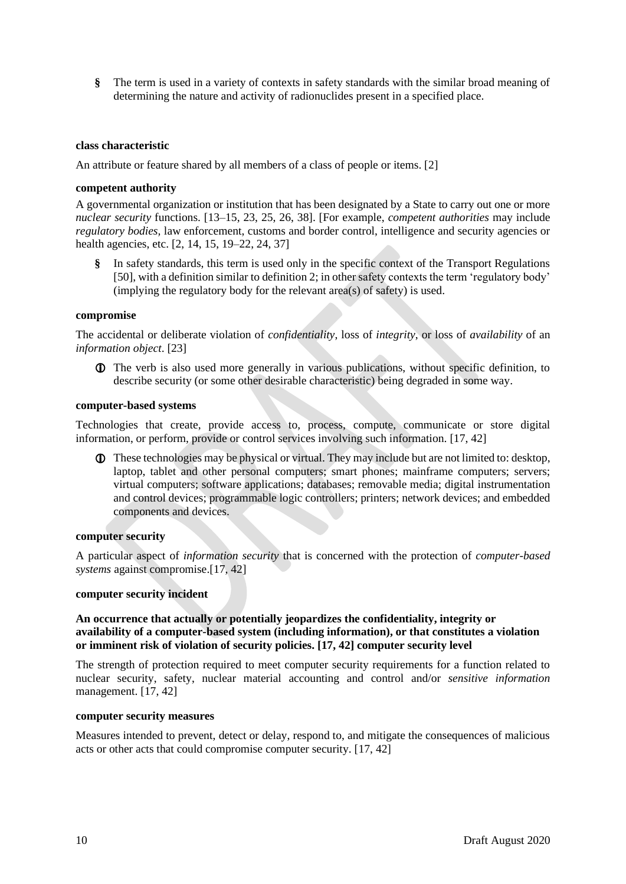**§** The term is used in a variety of contexts in safety standards with the similar broad meaning of determining the nature and activity of radionuclides present in a specified place.

## **class characteristic**

An attribute or feature shared by all members of a class of people or items. [2]

#### **competent authority**

A governmental organization or institution that has been designated by a State to carry out one or more *nuclear security* functions. [13–15, 23, 25, 26, 38]. [For example, *competent authorities* may include *regulatory bodies,* law enforcement, customs and border control, intelligence and security agencies or health agencies, etc. [2, 14, 15, 19–22, 24, 37]

**§** In safety standards, this term is used only in the specific context of the Transport Regulations [50], with a definition similar to definition 2; in other safety contexts the term 'regulatory body' (implying the regulatory body for the relevant area(s) of safety) is used.

#### **compromise**

The accidental or deliberate violation of *confidentiality*, loss of *integrity*, or loss of *availability* of an *information object*. [23]

 The verb is also used more generally in various publications, without specific definition, to describe security (or some other desirable characteristic) being degraded in some way.

#### **computer-based systems**

Technologies that create, provide access to, process, compute, communicate or store digital information, or perform, provide or control services involving such information. [17, 42]

 These technologies may be physical or virtual. They may include but are not limited to: desktop, laptop, tablet and other personal computers; smart phones; mainframe computers; servers; virtual computers; software applications; databases; removable media; digital instrumentation and control devices; programmable logic controllers; printers; network devices; and embedded components and devices.

#### **computer security**

A particular aspect of *information security* that is concerned with the protection of *computer-based systems* against compromise.[17, 42]

#### **computer security incident**

## **An occurrence that actually or potentially jeopardizes the confidentiality, integrity or availability of a computer-based system (including information), or that constitutes a violation or imminent risk of violation of security policies. [17, 42] computer security level**

The strength of protection required to meet computer security requirements for a function related to nuclear security, safety, nuclear material accounting and control and/or *sensitive information* management. [17, 42]

#### **computer security measures**

Measures intended to prevent, detect or delay, respond to, and mitigate the consequences of malicious acts or other acts that could compromise computer security. [17, 42]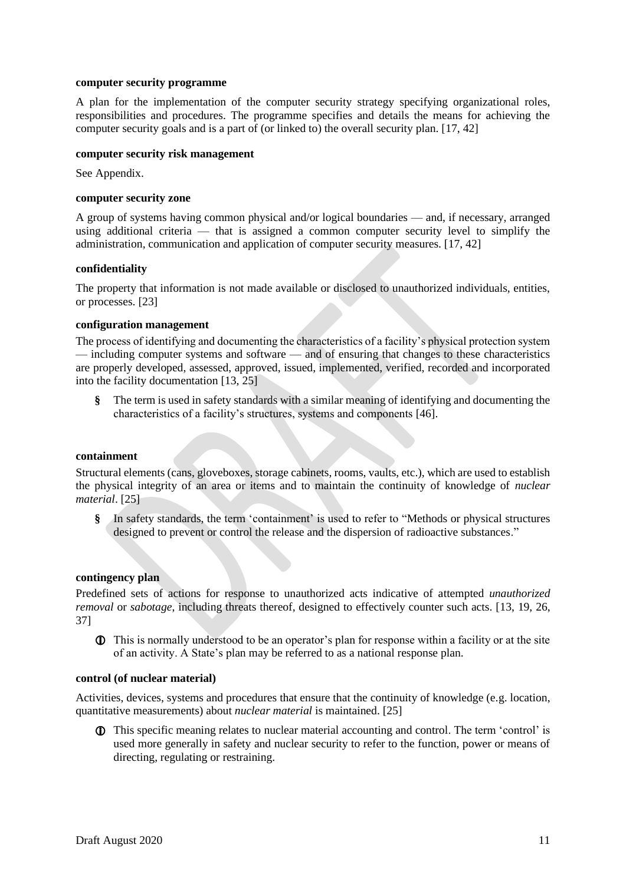#### **computer security programme**

A plan for the implementation of the computer security strategy specifying organizational roles, responsibilities and procedures. The programme specifies and details the means for achieving the computer security goals and is a part of (or linked to) the overall security plan. [17, 42]

## **computer security risk management**

See Appendix.

#### **computer security zone**

A group of systems having common physical and/or logical boundaries — and, if necessary, arranged using additional criteria — that is assigned a common computer security level to simplify the administration, communication and application of computer security measures. [17, 42]

## **confidentiality**

The property that information is not made available or disclosed to unauthorized individuals, entities, or processes. [23]

#### **configuration management**

The process of identifying and documenting the characteristics of a facility's physical protection system — including computer systems and software — and of ensuring that changes to these characteristics are properly developed, assessed, approved, issued, implemented, verified, recorded and incorporated into the facility documentation [13, 25]

**§** The term is used in safety standards with a similar meaning of identifying and documenting the characteristics of a facility's structures, systems and components [46].

#### **containment**

Structural elements (cans, gloveboxes, storage cabinets, rooms, vaults, etc.), which are used to establish the physical integrity of an area or items and to maintain the continuity of knowledge of *nuclear material*. [25]

**§** In safety standards, the term 'containment' is used to refer to "Methods or physical structures designed to prevent or control the release and the dispersion of radioactive substances."

# **contingency plan**

Predefined sets of actions for response to unauthorized acts indicative of attempted *unauthorized removal* or *sabotage*, including threats thereof, designed to effectively counter such acts. [13, 19, 26, 37]

 This is normally understood to be an operator's plan for response within a facility or at the site of an activity. A State's plan may be referred to as a national response plan.

#### **control (of nuclear material)**

Activities, devices, systems and procedures that ensure that the continuity of knowledge (e.g. location, quantitative measurements) about *nuclear material* is maintained. [25]

 This specific meaning relates to nuclear material accounting and control. The term 'control' is used more generally in safety and nuclear security to refer to the function, power or means of directing, regulating or restraining.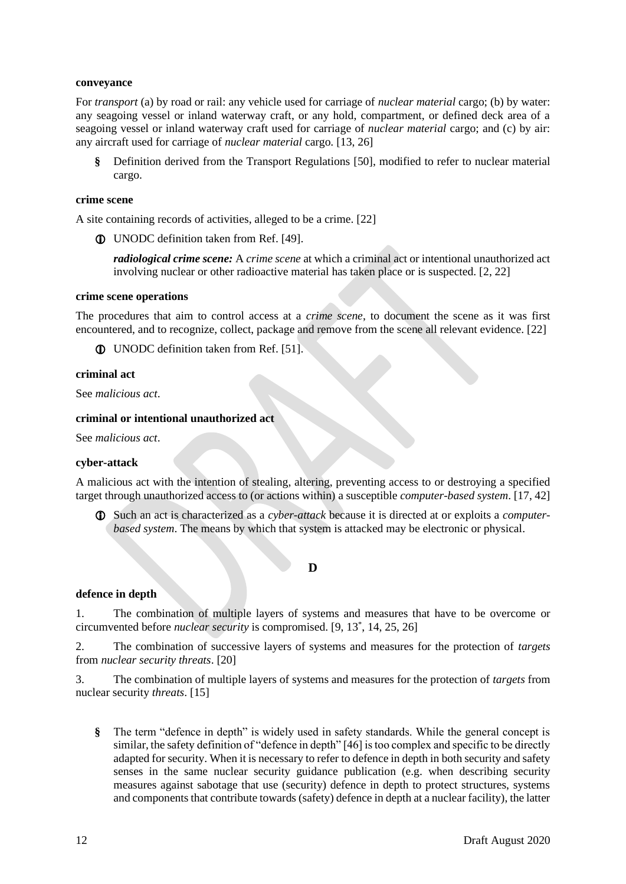#### **conveyance**

For *transport* (a) by road or rail: any vehicle used for carriage of *nuclear material* cargo; (b) by water: any seagoing vessel or inland waterway craft, or any hold, compartment, or defined deck area of a seagoing vessel or inland waterway craft used for carriage of *nuclear material* cargo; and (c) by air: any aircraft used for carriage of *nuclear material* cargo. [13, 26]

**§** Definition derived from the Transport Regulations [50], modified to refer to nuclear material cargo.

#### **crime scene**

A site containing records of activities, alleged to be a crime. [22]

UNODC definition taken from Ref. [49].

*radiological crime scene:* A *crime scene* at which a criminal act or intentional unauthorized act involving nuclear or other radioactive material has taken place or is suspected. [2, 22]

#### **crime scene operations**

The procedures that aim to control access at a *crime scene*, to document the scene as it was first encountered, and to recognize, collect, package and remove from the scene all relevant evidence. [22]

UNODC definition taken from Ref. [51].

#### **criminal act**

See *malicious act*.

#### **criminal or intentional unauthorized act**

See *malicious act*.

## **cyber-attack**

A malicious act with the intention of stealing, altering, preventing access to or destroying a specified target through unauthorized access to (or actions within) a susceptible *computer-based system*. [17, 42]

<span id="page-13-0"></span> Such an act is characterized as a *cyber-attack* because it is directed at or exploits a *computerbased system*. The means by which that system is attacked may be electronic or physical.

#### **D**

#### **defence in depth**

1. The combination of multiple layers of systems and measures that have to be overcome or circumvented before *nuclear security* is compromised. [9, 13\* , 14, 25, 26]

2. The combination of successive layers of systems and measures for the protection of *targets* from *nuclear security threats*. [20]

3. The combination of multiple layers of systems and measures for the protection of *targets* from nuclear security *threats*. [15]

**§** The term "defence in depth" is widely used in safety standards. While the general concept is similar, the safety definition of "defence in depth" [46] is too complex and specific to be directly adapted for security. When it is necessary to refer to defence in depth in both security and safety senses in the same nuclear security guidance publication (e.g. when describing security measures against sabotage that use (security) defence in depth to protect structures, systems and components that contribute towards (safety) defence in depth at a nuclear facility), the latter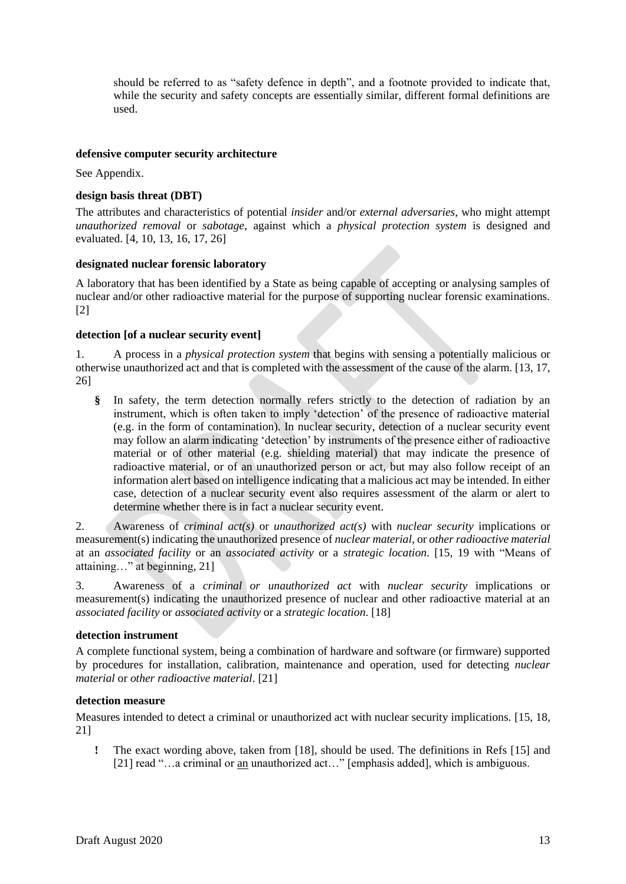should be referred to as "safety defence in depth", and a footnote provided to indicate that, while the security and safety concepts are essentially similar, different formal definitions are used.

## **defensive computer security architecture**

See Appendix.

## **design basis threat (DBT)**

The attributes and characteristics of potential *insider* and/or *external adversaries*, who might attempt *unauthorized removal* or *sabotage*, against which a *physical protection system* is designed and evaluated. [4, 10, 13, 16, 17, 26]

## **designated nuclear forensic laboratory**

A laboratory that has been identified by a State as being capable of accepting or analysing samples of nuclear and/or other radioactive material for the purpose of supporting nuclear forensic examinations. [2]

## **detection [of a nuclear security event]**

1. A process in a *physical protection system* that begins with sensing a potentially malicious or otherwise unauthorized act and that is completed with the assessment of the cause of the alarm. [13, 17, 26]

**§** In safety, the term detection normally refers strictly to the detection of radiation by an instrument, which is often taken to imply 'detection' of the presence of radioactive material (e.g. in the form of contamination). In nuclear security, detection of a nuclear security event may follow an alarm indicating 'detection' by instruments of the presence either of radioactive material or of other material (e.g. shielding material) that may indicate the presence of radioactive material, or of an unauthorized person or act, but may also follow receipt of an information alert based on intelligence indicating that a malicious act may be intended. In either case, detection of a nuclear security event also requires assessment of the alarm or alert to determine whether there is in fact a nuclear security event.

2. Awareness of *criminal act(s)* or *unauthorized act(s)* with *nuclear security* implications or measurement(s) indicating the unauthorized presence of *nuclear material*, or *other radioactive material* at an *associated facility* or an *associated activity* or a *strategic location*. [15, 19 with "Means of attaining…" at beginning, 21]

3. Awareness of a *criminal or unauthorized act* with *nuclear security* implications or measurement(s) indicating the unauthorized presence of nuclear and other radioactive material at an *associated facility* or *associated activity* or a *strategic location*. [18]

#### **detection instrument**

A complete functional system, being a combination of hardware and software (or firmware) supported by procedures for installation, calibration, maintenance and operation, used for detecting *nuclear material* or *other radioactive material*. [21]

## **detection measure**

Measures intended to detect a criminal or unauthorized act with nuclear security implications. [15, 18, 21]

**!** The exact wording above, taken from [18], should be used. The definitions in Refs [15] and [21] read "…a criminal or an unauthorized act…" [emphasis added], which is ambiguous.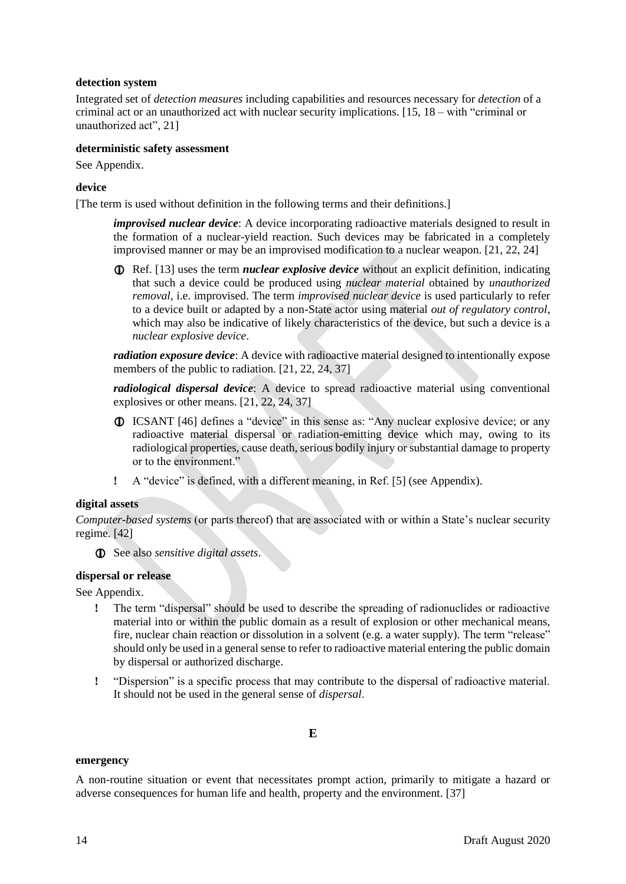## **detection system**

Integrated set of *detection measures* including capabilities and resources necessary for *detection* of a criminal act or an unauthorized act with nuclear security implications. [15, 18 – with "criminal or unauthorized act", 21]

## **deterministic safety assessment**

See Appendix.

## **device**

[The term is used without definition in the following terms and their definitions.]

*improvised nuclear device*: A device incorporating radioactive materials designed to result in the formation of a nuclear-yield reaction. Such devices may be fabricated in a completely improvised manner or may be an improvised modification to a nuclear weapon. [21, 22, 24]

**T** Ref. [13] uses the term *nuclear explosive device* without an explicit definition, indicating that such a device could be produced using *nuclear material* obtained by *unauthorized removal*, i.e. improvised. The term *improvised nuclear device* is used particularly to refer to a device built or adapted by a non-State actor using material *out of regulatory control*, which may also be indicative of likely characteristics of the device, but such a device is a *nuclear explosive device*.

*radiation exposure device*: A device with radioactive material designed to intentionally expose members of the public to radiation. [21, 22, 24, 37]

*radiological dispersal device*: A device to spread radioactive material using conventional explosives or other means. [21, 22, 24, 37]

- ICSANT [46] defines a "device" in this sense as: "Any nuclear explosive device; or any radioactive material dispersal or radiation-emitting device which may, owing to its radiological properties, cause death, serious bodily injury or substantial damage to property or to the environment."
- **!** A "device" is defined, with a different meaning, in Ref. [5] (see Appendix).

#### **digital assets**

*Computer-based systems* (or parts thereof) that are associated with or within a State's nuclear security regime. [42]

See also *sensitive digital assets*.

#### **dispersal or release**

See Appendix.

- **!** The term "dispersal" should be used to describe the spreading of radionuclides or radioactive material into or within the public domain as a result of explosion or other mechanical means, fire, nuclear chain reaction or dissolution in a solvent (e.g. a water supply). The term "release" should only be used in a general sense to refer to radioactive material entering the public domain by dispersal or authorized discharge.
- <span id="page-15-0"></span>**!** "Dispersion" is a specific process that may contribute to the dispersal of radioactive material. It should not be used in the general sense of *dispersal*.

# **E**

#### **emergency**

A non-routine situation or event that necessitates prompt action, primarily to mitigate a hazard or adverse consequences for human life and health, property and the environment. [37]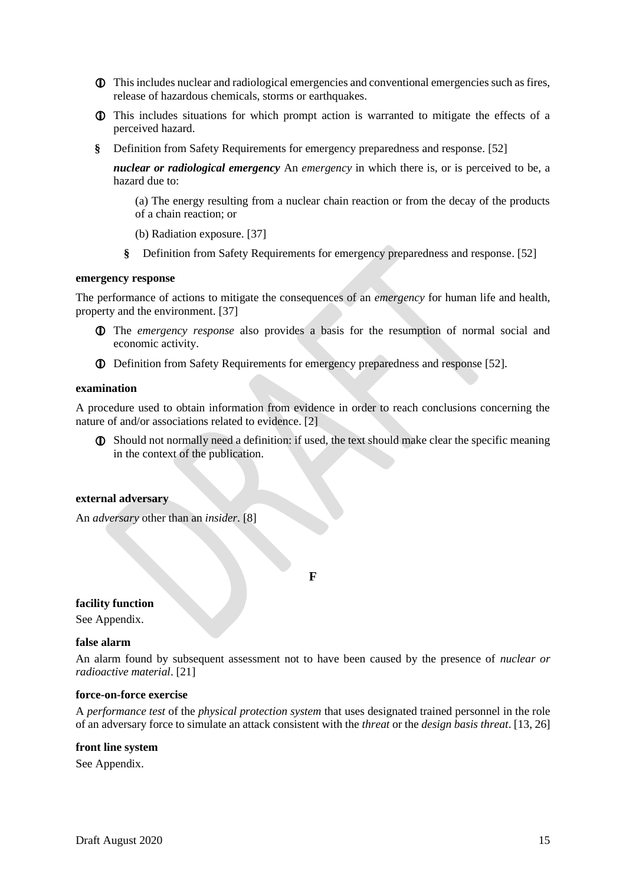- This includes nuclear and radiological emergencies and conventional emergencies such as fires, release of hazardous chemicals, storms or earthquakes.
- This includes situations for which prompt action is warranted to mitigate the effects of a perceived hazard.
- **§** Definition from Safety Requirements for emergency preparedness and response. [52]

*nuclear or radiological emergency* An *emergency* in which there is, or is perceived to be, a hazard due to:

(a) The energy resulting from a nuclear chain reaction or from the decay of the products of a chain reaction; or

- (b) Radiation exposure. [37]
- **§** Definition from Safety Requirements for emergency preparedness and response. [52]

#### **emergency response**

The performance of actions to mitigate the consequences of an *emergency* for human life and health, property and the environment. [37]

- The *emergency response* also provides a basis for the resumption of normal social and economic activity.
- Definition from Safety Requirements for emergency preparedness and response [52].

#### **examination**

A procedure used to obtain information from evidence in order to reach conclusions concerning the nature of and/or associations related to evidence. [2]

 Should not normally need a definition: if used, the text should make clear the specific meaning in the context of the publication.

#### **external adversary**

<span id="page-16-0"></span>An *adversary* other than an *insider*. [8]

**F**

#### **facility function**

See Appendix.

#### **false alarm**

An alarm found by subsequent assessment not to have been caused by the presence of *nuclear or radioactive material*. [21]

#### **force-on-force exercise**

A *performance test* of the *physical protection system* that uses designated trained personnel in the role of an adversary force to simulate an attack consistent with the *threat* or the *design basis threat*. [13, 26]

#### **front line system**

See Appendix.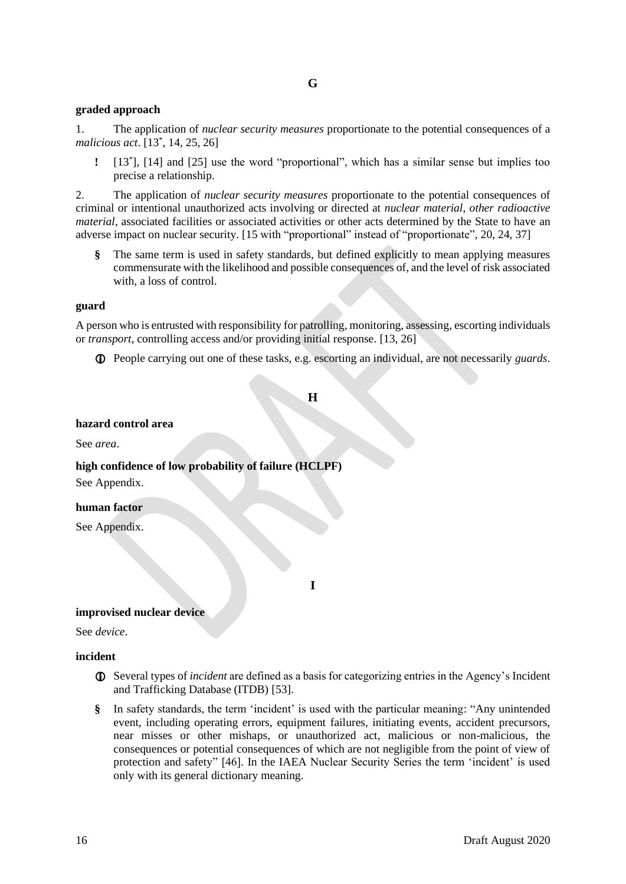#### <span id="page-17-0"></span>**graded approach**

1. The application of *nuclear security measures* proportionate to the potential consequences of a *malicious act*. [13\* , 14, 25, 26]

**!** [13\* ], [14] and [25] use the word "proportional", which has a similar sense but implies too precise a relationship.

2. The application of *nuclear security measures* proportionate to the potential consequences of criminal or intentional unauthorized acts involving or directed at *nuclear material*, *other radioactive material*, associated facilities or associated activities or other acts determined by the State to have an adverse impact on nuclear security. [15 with "proportional" instead of "proportionate", 20, 24, 37]

**§** The same term is used in safety standards, but defined explicitly to mean applying measures commensurate with the likelihood and possible consequences of, and the level of risk associated with, a loss of control.

#### **guard**

A person who is entrusted with responsibility for patrolling, monitoring, assessing, escorting individuals or *transport*, controlling access and/or providing initial response. [13, 26]

<span id="page-17-1"></span>People carrying out one of these tasks, e.g. escorting an individual, are not necessarily *guards*.

**H**

#### **hazard control area**

See *area*.

**high confidence of low probability of failure (HCLPF)**

See Appendix.

#### **human factor**

<span id="page-17-2"></span>See Appendix.

**I**

#### **improvised nuclear device**

See *device*.

#### **incident**

- Several types of *incident* are defined as a basis for categorizing entries in the Agency's Incident and Trafficking Database (ITDB) [53].
- **§** In safety standards, the term 'incident' is used with the particular meaning: "Any unintended event, including operating errors, equipment failures, initiating events, accident precursors, near misses or other mishaps, or unauthorized act, malicious or non-malicious, the consequences or potential consequences of which are not negligible from the point of view of protection and safety" [46]. In the IAEA Nuclear Security Series the term 'incident' is used only with its general dictionary meaning.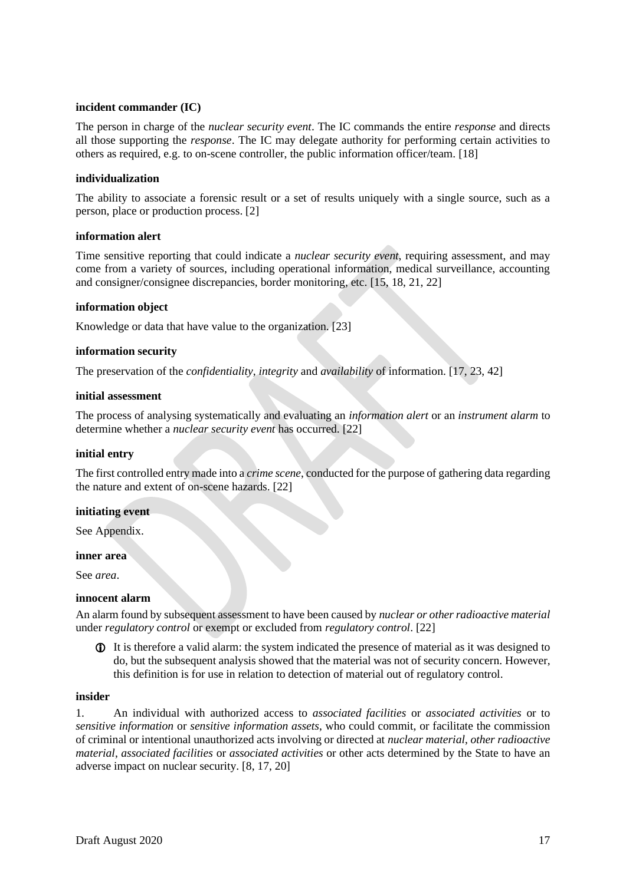## **incident commander (IC)**

The person in charge of the *nuclear security event*. The IC commands the entire *response* and directs all those supporting the *response*. The IC may delegate authority for performing certain activities to others as required, e.g. to on-scene controller, the public information officer/team. [18]

## **individualization**

The ability to associate a forensic result or a set of results uniquely with a single source, such as a person, place or production process. [2]

## **information alert**

Time sensitive reporting that could indicate a *nuclear security event*, requiring assessment, and may come from a variety of sources, including operational information, medical surveillance, accounting and consigner/consignee discrepancies, border monitoring, etc. [15, 18, 21, 22]

## **information object**

Knowledge or data that have value to the organization. [23]

## **information security**

The preservation of the *confidentiality*, *integrity* and *availability* of information. [17, 23, 42]

#### **initial assessment**

The process of analysing systematically and evaluating an *information alert* or an *instrument alarm* to determine whether a *nuclear security event* has occurred. [22]

#### **initial entry**

The first controlled entry made into a *crime scene*, conducted for the purpose of gathering data regarding the nature and extent of on-scene hazards. [22]

## **initiating event**

See Appendix.

#### **inner area**

See *area*.

#### **innocent alarm**

An alarm found by subsequent assessment to have been caused by *nuclear or other radioactive material* under *regulatory control* or exempt or excluded from *regulatory control*. [22]

 It is therefore a valid alarm: the system indicated the presence of material as it was designed to do, but the subsequent analysis showed that the material was not of security concern. However, this definition is for use in relation to detection of material out of regulatory control.

## **insider**

1. An individual with authorized access to *associated facilities* or *associated activities* or to *sensitive information* or *sensitive information assets*, who could commit, or facilitate the commission of criminal or intentional unauthorized acts involving or directed at *nuclear material*, *other radioactive material*, *associated facilities* or *associated activities* or other acts determined by the State to have an adverse impact on nuclear security. [8, 17, 20]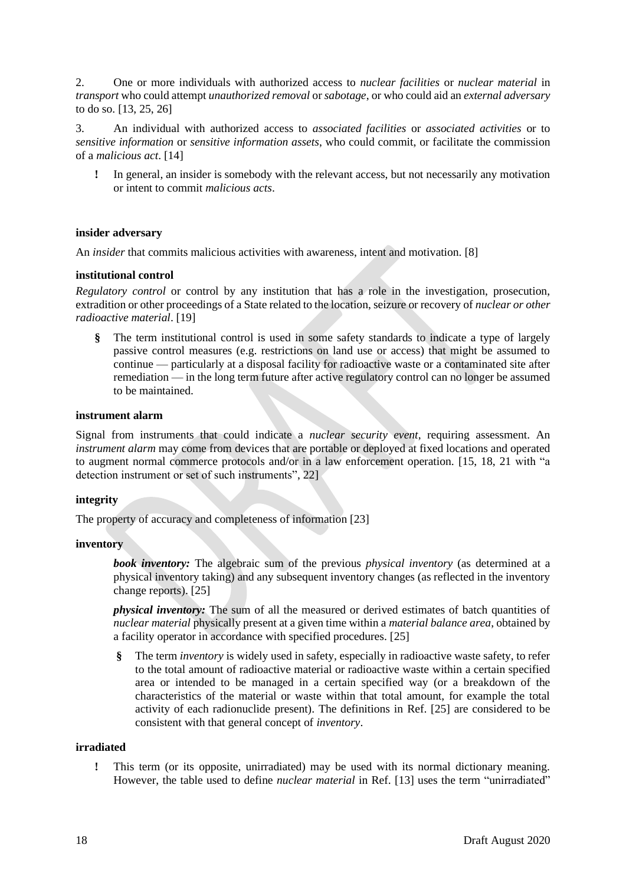2. One or more individuals with authorized access to *nuclear facilities* or *nuclear material* in *transport* who could attempt *unauthorized removal* or *sabotage*, or who could aid an *external adversary* to do so. [13, 25, 26]

3. An individual with authorized access to *associated facilities* or *associated activities* or to *sensitive information* or *sensitive information assets*, who could commit, or facilitate the commission of a *malicious act*. [14]

**!** In general, an insider is somebody with the relevant access, but not necessarily any motivation or intent to commit *malicious acts*.

# **insider adversary**

An *insider* that commits malicious activities with awareness, intent and motivation. [8]

## **institutional control**

*Regulatory control* or control by any institution that has a role in the investigation, prosecution, extradition or other proceedings of a State related to the location, seizure or recovery of *nuclear or other radioactive material*. [19]

**§** The term institutional control is used in some safety standards to indicate a type of largely passive control measures (e.g. restrictions on land use or access) that might be assumed to continue — particularly at a disposal facility for radioactive waste or a contaminated site after remediation — in the long term future after active regulatory control can no longer be assumed to be maintained.

## **instrument alarm**

Signal from instruments that could indicate a *nuclear security event*, requiring assessment. An *instrument alarm* may come from devices that are portable or deployed at fixed locations and operated to augment normal commerce protocols and/or in a law enforcement operation. [15, 18, 21 with "a detection instrument or set of such instruments", 22]

## **integrity**

The property of accuracy and completeness of information [23]

#### **inventory**

*book inventory:* The algebraic sum of the previous *physical inventory* (as determined at a physical inventory taking) and any subsequent inventory changes (as reflected in the inventory change reports). [25]

*physical inventory:* The sum of all the measured or derived estimates of batch quantities of *nuclear material* physically present at a given time within a *material balance area*, obtained by a facility operator in accordance with specified procedures. [25]

**§** The term *inventory* is widely used in safety, especially in radioactive waste safety, to refer to the total amount of radioactive material or radioactive waste within a certain specified area or intended to be managed in a certain specified way (or a breakdown of the characteristics of the material or waste within that total amount, for example the total activity of each radionuclide present). The definitions in Ref. [25] are considered to be consistent with that general concept of *inventory*.

## **irradiated**

**!** This term (or its opposite, unirradiated) may be used with its normal dictionary meaning. However, the table used to define *nuclear material* in Ref. [13] uses the term "unirradiated"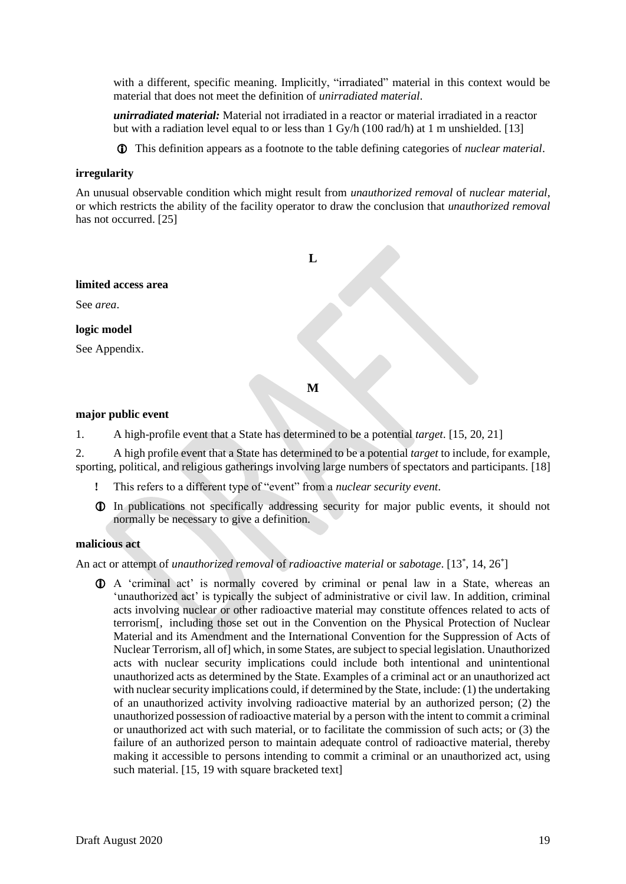with a different, specific meaning. Implicitly, "irradiated" material in this context would be material that does not meet the definition of *unirradiated material*.

*unirradiated material:* Material not irradiated in a reactor or material irradiated in a reactor but with a radiation level equal to or less than 1 Gy/h (100 rad/h) at 1 m unshielded. [13]

This definition appears as a footnote to the table defining categories of *nuclear material*.

#### **irregularity**

An unusual observable condition which might result from *unauthorized removal* of *nuclear material*, or which restricts the ability of the facility operator to draw the conclusion that *unauthorized removal* has not occurred. [25]

<span id="page-20-0"></span>

## <span id="page-20-1"></span>**major public event**

1. A high-profile event that a State has determined to be a potential *target*. [15, 20, 21]

2. A high profile event that a State has determined to be a potential *target* to include, for example, sporting, political, and religious gatherings involving large numbers of spectators and participants. [18]

- **!** This refers to a different type of "event" from a *nuclear security event*.
- In publications not specifically addressing security for major public events, it should not normally be necessary to give a definition.

#### **malicious act**

An act or attempt of *unauthorized removal* of *radioactive material* or *sabotage*. [13\* , 14, 26\* ]

 A 'criminal act' is normally covered by criminal or penal law in a State, whereas an 'unauthorized act' is typically the subject of administrative or civil law. In addition, criminal acts involving nuclear or other radioactive material may constitute offences related to acts of terrorism[, including those set out in the Convention on the Physical Protection of Nuclear Material and its Amendment and the International Convention for the Suppression of Acts of Nuclear Terrorism, all of] which, in some States, are subject to special legislation. Unauthorized acts with nuclear security implications could include both intentional and unintentional unauthorized acts as determined by the State. Examples of a criminal act or an unauthorized act with nuclear security implications could, if determined by the State, include: (1) the undertaking of an unauthorized activity involving radioactive material by an authorized person; (2) the unauthorized possession of radioactive material by a person with the intent to commit a criminal or unauthorized act with such material, or to facilitate the commission of such acts; or (3) the failure of an authorized person to maintain adequate control of radioactive material, thereby making it accessible to persons intending to commit a criminal or an unauthorized act, using such material. [15, 19 with square bracketed text]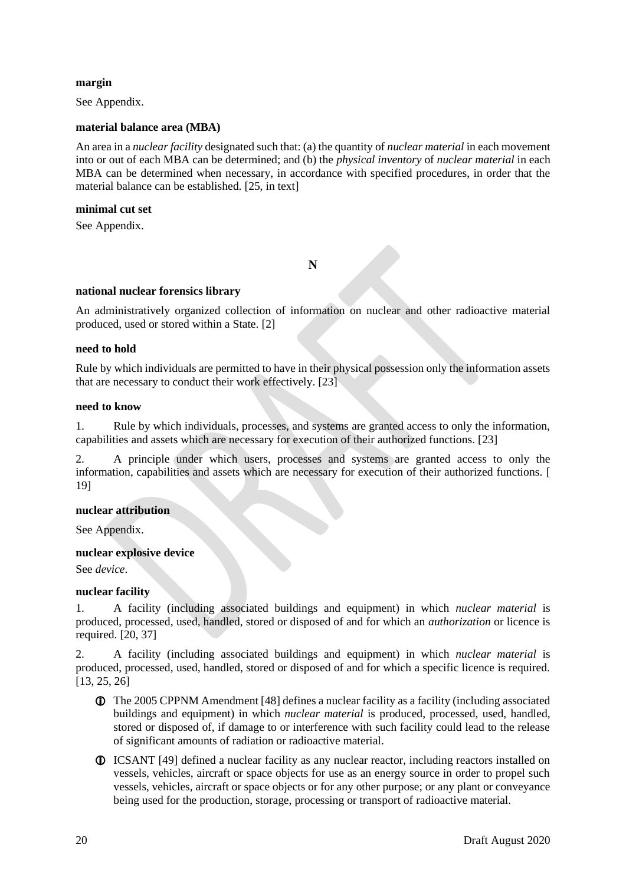## **margin**

See Appendix.

## **material balance area (MBA)**

An area in a *nuclear facility* designated such that: (a) the quantity of *nuclear material* in each movement into or out of each MBA can be determined; and (b) the *physical inventory* of *nuclear material* in each MBA can be determined when necessary, in accordance with specified procedures, in order that the material balance can be established. [25, in text]

## **minimal cut set**

<span id="page-21-0"></span>See Appendix.

**N**

# **national nuclear forensics library**

An administratively organized collection of information on nuclear and other radioactive material produced, used or stored within a State. [2]

## **need to hold**

Rule by which individuals are permitted to have in their physical possession only the information assets that are necessary to conduct their work effectively. [23]

## **need to know**

1. Rule by which individuals, processes, and systems are granted access to only the information, capabilities and assets which are necessary for execution of their authorized functions. [23]

2. A principle under which users, processes and systems are granted access to only the information, capabilities and assets which are necessary for execution of their authorized functions. [ 19]

# **nuclear attribution**

See Appendix.

## **nuclear explosive device**

See *device*.

## **nuclear facility**

1. A facility (including associated buildings and equipment) in which *nuclear material* is produced, processed, used, handled, stored or disposed of and for which an *authorization* or licence is required. [20, 37]

2. A facility (including associated buildings and equipment) in which *nuclear material* is produced, processed, used, handled, stored or disposed of and for which a specific licence is required. [13, 25, 26]

- The 2005 CPPNM Amendment [48] defines a nuclear facility as a facility (including associated buildings and equipment) in which *nuclear material* is produced, processed, used, handled, stored or disposed of, if damage to or interference with such facility could lead to the release of significant amounts of radiation or radioactive material.
- ICSANT [49] defined a nuclear facility as any nuclear reactor, including reactors installed on vessels, vehicles, aircraft or space objects for use as an energy source in order to propel such vessels, vehicles, aircraft or space objects or for any other purpose; or any plant or conveyance being used for the production, storage, processing or transport of radioactive material.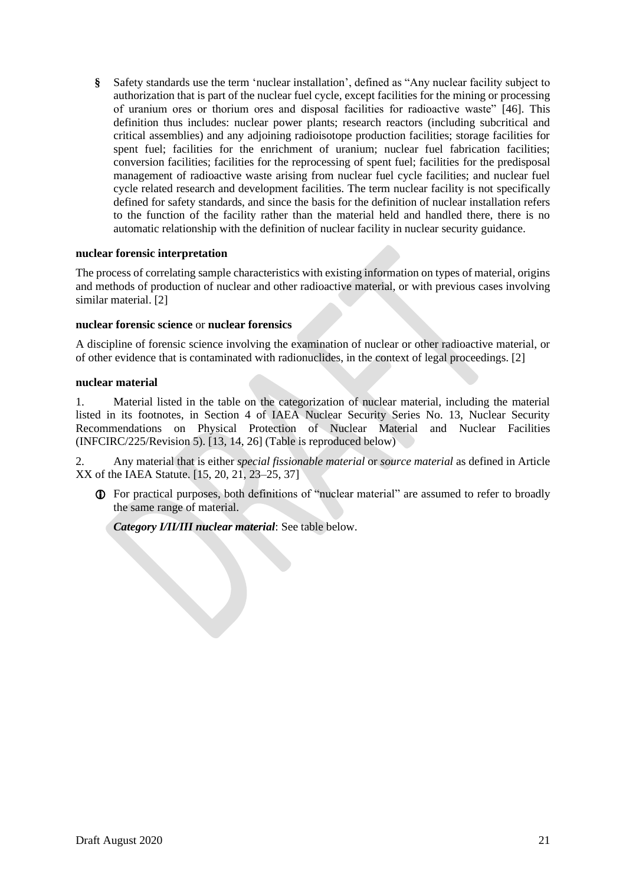**§** Safety standards use the term 'nuclear installation', defined as "Any nuclear facility subject to authorization that is part of the nuclear fuel cycle, except facilities for the mining or processing of uranium ores or thorium ores and disposal facilities for radioactive waste" [46]. This definition thus includes: nuclear power plants; research reactors (including subcritical and critical assemblies) and any adjoining radioisotope production facilities; storage facilities for spent fuel; facilities for the enrichment of uranium; nuclear fuel fabrication facilities; conversion facilities; facilities for the reprocessing of spent fuel; facilities for the predisposal management of radioactive waste arising from nuclear fuel cycle facilities; and nuclear fuel cycle related research and development facilities. The term nuclear facility is not specifically defined for safety standards, and since the basis for the definition of nuclear installation refers to the function of the facility rather than the material held and handled there, there is no automatic relationship with the definition of nuclear facility in nuclear security guidance.

## **nuclear forensic interpretation**

The process of correlating sample characteristics with existing information on types of material, origins and methods of production of nuclear and other radioactive material, or with previous cases involving similar material. [2]

## **nuclear forensic science** or **nuclear forensics**

A discipline of forensic science involving the examination of nuclear or other radioactive material, or of other evidence that is contaminated with radionuclides, in the context of legal proceedings. [2]

## **nuclear material**

1. Material listed in the table on the categorization of nuclear material, including the material listed in its footnotes, in Section 4 of IAEA Nuclear Security Series No. 13, Nuclear Security Recommendations on Physical Protection of Nuclear Material and Nuclear Facilities (INFCIRC/225/Revision 5). [13, 14, 26] (Table is reproduced below)

2. Any material that is either *special fissionable material* or *source material* as defined in Article XX of the IAEA Statute. [15, 20, 21, 23–25, 37]

 For practical purposes, both definitions of "nuclear material" are assumed to refer to broadly the same range of material.

*Category I/II/III nuclear material*: See table below.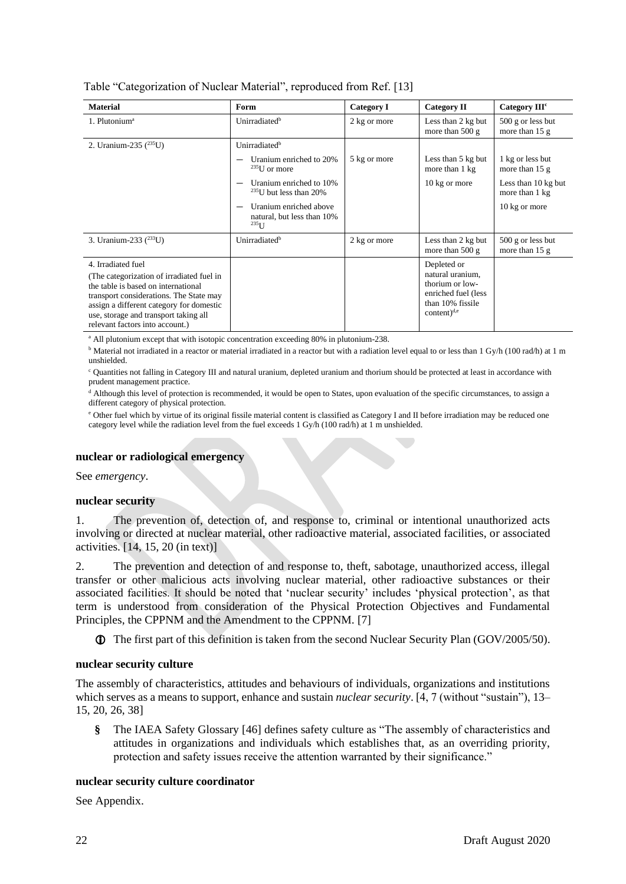| Table "Categorization of Nuclear Material", reproduced from Ref. [13] |  |  |  |  |  |  |  |
|-----------------------------------------------------------------------|--|--|--|--|--|--|--|
|-----------------------------------------------------------------------|--|--|--|--|--|--|--|

| <b>Material</b>                                                                                                                                                                                                                                      | Form                                                               | <b>Category I</b> | Category II                                                                                      | Category III <sup>c</sup>               |
|------------------------------------------------------------------------------------------------------------------------------------------------------------------------------------------------------------------------------------------------------|--------------------------------------------------------------------|-------------------|--------------------------------------------------------------------------------------------------|-----------------------------------------|
| 1. Plutonium <sup>a</sup>                                                                                                                                                                                                                            | Unirradiated <sup>b</sup>                                          | 2 kg or more      | Less than 2 kg but<br>more than $500 g$                                                          | $500$ g or less but<br>more than $15 g$ |
| 2. Uranium-235 $(^{235}U)$                                                                                                                                                                                                                           | Unirradiated <sup>b</sup>                                          |                   |                                                                                                  |                                         |
|                                                                                                                                                                                                                                                      | Uranium enriched to 20%<br>$235$ U or more                         | 5 kg or more      | Less than 5 kg but<br>more than 1 kg                                                             | 1 kg or less but<br>more than $15 g$    |
|                                                                                                                                                                                                                                                      | Uranium enriched to 10%<br>$235$ U but less than 20%               |                   | 10 kg or more                                                                                    | Less than 10 kg but<br>more than 1 kg   |
|                                                                                                                                                                                                                                                      | Uranium enriched above<br>natural, but less than 10%<br>$^{235}$ U |                   |                                                                                                  | 10 kg or more                           |
| 3. Uranium-233 ( <sup>233</sup> U)                                                                                                                                                                                                                   | Unirradiated <sup>b</sup>                                          | 2 kg or more      | Less than 2 kg but<br>more than $500 g$                                                          | $500$ g or less but<br>more than $15 g$ |
| 4. Irradiated fuel                                                                                                                                                                                                                                   |                                                                    |                   | Depleted or                                                                                      |                                         |
| (The categorization of irradiated fuel in)<br>the table is based on international<br>transport considerations. The State may<br>assign a different category for domestic<br>use, storage and transport taking all<br>relevant factors into account.) |                                                                    |                   | natural uranium,<br>thorium or low-<br>enriched fuel (less<br>than 10% fissile<br>content) $d,e$ |                                         |

<sup>a</sup> All plutonium except that with isotopic concentration exceeding 80% in plutonium-238.

 $b$  Material not irradiated in a reactor or material irradiated in a reactor but with a radiation level equal to or less than 1 Gy/h (100 rad/h) at 1 m unshielded.

<sup>c</sup> Quantities not falling in Category III and natural uranium, depleted uranium and thorium should be protected at least in accordance with prudent management practice.

<sup>d</sup> Although this level of protection is recommended, it would be open to States, upon evaluation of the specific circumstances, to assign a different category of physical protection.

<sup>e</sup> Other fuel which by virtue of its original fissile material content is classified as Category I and II before irradiation may be reduced one category level while the radiation level from the fuel exceeds 1 Gy/h (100 rad/h) at 1 m unshielded.

## **nuclear or radiological emergency**

See *emergency*.

#### **nuclear security**

1. The prevention of, detection of, and response to, criminal or intentional unauthorized acts involving or directed at nuclear material, other radioactive material, associated facilities, or associated activities. [14, 15, 20 (in text)]

2. The prevention and detection of and response to, theft, sabotage, unauthorized access, illegal transfer or other malicious acts involving nuclear material, other radioactive substances or their associated facilities. It should be noted that 'nuclear security' includes 'physical protection', as that term is understood from consideration of the Physical Protection Objectives and Fundamental Principles, the CPPNM and the Amendment to the CPPNM. [7]

The first part of this definition is taken from the second Nuclear Security Plan (GOV/2005/50).

#### **nuclear security culture**

The assembly of characteristics, attitudes and behaviours of individuals, organizations and institutions which serves as a means to support, enhance and sustain *nuclear security*. [4, 7 (without "sustain"), 13– 15, 20, 26, 38]

**§** The IAEA Safety Glossary [46] defines safety culture as "The assembly of characteristics and attitudes in organizations and individuals which establishes that, as an overriding priority, protection and safety issues receive the attention warranted by their significance."

## **nuclear security culture coordinator**

See Appendix.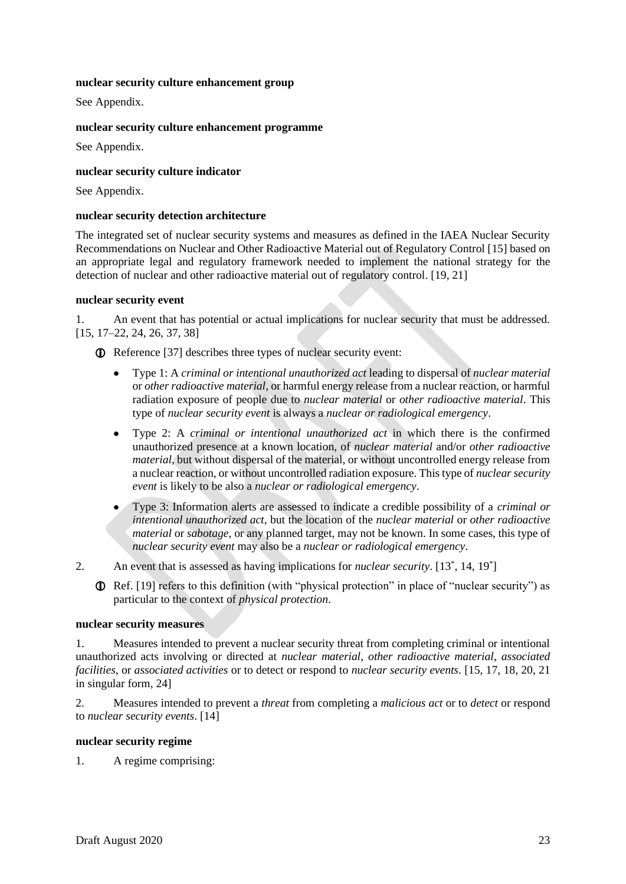## **nuclear security culture enhancement group**

See Appendix.

## **nuclear security culture enhancement programme**

See Appendix.

## **nuclear security culture indicator**

See Appendix.

#### **nuclear security detection architecture**

The integrated set of nuclear security systems and measures as defined in the IAEA Nuclear Security Recommendations on Nuclear and Other Radioactive Material out of Regulatory Control [15] based on an appropriate legal and regulatory framework needed to implement the national strategy for the detection of nuclear and other radioactive material out of regulatory control. [19, 21]

#### **nuclear security event**

1. An event that has potential or actual implications for nuclear security that must be addressed. [15, 17–22, 24, 26, 37, 38]

Reference [37] describes three types of nuclear security event:

- Type 1: A *criminal or intentional unauthorized act* leading to dispersal of *nuclear material*  or *other radioactive material*, or harmful energy release from a nuclear reaction, or harmful radiation exposure of people due to *nuclear material* or *other radioactive material*. This type of *nuclear security event* is always a *nuclear or radiological emergency*.
- Type 2: A *criminal or intentional unauthorized act* in which there is the confirmed unauthorized presence at a known location, of *nuclear material* and/or *other radioactive material*, but without dispersal of the material, or without uncontrolled energy release from a nuclear reaction, or without uncontrolled radiation exposure. This type of *nuclear security event* is likely to be also a *nuclear or radiological emergency*.
- Type 3: Information alerts are assessed to indicate a credible possibility of a *criminal or intentional unauthorized act*, but the location of the *nuclear material* or *other radioactive material* or *sabotage*, or any planned target, may not be known. In some cases, this type of *nuclear security event* may also be a *nuclear or radiological emergency*.

2. An event that is assessed as having implications for *nuclear security*. [13<sup>\*</sup>, 14, 19<sup>\*</sup>]

 Ref. [19] refers to this definition (with "physical protection" in place of "nuclear security") as particular to the context of *physical protection*.

#### **nuclear security measures**

1. Measures intended to prevent a nuclear security threat from completing criminal or intentional unauthorized acts involving or directed at *nuclear material*, *other radioactive material*, *associated facilities*, or *associated activities* or to detect or respond to *nuclear security events*. [15, 17, 18, 20, 21 in singular form, 24]

2. Measures intended to prevent a *threat* from completing a *malicious act* or to *detect* or respond to *nuclear security events*. [14]

## **nuclear security regime**

1. A regime comprising: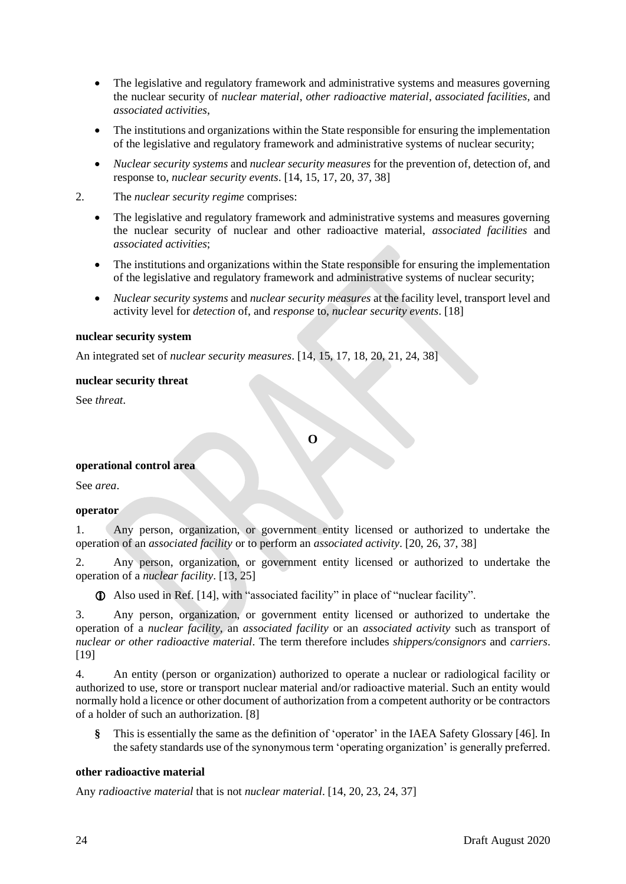- The legislative and regulatory framework and administrative systems and measures governing the nuclear security of *nuclear material*, *other radioactive material*, *associated facilities*, and *associated activities*,
- The institutions and organizations within the State responsible for ensuring the implementation of the legislative and regulatory framework and administrative systems of nuclear security;
- *Nuclear security systems* and *nuclear security measures* for the prevention of, detection of, and response to, *nuclear security events*. [14, 15, 17, 20, 37, 38]
- 2. The *nuclear security regime* comprises:
	- The legislative and regulatory framework and administrative systems and measures governing the nuclear security of nuclear and other radioactive material, *associated facilities* and *associated activities*;
	- The institutions and organizations within the State responsible for ensuring the implementation of the legislative and regulatory framework and administrative systems of nuclear security;
	- *Nuclear security systems* and *nuclear security measures* at the facility level, transport level and activity level for *detection* of, and *response* to, *nuclear security events*. [18]

## **nuclear security system**

An integrated set of *nuclear security measures*. [14, 15, 17, 18, 20, 21, 24, 38]

## **nuclear security threat**

<span id="page-25-0"></span>See *threat*.

**O**

# **operational control area**

See *area*.

#### **operator**

1. Any person, organization, or government entity licensed or authorized to undertake the operation of an *associated facility* or to perform an *associated activity*. [20, 26, 37, 38]

2. Any person, organization, or government entity licensed or authorized to undertake the operation of a *nuclear facility*. [13, 25]

Also used in Ref. [14], with "associated facility" in place of "nuclear facility".

3. Any person, organization, or government entity licensed or authorized to undertake the operation of a *nuclear facility*, an *associated facility* or an *associated activity* such as transport of *nuclear or other radioactive material*. The term therefore includes *shippers/consignors* and *carriers*. [19]

4. An entity (person or organization) authorized to operate a nuclear or radiological facility or authorized to use, store or transport nuclear material and/or radioactive material. Such an entity would normally hold a licence or other document of authorization from a competent authority or be contractors of a holder of such an authorization. [8]

**§** This is essentially the same as the definition of 'operator' in the IAEA Safety Glossary [46]. In the safety standards use of the synonymous term 'operating organization' is generally preferred.

## **other radioactive material**

Any *radioactive material* that is not *nuclear material*. [14, 20, 23, 24, 37]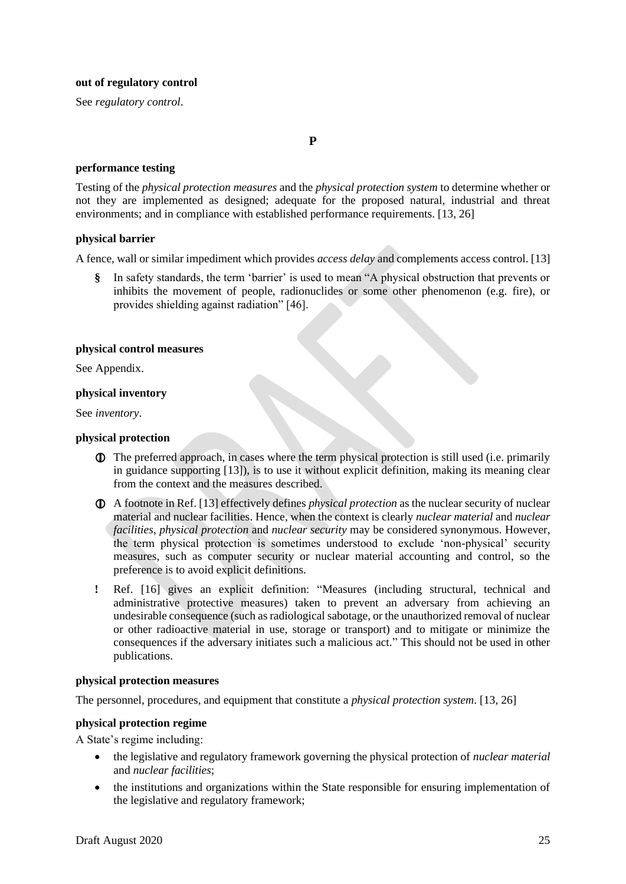#### **out of regulatory control**

<span id="page-26-0"></span>See *regulatory control*.

#### **performance testing**

Testing of the *physical protection measures* and the *physical protection system* to determine whether or not they are implemented as designed; adequate for the proposed natural, industrial and threat environments; and in compliance with established performance requirements. [13, 26]

**P**

## **physical barrier**

A fence, wall or similar impediment which provides *access delay* and complements access control. [13]

**§** In safety standards, the term 'barrier' is used to mean "A physical obstruction that prevents or inhibits the movement of people, radionuclides or some other phenomenon (e.g. fire), or provides shielding against radiation" [46].

## **physical control measures**

See Appendix.

## **physical inventory**

See *inventory*.

## **physical protection**

- The preferred approach, in cases where the term physical protection is still used (i.e. primarily in guidance supporting [13]), is to use it without explicit definition, making its meaning clear from the context and the measures described.
- A footnote in Ref. [13] effectively defines *physical protection* as the nuclear security of nuclear material and nuclear facilities. Hence, when the context is clearly *nuclear material* and *nuclear facilities*, *physical protection* and *nuclear security* may be considered synonymous. However, the term physical protection is sometimes understood to exclude 'non-physical' security measures, such as computer security or nuclear material accounting and control, so the preference is to avoid explicit definitions.
- **!** Ref. [16] gives an explicit definition: "Measures (including structural, technical and administrative protective measures) taken to prevent an adversary from achieving an undesirable consequence (such as radiological sabotage, or the unauthorized removal of nuclear or other radioactive material in use, storage or transport) and to mitigate or minimize the consequences if the adversary initiates such a malicious act." This should not be used in other publications.

#### **physical protection measures**

The personnel, procedures, and equipment that constitute a *physical protection system*. [13, 26]

## **physical protection regime**

A State's regime including:

- the legislative and regulatory framework governing the physical protection of *nuclear material* and *nuclear facilities*;
- the institutions and organizations within the State responsible for ensuring implementation of the legislative and regulatory framework;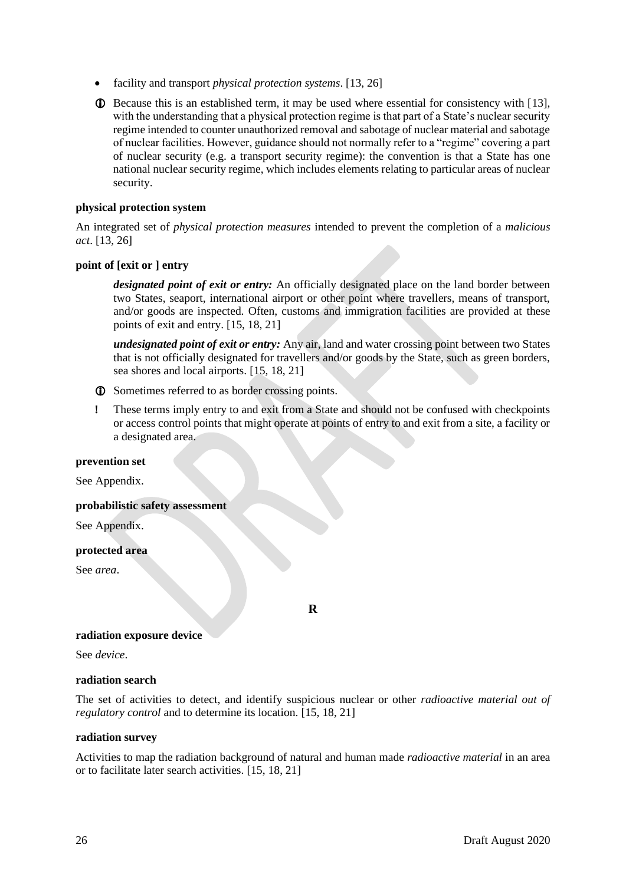- facility and transport *physical protection systems*. [13, 26]
- Because this is an established term, it may be used where essential for consistency with [13], with the understanding that a physical protection regime is that part of a State's nuclear security regime intended to counter unauthorized removal and sabotage of nuclear material and sabotage of nuclear facilities. However, guidance should not normally refer to a "regime" covering a part of nuclear security (e.g. a transport security regime): the convention is that a State has one national nuclear security regime, which includes elements relating to particular areas of nuclear security.

## **physical protection system**

An integrated set of *physical protection measures* intended to prevent the completion of a *malicious act*. [13, 26]

## **point of [exit or ] entry**

*designated point of exit or entry:* An officially designated place on the land border between two States, seaport, international airport or other point where travellers, means of transport, and/or goods are inspected. Often, customs and immigration facilities are provided at these points of exit and entry. [15, 18, 21]

*undesignated point of exit or entry:* Any air, land and water crossing point between two States that is not officially designated for travellers and/or goods by the State, such as green borders, sea shores and local airports. [15, 18, 21]

- Sometimes referred to as border crossing points.
- **!** These terms imply entry to and exit from a State and should not be confused with checkpoints or access control points that might operate at points of entry to and exit from a site, a facility or a designated area.

#### **prevention set**

See Appendix.

#### **probabilistic safety assessment**

See Appendix.

#### **protected area**

<span id="page-27-0"></span>See *area*.

**R**

#### **radiation exposure device**

See *device*.

#### **radiation search**

The set of activities to detect, and identify suspicious nuclear or other *radioactive material out of regulatory control* and to determine its location. [15, 18, 21]

#### **radiation survey**

Activities to map the radiation background of natural and human made *radioactive material* in an area or to facilitate later search activities. [15, 18, 21]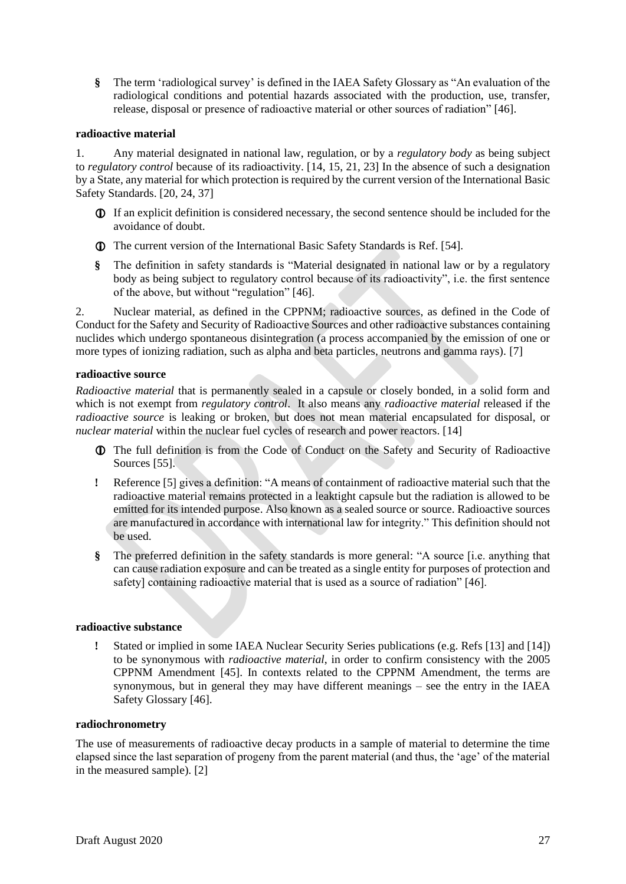**§** The term 'radiological survey' is defined in the IAEA Safety Glossary as "An evaluation of the radiological conditions and potential hazards associated with the production, use, transfer, release, disposal or presence of radioactive material or other sources of radiation" [46].

## **radioactive material**

1. Any material designated in national law, regulation, or by a *regulatory body* as being subject to *regulatory control* because of its radioactivity. [14, 15, 21, 23] In the absence of such a designation by a State, any material for which protection is required by the current version of the International Basic Safety Standards. [20, 24, 37]

- If an explicit definition is considered necessary, the second sentence should be included for the avoidance of doubt.
- The current version of the International Basic Safety Standards is Ref. [54].
- **§** The definition in safety standards is "Material designated in national law or by a regulatory body as being subject to regulatory control because of its radioactivity", i.e. the first sentence of the above, but without "regulation" [46].

2. Nuclear material, as defined in the CPPNM; radioactive sources, as defined in the Code of Conduct for the Safety and Security of Radioactive Sources and other radioactive substances containing nuclides which undergo spontaneous disintegration (a process accompanied by the emission of one or more types of ionizing radiation, such as alpha and beta particles, neutrons and gamma rays). [7]

## **radioactive source**

*Radioactive material* that is permanently sealed in a capsule or closely bonded, in a solid form and which is not exempt from *regulatory control*. It also means any *radioactive material* released if the *radioactive source* is leaking or broken, but does not mean material encapsulated for disposal, or *nuclear material* within the nuclear fuel cycles of research and power reactors. [14]

- The full definition is from the Code of Conduct on the Safety and Security of Radioactive Sources [55].
- **!** Reference [5] gives a definition: "A means of containment of radioactive material such that the radioactive material remains protected in a leaktight capsule but the radiation is allowed to be emitted for its intended purpose. Also known as a sealed source or source. Radioactive sources are manufactured in accordance with international law for integrity." This definition should not be used.
- **§** The preferred definition in the safety standards is more general: "A source [i.e. anything that can cause radiation exposure and can be treated as a single entity for purposes of protection and safety] containing radioactive material that is used as a source of radiation" [46].

#### **radioactive substance**

**!** Stated or implied in some IAEA Nuclear Security Series publications (e.g. Refs [13] and [14]) to be synonymous with *radioactive material*, in order to confirm consistency with the 2005 CPPNM Amendment [45]. In contexts related to the CPPNM Amendment, the terms are synonymous, but in general they may have different meanings – see the entry in the IAEA Safety Glossary [46].

#### **radiochronometry**

The use of measurements of radioactive decay products in a sample of material to determine the time elapsed since the last separation of progeny from the parent material (and thus, the 'age' of the material in the measured sample). [2]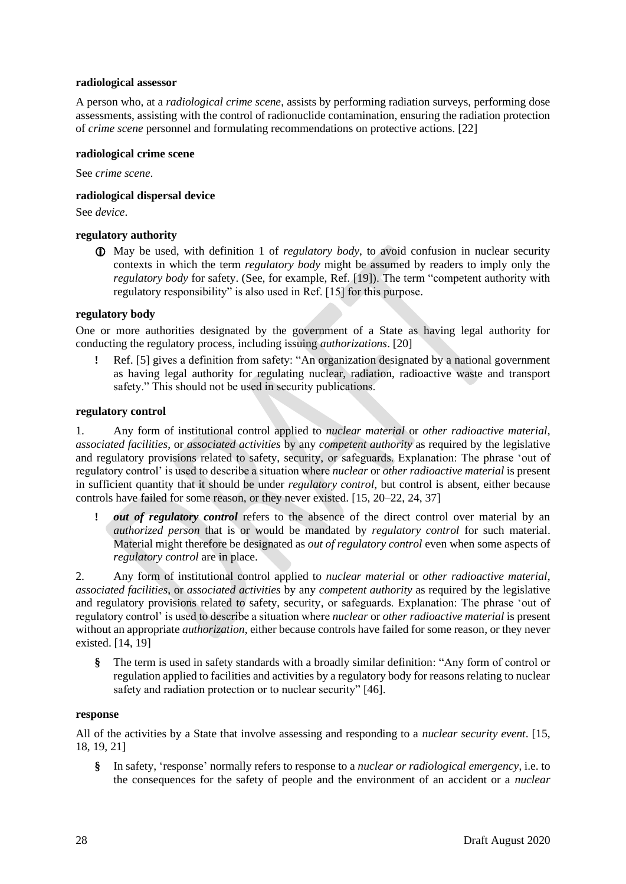## **radiological assessor**

A person who, at a *radiological crime scene*, assists by performing radiation surveys, performing dose assessments, assisting with the control of radionuclide contamination, ensuring the radiation protection of *crime scene* personnel and formulating recommendations on protective actions. [22]

## **radiological crime scene**

See *crime scene*.

# **radiological dispersal device**

See *device*.

# **regulatory authority**

 May be used, with definition 1 of *regulatory body*, to avoid confusion in nuclear security contexts in which the term *regulatory body* might be assumed by readers to imply only the *regulatory body* for safety. (See, for example, Ref. [19]). The term "competent authority with regulatory responsibility" is also used in Ref. [15] for this purpose.

# **regulatory body**

One or more authorities designated by the government of a State as having legal authority for conducting the regulatory process, including issuing *authorizations*. [20]

**!** Ref. [5] gives a definition from safety: "An organization designated by a national government as having legal authority for regulating nuclear, radiation, radioactive waste and transport safety." This should not be used in security publications.

# **regulatory control**

1. Any form of institutional control applied to *nuclear material* or *other radioactive material*, *associated facilities*, or *associated activities* by any *competent authority* as required by the legislative and regulatory provisions related to safety, security, or safeguards. Explanation: The phrase 'out of regulatory control' is used to describe a situation where *nuclear* or *other radioactive material* is present in sufficient quantity that it should be under *regulatory control*, but control is absent, either because controls have failed for some reason, or they never existed. [15, 20–22, 24, 37]

**!** *out of regulatory control* refers to the absence of the direct control over material by an *authorized person* that is or would be mandated by *regulatory control* for such material. Material might therefore be designated as *out of regulatory control* even when some aspects of *regulatory control* are in place.

2. Any form of institutional control applied to *nuclear material* or *other radioactive material*, *associated facilities*, or *associated activities* by any *competent authority* as required by the legislative and regulatory provisions related to safety, security, or safeguards. Explanation: The phrase 'out of regulatory control' is used to describe a situation where *nuclear* or *other radioactive material* is present without an appropriate *authorization*, either because controls have failed for some reason, or they never existed. [14, 19]

**§** The term is used in safety standards with a broadly similar definition: "Any form of control or regulation applied to facilities and activities by a regulatory body for reasons relating to nuclear safety and radiation protection or to nuclear security" [46].

## **response**

All of the activities by a State that involve assessing and responding to a *nuclear security event*. [15, 18, 19, 21]

**§** In safety, 'response' normally refers to response to a *nuclear or radiological emergency*, i.e. to the consequences for the safety of people and the environment of an accident or a *nuclear*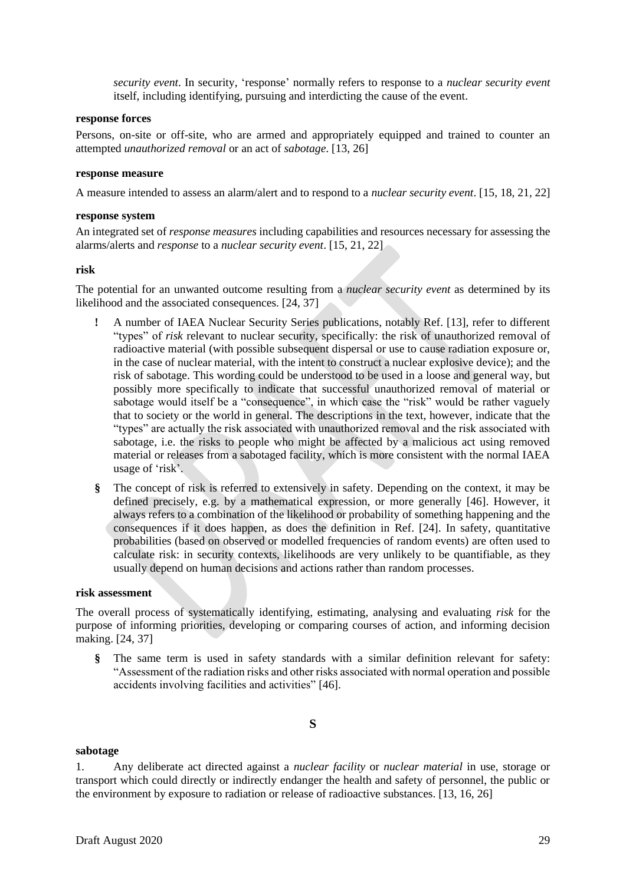*security event*. In security, 'response' normally refers to response to a *nuclear security event* itself, including identifying, pursuing and interdicting the cause of the event.

## **response forces**

Persons, on-site or off-site, who are armed and appropriately equipped and trained to counter an attempted *unauthorized removal* or an act of *sabotage*. [13, 26]

#### **response measure**

A measure intended to assess an alarm/alert and to respond to a *nuclear security event*. [15, 18, 21, 22]

## **response system**

An integrated set of *response measures* including capabilities and resources necessary for assessing the alarms/alerts and *response* to a *nuclear security event*. [15, 21, 22]

## **risk**

The potential for an unwanted outcome resulting from a *nuclear security event* as determined by its likelihood and the associated consequences. [24, 37]

- **!** A number of IAEA Nuclear Security Series publications, notably Ref. [13], refer to different "types" of *risk* relevant to nuclear security, specifically: the risk of unauthorized removal of radioactive material (with possible subsequent dispersal or use to cause radiation exposure or, in the case of nuclear material, with the intent to construct a nuclear explosive device); and the risk of sabotage. This wording could be understood to be used in a loose and general way, but possibly more specifically to indicate that successful unauthorized removal of material or sabotage would itself be a "consequence", in which case the "risk" would be rather vaguely that to society or the world in general. The descriptions in the text, however, indicate that the "types" are actually the risk associated with unauthorized removal and the risk associated with sabotage, i.e. the risks to people who might be affected by a malicious act using removed material or releases from a sabotaged facility, which is more consistent with the normal IAEA usage of 'risk'.
- **§** The concept of risk is referred to extensively in safety. Depending on the context, it may be defined precisely, e.g. by a mathematical expression, or more generally [46]. However, it always refers to a combination of the likelihood or probability of something happening and the consequences if it does happen, as does the definition in Ref. [24]. In safety, quantitative probabilities (based on observed or modelled frequencies of random events) are often used to calculate risk: in security contexts, likelihoods are very unlikely to be quantifiable, as they usually depend on human decisions and actions rather than random processes.

## **risk assessment**

The overall process of systematically identifying, estimating, analysing and evaluating *risk* for the purpose of informing priorities, developing or comparing courses of action, and informing decision making. [24, 37]

**§** The same term is used in safety standards with a similar definition relevant for safety: "Assessment of the radiation risks and other risks associated with normal operation and possible accidents involving facilities and activities" [46].

#### <span id="page-30-0"></span>**sabotage**

1. Any deliberate act directed against a *nuclear facility* or *nuclear material* in use, storage or transport which could directly or indirectly endanger the health and safety of personnel, the public or the environment by exposure to radiation or release of radioactive substances. [13, 16, 26]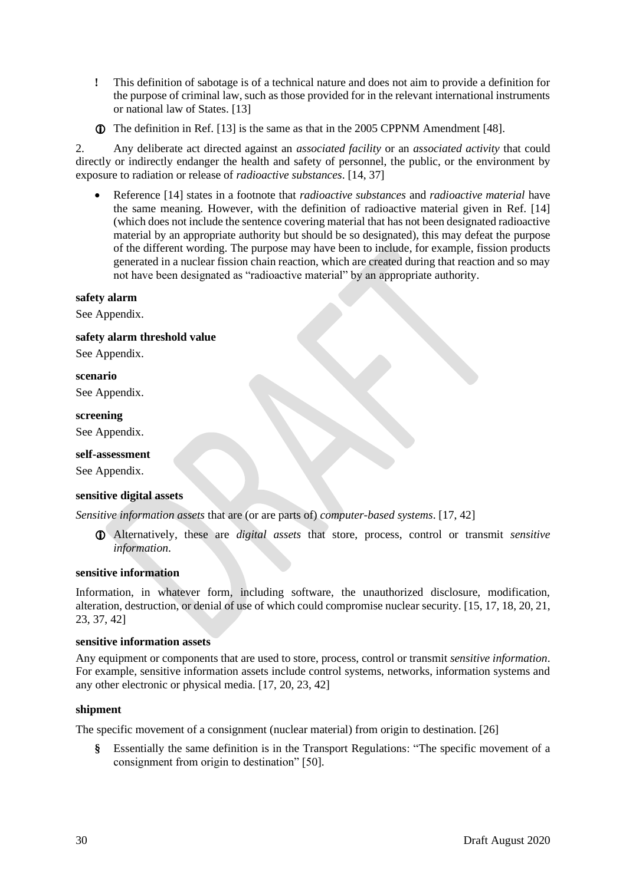- **!** This definition of sabotage is of a technical nature and does not aim to provide a definition for the purpose of criminal law, such as those provided for in the relevant international instruments or national law of States. [13]
- The definition in Ref. [13] is the same as that in the 2005 CPPNM Amendment [48].

2. Any deliberate act directed against an *associated facility* or an *associated activity* that could directly or indirectly endanger the health and safety of personnel, the public, or the environment by exposure to radiation or release of *radioactive substances*. [14, 37]

• Reference [14] states in a footnote that *radioactive substances* and *radioactive material* have the same meaning. However, with the definition of radioactive material given in Ref. [14] (which does not include the sentence covering material that has not been designated radioactive material by an appropriate authority but should be so designated), this may defeat the purpose of the different wording. The purpose may have been to include, for example, fission products generated in a nuclear fission chain reaction, which are created during that reaction and so may not have been designated as "radioactive material" by an appropriate authority.

## **safety alarm**

See Appendix.

## **safety alarm threshold value**

See Appendix.

#### **scenario**

See Appendix.

#### **screening**

See Appendix.

#### **self-assessment**

See Appendix.

#### **sensitive digital assets**

*Sensitive information assets* that are (or are parts of) *computer-based systems*. [17, 42]

 Alternatively, these are *digital assets* that store, process, control or transmit *sensitive information*.

## **sensitive information**

Information, in whatever form, including software, the unauthorized disclosure, modification, alteration, destruction, or denial of use of which could compromise nuclear security. [15, 17, 18, 20, 21, 23, 37, 42]

## **sensitive information assets**

Any equipment or components that are used to store, process, control or transmit *sensitive information*. For example, sensitive information assets include control systems, networks, information systems and any other electronic or physical media. [17, 20, 23, 42]

#### **shipment**

The specific movement of a consignment (nuclear material) from origin to destination. [26]

**§** Essentially the same definition is in the Transport Regulations: "The specific movement of a consignment from origin to destination" [50].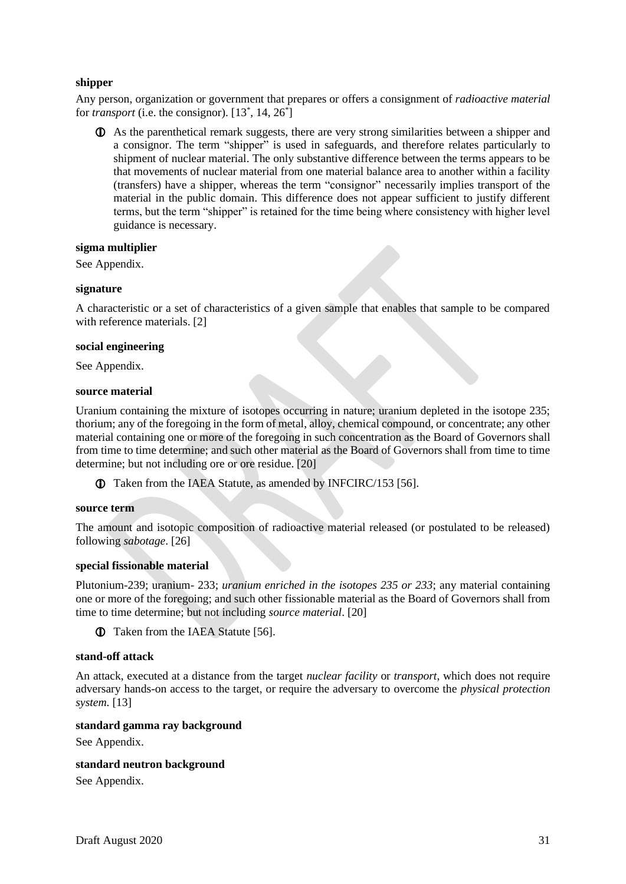# **shipper**

Any person, organization or government that prepares or offers a consignment of *radioactive material*  for *transport* (i.e. the consignor).  $[13^*, 14, 26^*]$ 

 As the parenthetical remark suggests, there are very strong similarities between a shipper and a consignor. The term "shipper" is used in safeguards, and therefore relates particularly to shipment of nuclear material. The only substantive difference between the terms appears to be that movements of nuclear material from one material balance area to another within a facility (transfers) have a shipper, whereas the term "consignor" necessarily implies transport of the material in the public domain. This difference does not appear sufficient to justify different terms, but the term "shipper" is retained for the time being where consistency with higher level guidance is necessary.

## **sigma multiplier**

See Appendix.

## **signature**

A characteristic or a set of characteristics of a given sample that enables that sample to be compared with reference materials. [2]

## **social engineering**

See Appendix.

## **source material**

Uranium containing the mixture of isotopes occurring in nature; uranium depleted in the isotope 235; thorium; any of the foregoing in the form of metal, alloy, chemical compound, or concentrate; any other material containing one or more of the foregoing in such concentration as the Board of Governors shall from time to time determine; and such other material as the Board of Governors shall from time to time determine; but not including ore or ore residue. [20]

Taken from the IAEA Statute, as amended by INFCIRC/153 [56].

#### **source term**

The amount and isotopic composition of radioactive material released (or postulated to be released) following *sabotage*. [26]

#### **special fissionable material**

Plutonium-239; uranium- 233; *uranium enriched in the isotopes 235 or 233*; any material containing one or more of the foregoing; and such other fissionable material as the Board of Governors shall from time to time determine; but not including *source material*. [20]

Taken from the IAEA Statute [56].

## **stand-off attack**

An attack, executed at a distance from the target *nuclear facility* or *transport*, which does not require adversary hands-on access to the target, or require the adversary to overcome the *physical protection system*. [13]

#### **standard gamma ray background**

See Appendix.

#### **standard neutron background**

See Appendix.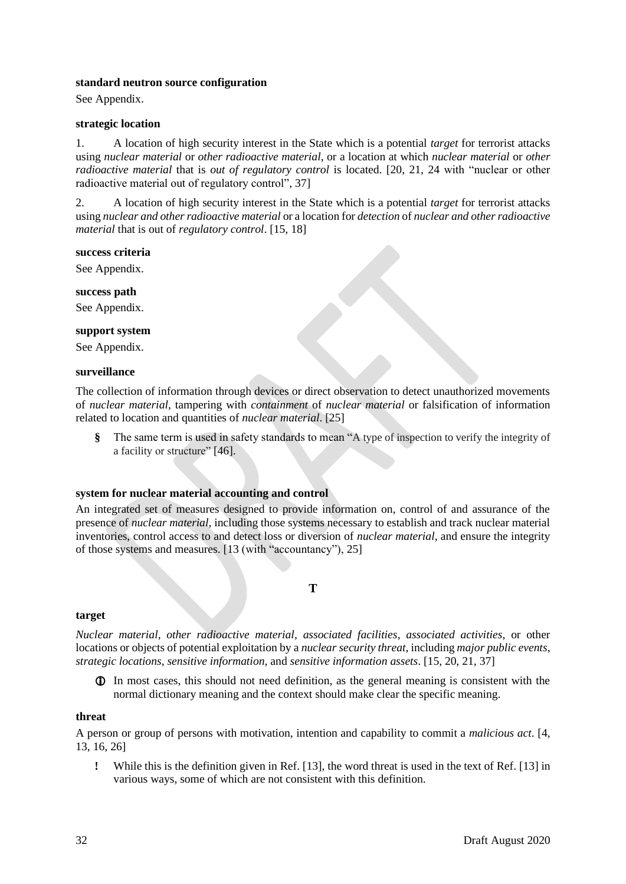## **standard neutron source configuration**

See Appendix.

## **strategic location**

1. A location of high security interest in the State which is a potential *target* for terrorist attacks using *nuclear material* or *other radioactive material*, or a location at which *nuclear material* or *other radioactive material* that is *out of regulatory control* is located. [20, 21, 24 with "nuclear or other radioactive material out of regulatory control", 37]

2. A location of high security interest in the State which is a potential *target* for terrorist attacks using *nuclear and other radioactive material* or a location for *detection* of *nuclear and other radioactive material* that is out of *regulatory control*. [15, 18]

#### **success criteria**

See Appendix.

**success path**

See Appendix.

## **support system**

See Appendix.

#### **surveillance**

The collection of information through devices or direct observation to detect unauthorized movements of *nuclear material*, tampering with *containment* of *nuclear material* or falsification of information related to location and quantities of *nuclear material*. [25]

**§** The same term is used in safety standards to mean "A type of inspection to verify the integrity of a facility or structure" [46].

## **system for nuclear material accounting and control**

An integrated set of measures designed to provide information on, control of and assurance of the presence of *nuclear material*, including those systems necessary to establish and track nuclear material inventories, control access to and detect loss or diversion of *nuclear material*, and ensure the integrity of those systems and measures. [13 (with "accountancy"), 25]

**T**

## <span id="page-33-0"></span>**target**

*Nuclear material*, *other radioactive material*, *associated facilities*, *associated activities*, or other locations or objects of potential exploitation by a *nuclear security threat*, including *major public events*, *strategic locations*, *sensitive information*, and *sensitive information assets*. [15, 20, 21, 37]

 In most cases, this should not need definition, as the general meaning is consistent with the normal dictionary meaning and the context should make clear the specific meaning.

## **threat**

A person or group of persons with motivation, intention and capability to commit a *malicious act*. [4, 13, 16, 26]

**!** While this is the definition given in Ref. [13], the word threat is used in the text of Ref. [13] in various ways, some of which are not consistent with this definition.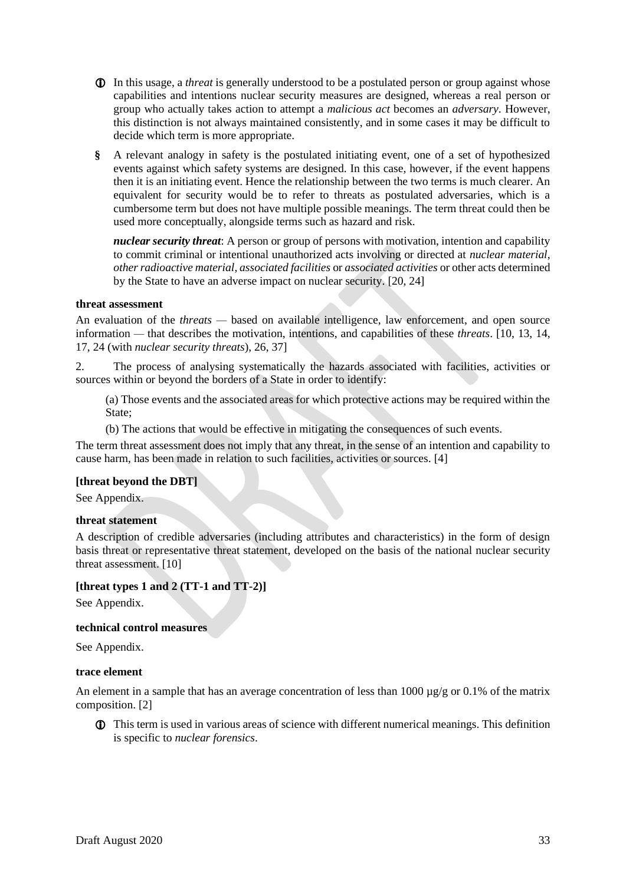- In this usage, a *threat* is generally understood to be a postulated person or group against whose capabilities and intentions nuclear security measures are designed, whereas a real person or group who actually takes action to attempt a *malicious act* becomes an *adversary*. However, this distinction is not always maintained consistently, and in some cases it may be difficult to decide which term is more appropriate.
- **§** A relevant analogy in safety is the postulated initiating event, one of a set of hypothesized events against which safety systems are designed. In this case, however, if the event happens then it is an initiating event. Hence the relationship between the two terms is much clearer. An equivalent for security would be to refer to threats as postulated adversaries, which is a cumbersome term but does not have multiple possible meanings. The term threat could then be used more conceptually, alongside terms such as hazard and risk.

*nuclear security threat*: A person or group of persons with motivation, intention and capability to commit criminal or intentional unauthorized acts involving or directed at *nuclear material*, *other radioactive material*, *associated facilities* or *associated activities* or other acts determined by the State to have an adverse impact on nuclear security. [20, 24]

## **threat assessment**

An evaluation of the *threats —* based on available intelligence, law enforcement, and open source information *—* that describes the motivation, intentions, and capabilities of these *threats*. [10, 13, 14, 17, 24 (with *nuclear security threats*), 26, 37]

2. The process of analysing systematically the hazards associated with facilities, activities or sources within or beyond the borders of a State in order to identify:

(a) Those events and the associated areas for which protective actions may be required within the State;

(b) The actions that would be effective in mitigating the consequences of such events.

The term threat assessment does not imply that any threat, in the sense of an intention and capability to cause harm, has been made in relation to such facilities, activities or sources. [4]

## **[threat beyond the DBT]**

See Appendix.

## **threat statement**

A description of credible adversaries (including attributes and characteristics) in the form of design basis threat or representative threat statement, developed on the basis of the national nuclear security threat assessment. [10]

## **[threat types 1 and 2 (TT-1 and TT-2)]**

See Appendix.

#### **technical control measures**

See Appendix.

#### **trace element**

An element in a sample that has an average concentration of less than  $1000 \mu\text{g/g}$  or 0.1% of the matrix composition. [2]

 This term is used in various areas of science with different numerical meanings. This definition is specific to *nuclear forensics*.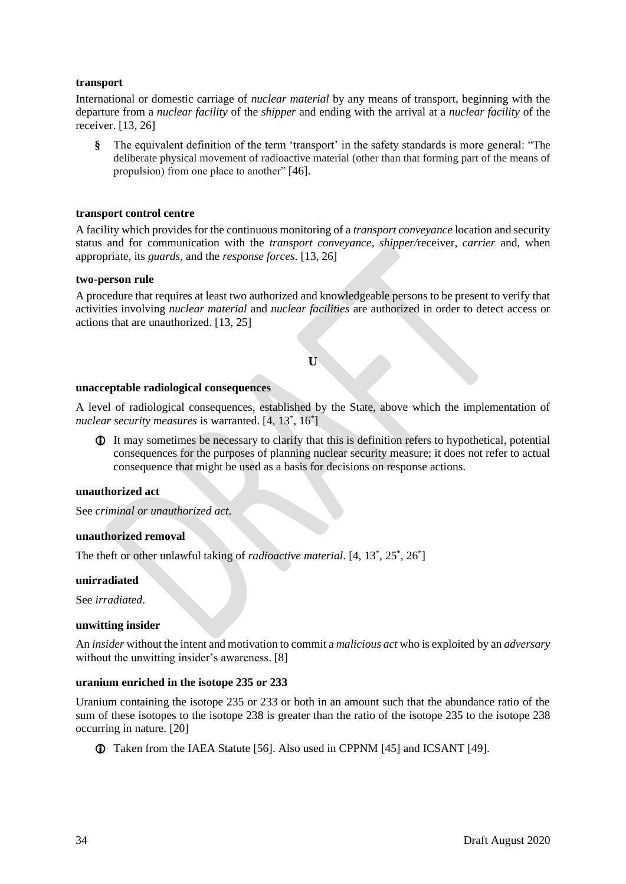## **transport**

International or domestic carriage of *nuclear material* by any means of transport, beginning with the departure from a *nuclear facility* of the *shipper* and ending with the arrival at a *nuclear facility* of the receiver. [13, 26]

**§** The equivalent definition of the term 'transport' in the safety standards is more general: "The deliberate physical movement of radioactive material (other than that forming part of the means of propulsion) from one place to another" [46].

## **transport control centre**

A facility which provides for the continuous monitoring of a *transport conveyance* location and security status and for communication with the *transport conveyance*, *shipper/*receiver, *carrier* and, when appropriate, its *guards,* and the *response forces*. [13, 26]

#### **two-person rule**

<span id="page-35-0"></span>A procedure that requires at least two authorized and knowledgeable persons to be present to verify that activities involving *nuclear material* and *nuclear facilities* are authorized in order to detect access or actions that are unauthorized. [13, 25]

#### **U**

#### **unacceptable radiological consequences**

A level of radiological consequences, established by the State, above which the implementation of nuclear security measures is warranted. [4, 13<sup>\*</sup>, 16<sup>\*</sup>]

 It may sometimes be necessary to clarify that this is definition refers to hypothetical, potential consequences for the purposes of planning nuclear security measure; it does not refer to actual consequence that might be used as a basis for decisions on response actions.

#### **unauthorized act**

See *criminal or unauthorized act*.

## **unauthorized removal**

The theft or other unlawful taking of *radioactive material*.  $[4, 13^*, 25^*, 26^*]$ 

#### **unirradiated**

See *irradiated*.

## **unwitting insider**

An *insider* without the intent and motivation to commit a *malicious act* who is exploited by an *adversary* without the unwitting insider's awareness. [8]

## **uranium enriched in the isotope 235 or 233**

Uranium containing the isotope 235 or 233 or both in an amount such that the abundance ratio of the sum of these isotopes to the isotope 238 is greater than the ratio of the isotope 235 to the isotope 238 occurring in nature. [20]

Taken from the IAEA Statute [56]. Also used in CPPNM [45] and ICSANT [49].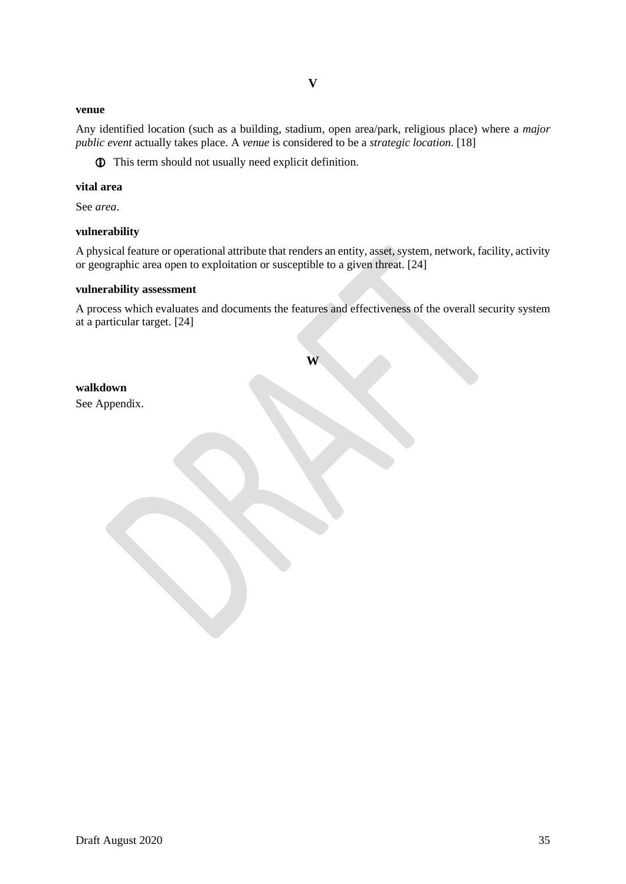## <span id="page-36-0"></span>**venue**

Any identified location (such as a building, stadium, open area/park, religious place) where a *major public event* actually takes place. A *venue* is considered to be a *strategic location*. [18]

This term should not usually need explicit definition.

#### **vital area**

See *area*.

## **vulnerability**

A physical feature or operational attribute that renders an entity, asset, system, network, facility, activity or geographic area open to exploitation or susceptible to a given threat. [24]

## **vulnerability assessment**

<span id="page-36-1"></span>A process which evaluates and documents the features and effectiveness of the overall security system at a particular target. [24]

# **walkdown**

See Appendix.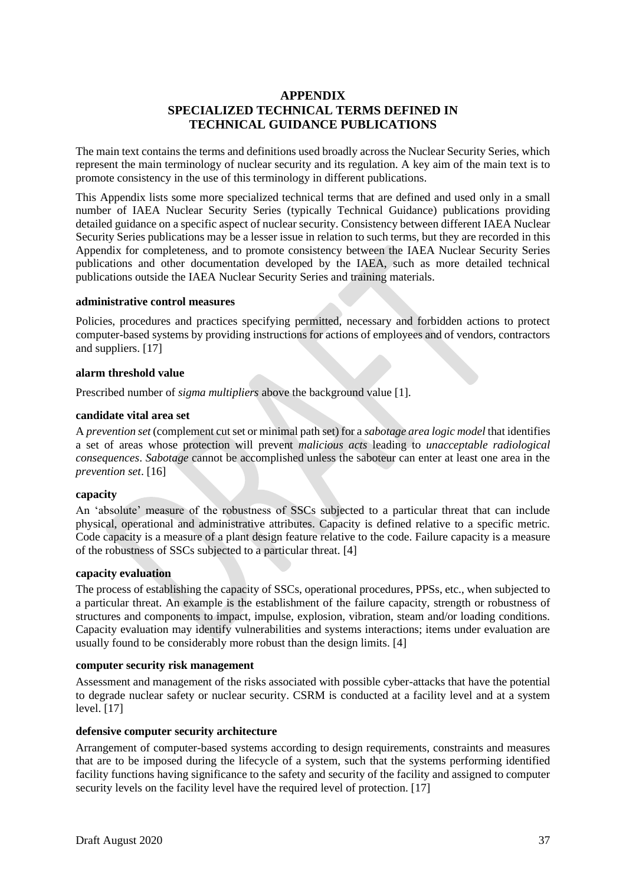# **APPENDIX SPECIALIZED TECHNICAL TERMS DEFINED IN TECHNICAL GUIDANCE PUBLICATIONS**

<span id="page-38-0"></span>The main text contains the terms and definitions used broadly across the Nuclear Security Series, which represent the main terminology of nuclear security and its regulation. A key aim of the main text is to promote consistency in the use of this terminology in different publications.

This Appendix lists some more specialized technical terms that are defined and used only in a small number of IAEA Nuclear Security Series (typically Technical Guidance) publications providing detailed guidance on a specific aspect of nuclear security. Consistency between different IAEA Nuclear Security Series publications may be a lesser issue in relation to such terms, but they are recorded in this Appendix for completeness, and to promote consistency between the IAEA Nuclear Security Series publications and other documentation developed by the IAEA, such as more detailed technical publications outside the IAEA Nuclear Security Series and training materials.

## **administrative control measures**

Policies, procedures and practices specifying permitted, necessary and forbidden actions to protect computer-based systems by providing instructions for actions of employees and of vendors, contractors and suppliers. [17]

## **alarm threshold value**

Prescribed number of *sigma multipliers* above the background value [1].

## **candidate vital area set**

A *prevention set* (complement cut set or minimal path set) for a *sabotage area logic model* that identifies a set of areas whose protection will prevent *malicious acts* leading to *unacceptable radiological consequences*. *Sabotage* cannot be accomplished unless the saboteur can enter at least one area in the *prevention set*. [16]

#### **capacity**

An 'absolute' measure of the robustness of SSCs subjected to a particular threat that can include physical, operational and administrative attributes. Capacity is defined relative to a specific metric. Code capacity is a measure of a plant design feature relative to the code. Failure capacity is a measure of the robustness of SSCs subjected to a particular threat. [4]

#### **capacity evaluation**

The process of establishing the capacity of SSCs, operational procedures, PPSs, etc., when subjected to a particular threat. An example is the establishment of the failure capacity, strength or robustness of structures and components to impact, impulse, explosion, vibration, steam and/or loading conditions. Capacity evaluation may identify vulnerabilities and systems interactions; items under evaluation are usually found to be considerably more robust than the design limits. [4]

#### **computer security risk management**

Assessment and management of the risks associated with possible cyber-attacks that have the potential to degrade nuclear safety or nuclear security. CSRM is conducted at a facility level and at a system level. [17]

## **defensive computer security architecture**

Arrangement of computer-based systems according to design requirements, constraints and measures that are to be imposed during the lifecycle of a system, such that the systems performing identified facility functions having significance to the safety and security of the facility and assigned to computer security levels on the facility level have the required level of protection. [17]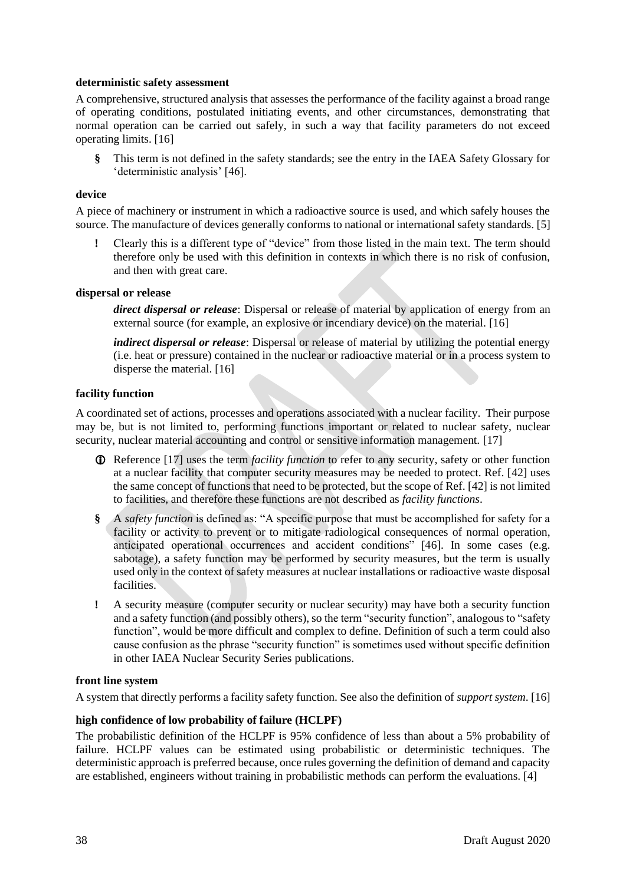## **deterministic safety assessment**

A comprehensive, structured analysis that assesses the performance of the facility against a broad range of operating conditions, postulated initiating events, and other circumstances, demonstrating that normal operation can be carried out safely, in such a way that facility parameters do not exceed operating limits. [16]

**§** This term is not defined in the safety standards; see the entry in the IAEA Safety Glossary for 'deterministic analysis' [46].

## **device**

A piece of machinery or instrument in which a radioactive source is used, and which safely houses the source. The manufacture of devices generally conforms to national or international safety standards. [5]

**!** Clearly this is a different type of "device" from those listed in the main text. The term should therefore only be used with this definition in contexts in which there is no risk of confusion, and then with great care.

## **dispersal or release**

*direct dispersal or release*: Dispersal or release of material by application of energy from an external source (for example, an explosive or incendiary device) on the material. [16]

*indirect dispersal or release*: Dispersal or release of material by utilizing the potential energy (i.e. heat or pressure) contained in the nuclear or radioactive material or in a process system to disperse the material. [16]

## **facility function**

A coordinated set of actions, processes and operations associated with a nuclear facility. Their purpose may be, but is not limited to, performing functions important or related to nuclear safety, nuclear security, nuclear material accounting and control or sensitive information management. [17]

- Reference [17] uses the term *facility function* to refer to any security, safety or other function at a nuclear facility that computer security measures may be needed to protect. Ref. [42] uses the same concept of functions that need to be protected, but the scope of Ref. [42] is not limited to facilities, and therefore these functions are not described as *facility functions*.
- **§** A *safety function* is defined as: "A specific purpose that must be accomplished for safety for a facility or activity to prevent or to mitigate radiological consequences of normal operation, anticipated operational occurrences and accident conditions" [46]. In some cases (e.g. sabotage), a safety function may be performed by security measures, but the term is usually used only in the context of safety measures at nuclear installations or radioactive waste disposal facilities.
- **!** A security measure (computer security or nuclear security) may have both a security function and a safety function (and possibly others), so the term "security function", analogous to "safety function", would be more difficult and complex to define. Definition of such a term could also cause confusion as the phrase "security function" is sometimes used without specific definition in other IAEA Nuclear Security Series publications.

#### **front line system**

A system that directly performs a facility safety function. See also the definition of *support system*. [16]

## **high confidence of low probability of failure (HCLPF)**

The probabilistic definition of the HCLPF is 95% confidence of less than about a 5% probability of failure. HCLPF values can be estimated using probabilistic or deterministic techniques. The deterministic approach is preferred because, once rules governing the definition of demand and capacity are established, engineers without training in probabilistic methods can perform the evaluations. [4]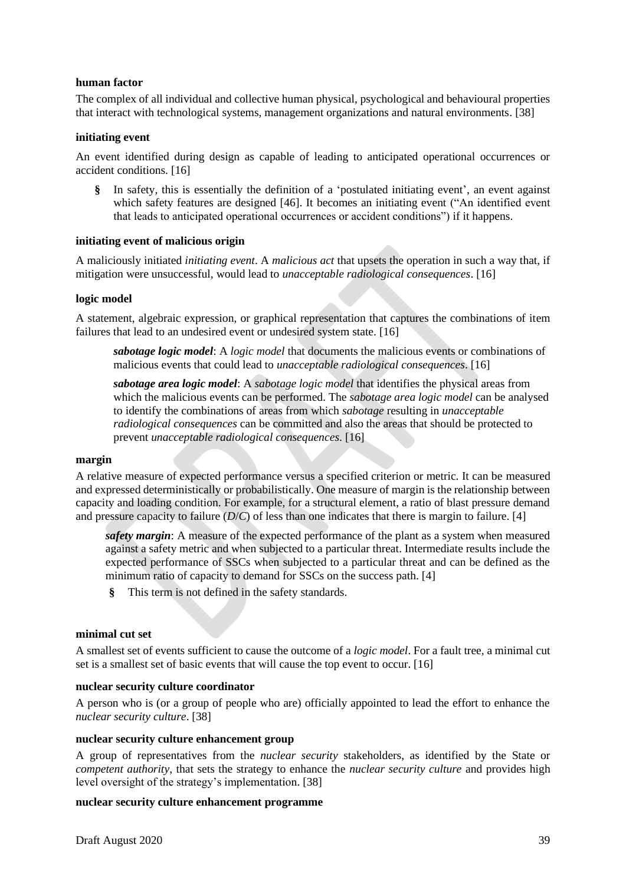## **human factor**

The complex of all individual and collective human physical, psychological and behavioural properties that interact with technological systems, management organizations and natural environments. [38]

## **initiating event**

An event identified during design as capable of leading to anticipated operational occurrences or accident conditions. [16]

**§** In safety, this is essentially the definition of a 'postulated initiating event', an event against which safety features are designed [46]. It becomes an initiating event ("An identified event that leads to anticipated operational occurrences or accident conditions") if it happens.

## **initiating event of malicious origin**

A maliciously initiated *initiating event*. A *malicious act* that upsets the operation in such a way that, if mitigation were unsuccessful, would lead to *unacceptable radiological consequences*. [16]

#### **logic model**

A statement, algebraic expression, or graphical representation that captures the combinations of item failures that lead to an undesired event or undesired system state. [16]

*sabotage logic model*: A *logic model* that documents the malicious events or combinations of malicious events that could lead to *unacceptable radiological consequences*. [16]

*sabotage area logic model*: A *sabotage logic model* that identifies the physical areas from which the malicious events can be performed. The *sabotage area logic model* can be analysed to identify the combinations of areas from which *sabotage* resulting in *unacceptable radiological consequences* can be committed and also the areas that should be protected to prevent *unacceptable radiological consequences*. [16]

## **margin**

A relative measure of expected performance versus a specified criterion or metric. It can be measured and expressed deterministically or probabilistically. One measure of margin is the relationship between capacity and loading condition. For example, for a structural element, a ratio of blast pressure demand and pressure capacity to failure (*D*/*C*) of less than one indicates that there is margin to failure. [4]

*safety margin*: A measure of the expected performance of the plant as a system when measured against a safety metric and when subjected to a particular threat. Intermediate results include the expected performance of SSCs when subjected to a particular threat and can be defined as the minimum ratio of capacity to demand for SSCs on the success path. [4]

**§** This term is not defined in the safety standards.

## **minimal cut set**

A smallest set of events sufficient to cause the outcome of a *logic model*. For a fault tree, a minimal cut set is a smallest set of basic events that will cause the top event to occur. [16]

## **nuclear security culture coordinator**

A person who is (or a group of people who are) officially appointed to lead the effort to enhance the *nuclear security culture*. [38]

## **nuclear security culture enhancement group**

A group of representatives from the *nuclear security* stakeholders, as identified by the State or *competent authority*, that sets the strategy to enhance the *nuclear security culture* and provides high level oversight of the strategy's implementation. [38]

## **nuclear security culture enhancement programme**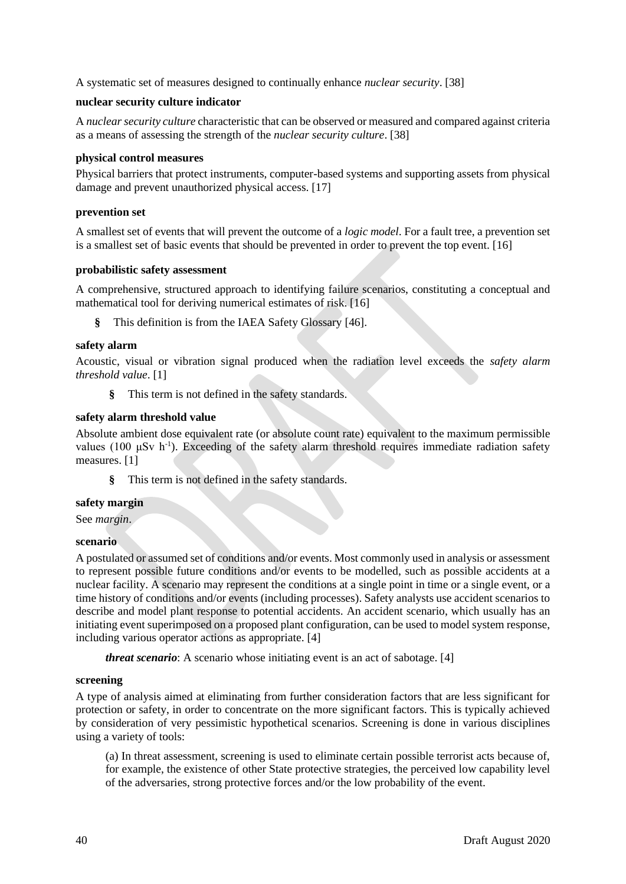A systematic set of measures designed to continually enhance *nuclear security*. [38]

## **nuclear security culture indicator**

A *nuclear security culture* characteristic that can be observed or measured and compared against criteria as a means of assessing the strength of the *nuclear security culture*. [38]

## **physical control measures**

Physical barriers that protect instruments, computer-based systems and supporting assets from physical damage and prevent unauthorized physical access. [17]

## **prevention set**

A smallest set of events that will prevent the outcome of a *logic model*. For a fault tree, a prevention set is a smallest set of basic events that should be prevented in order to prevent the top event. [16]

## **probabilistic safety assessment**

A comprehensive, structured approach to identifying failure scenarios, constituting a conceptual and mathematical tool for deriving numerical estimates of risk. [16]

**§** This definition is from the IAEA Safety Glossary [46].

## **safety alarm**

Acoustic, visual or vibration signal produced when the radiation level exceeds the *safety alarm threshold value*. [1]

**§** This term is not defined in the safety standards.

## **safety alarm threshold value**

Absolute ambient dose equivalent rate (or absolute count rate) equivalent to the maximum permissible values (100 μSv h<sup>-1</sup>). Exceeding of the safety alarm threshold requires immediate radiation safety measures. [1]

**§** This term is not defined in the safety standards.

## **safety margin**

See *margin*.

## **scenario**

A postulated or assumed set of conditions and/or events. Most commonly used in analysis or assessment to represent possible future conditions and/or events to be modelled, such as possible accidents at a nuclear facility. A scenario may represent the conditions at a single point in time or a single event, or a time history of conditions and/or events (including processes). Safety analysts use accident scenarios to describe and model plant response to potential accidents. An accident scenario, which usually has an initiating event superimposed on a proposed plant configuration, can be used to model system response, including various operator actions as appropriate. [4]

*threat scenario*: A scenario whose initiating event is an act of sabotage. [4]

#### **screening**

A type of analysis aimed at eliminating from further consideration factors that are less significant for protection or safety, in order to concentrate on the more significant factors. This is typically achieved by consideration of very pessimistic hypothetical scenarios. Screening is done in various disciplines using a variety of tools:

(a) In threat assessment, screening is used to eliminate certain possible terrorist acts because of, for example, the existence of other State protective strategies, the perceived low capability level of the adversaries, strong protective forces and/or the low probability of the event.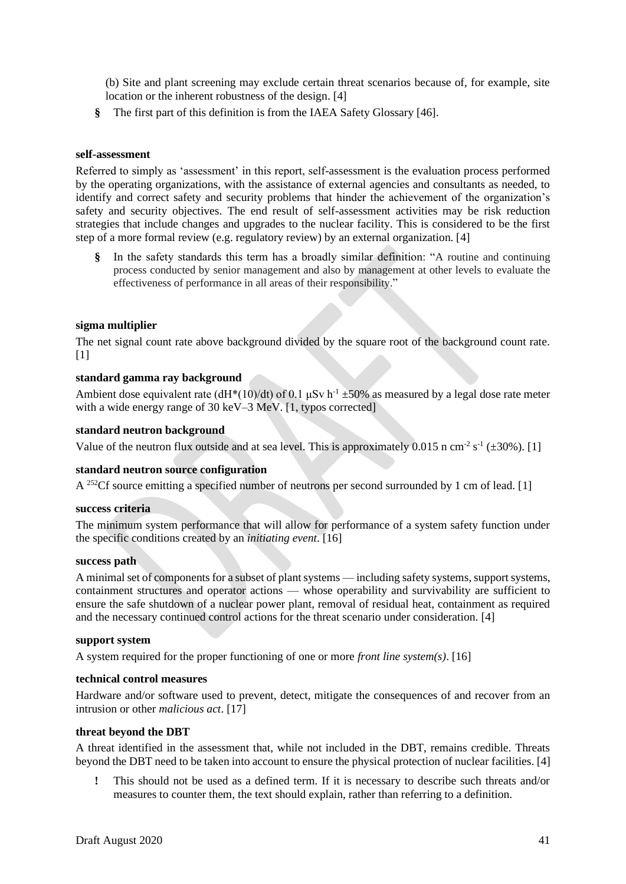(b) Site and plant screening may exclude certain threat scenarios because of, for example, site location or the inherent robustness of the design. [4]

**§** The first part of this definition is from the IAEA Safety Glossary [46].

## **self-assessment**

Referred to simply as 'assessment' in this report, self-assessment is the evaluation process performed by the operating organizations, with the assistance of external agencies and consultants as needed, to identify and correct safety and security problems that hinder the achievement of the organization's safety and security objectives. The end result of self-assessment activities may be risk reduction strategies that include changes and upgrades to the nuclear facility. This is considered to be the first step of a more formal review (e.g. regulatory review) by an external organization. [4]

**§** In the safety standards this term has a broadly similar definition: "A routine and continuing process conducted by senior management and also by management at other levels to evaluate the effectiveness of performance in all areas of their responsibility."

## **sigma multiplier**

The net signal count rate above background divided by the square root of the background count rate.  $[1]$ 

#### **standard gamma ray background**

Ambient dose equivalent rate (dH\*(10)/dt) of 0.1  $\mu$ Sv h<sup>-1</sup>  $\pm$ 50% as measured by a legal dose rate meter with a wide energy range of 30 keV–3 MeV. [1, typos corrected]

#### **standard neutron background**

Value of the neutron flux outside and at sea level. This is approximately 0.015 n cm<sup>-2</sup> s<sup>-1</sup> ( $\pm$ 30%). [1]

#### **standard neutron source configuration**

A <sup>252</sup>Cf source emitting a specified number of neutrons per second surrounded by 1 cm of lead. [1]

#### **success criteria**

The minimum system performance that will allow for performance of a system safety function under the specific conditions created by an *initiating event*. [16]

#### **success path**

A minimal set of components for a subset of plant systems — including safety systems, support systems, containment structures and operator actions — whose operability and survivability are sufficient to ensure the safe shutdown of a nuclear power plant, removal of residual heat, containment as required and the necessary continued control actions for the threat scenario under consideration. [4]

#### **support system**

A system required for the proper functioning of one or more *front line system(s)*. [16]

#### **technical control measures**

Hardware and/or software used to prevent, detect, mitigate the consequences of and recover from an intrusion or other *malicious act*. [17]

#### **threat beyond the DBT**

A threat identified in the assessment that, while not included in the DBT, remains credible. Threats beyond the DBT need to be taken into account to ensure the physical protection of nuclear facilities. [4]

**!** This should not be used as a defined term. If it is necessary to describe such threats and/or measures to counter them, the text should explain, rather than referring to a definition.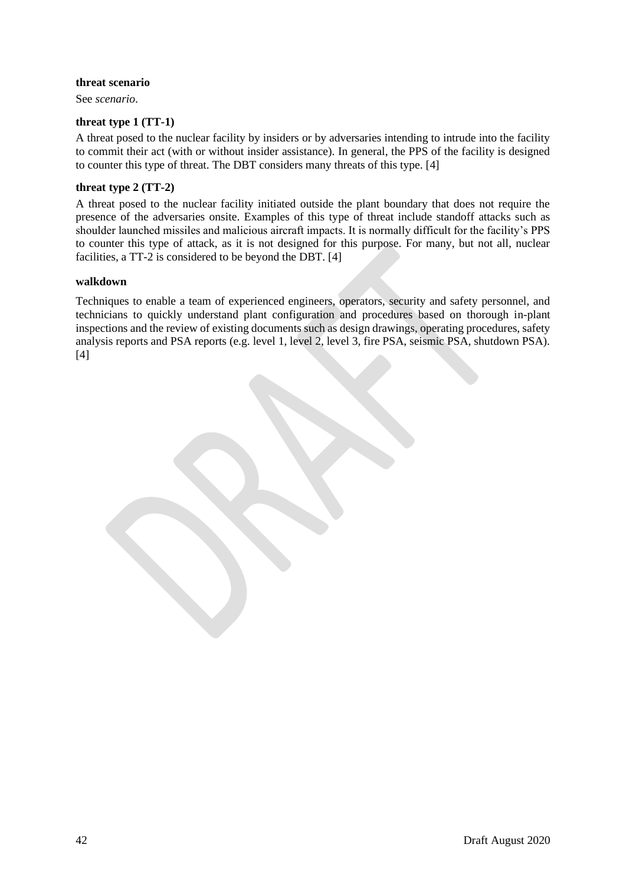## **threat scenario**

See *scenario*.

## **threat type 1 (TT-1)**

A threat posed to the nuclear facility by insiders or by adversaries intending to intrude into the facility to commit their act (with or without insider assistance). In general, the PPS of the facility is designed to counter this type of threat. The DBT considers many threats of this type. [4]

## **threat type 2 (TT-2)**

A threat posed to the nuclear facility initiated outside the plant boundary that does not require the presence of the adversaries onsite. Examples of this type of threat include standoff attacks such as shoulder launched missiles and malicious aircraft impacts. It is normally difficult for the facility's PPS to counter this type of attack, as it is not designed for this purpose. For many, but not all, nuclear facilities, a TT-2 is considered to be beyond the DBT. [4]

#### **walkdown**

Techniques to enable a team of experienced engineers, operators, security and safety personnel, and technicians to quickly understand plant configuration and procedures based on thorough in-plant inspections and the review of existing documents such as design drawings, operating procedures, safety analysis reports and PSA reports (e.g. level 1, level 2, level 3, fire PSA, seismic PSA, shutdown PSA). [4]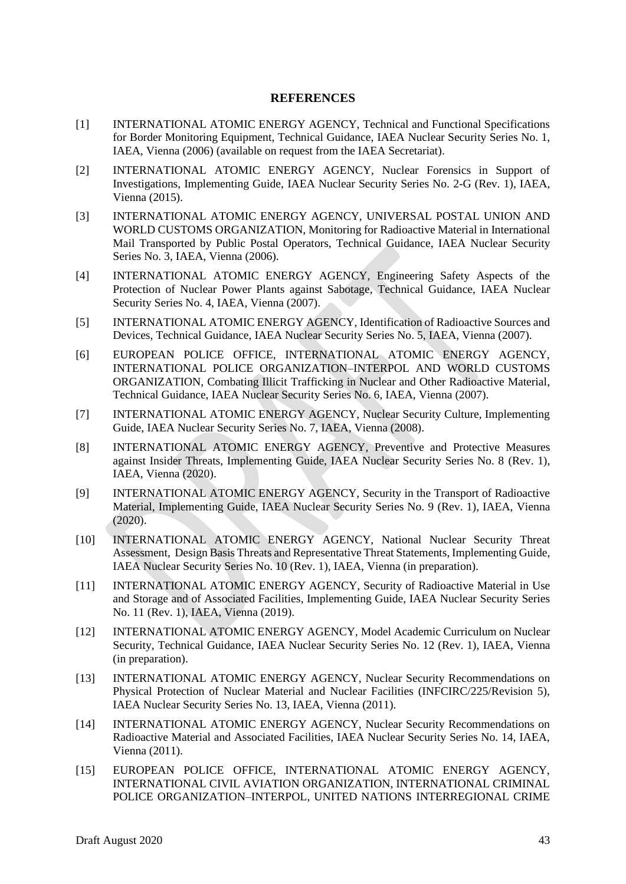# **REFERENCES**

- <span id="page-44-0"></span>[1] INTERNATIONAL ATOMIC ENERGY AGENCY, Technical and Functional Specifications for Border Monitoring Equipment, Technical Guidance, IAEA Nuclear Security Series No. 1, IAEA, Vienna (2006) (available on request from the IAEA Secretariat).
- [2] INTERNATIONAL ATOMIC ENERGY AGENCY, Nuclear Forensics in Support of Investigations, Implementing Guide, IAEA Nuclear Security Series No. 2-G (Rev. 1), IAEA, Vienna (2015).
- [3] INTERNATIONAL ATOMIC ENERGY AGENCY, UNIVERSAL POSTAL UNION AND WORLD CUSTOMS ORGANIZATION, Monitoring for Radioactive Material in International Mail Transported by Public Postal Operators, Technical Guidance, IAEA Nuclear Security Series No. 3, IAEA, Vienna (2006).
- [4] INTERNATIONAL ATOMIC ENERGY AGENCY, Engineering Safety Aspects of the Protection of Nuclear Power Plants against Sabotage, Technical Guidance, IAEA Nuclear Security Series No. 4, IAEA, Vienna (2007).
- [5] INTERNATIONAL ATOMIC ENERGY AGENCY, Identification of Radioactive Sources and Devices, Technical Guidance, IAEA Nuclear Security Series No. 5, IAEA, Vienna (2007).
- [6] EUROPEAN POLICE OFFICE, INTERNATIONAL ATOMIC ENERGY AGENCY, INTERNATIONAL POLICE ORGANIZATION–INTERPOL AND WORLD CUSTOMS ORGANIZATION, Combating Illicit Trafficking in Nuclear and Other Radioactive Material, Technical Guidance, IAEA Nuclear Security Series No. 6, IAEA, Vienna (2007).
- [7] INTERNATIONAL ATOMIC ENERGY AGENCY, Nuclear Security Culture, Implementing Guide, IAEA Nuclear Security Series No. 7, IAEA, Vienna (2008).
- [8] INTERNATIONAL ATOMIC ENERGY AGENCY, Preventive and Protective Measures against Insider Threats, Implementing Guide, IAEA Nuclear Security Series No. 8 (Rev. 1), IAEA, Vienna (2020).
- [9] INTERNATIONAL ATOMIC ENERGY AGENCY, Security in the Transport of Radioactive Material, Implementing Guide, IAEA Nuclear Security Series No. 9 (Rev. 1), IAEA, Vienna (2020).
- [10] INTERNATIONAL ATOMIC ENERGY AGENCY, National Nuclear Security Threat Assessment, Design Basis Threats and Representative Threat Statements, Implementing Guide, IAEA Nuclear Security Series No. 10 (Rev. 1), IAEA, Vienna (in preparation).
- [11] INTERNATIONAL ATOMIC ENERGY AGENCY, Security of Radioactive Material in Use and Storage and of Associated Facilities, Implementing Guide, IAEA Nuclear Security Series No. 11 (Rev. 1), IAEA, Vienna (2019).
- [12] INTERNATIONAL ATOMIC ENERGY AGENCY, Model Academic Curriculum on Nuclear Security, Technical Guidance, IAEA Nuclear Security Series No. 12 (Rev. 1), IAEA, Vienna (in preparation).
- [13] INTERNATIONAL ATOMIC ENERGY AGENCY, Nuclear Security Recommendations on Physical Protection of Nuclear Material and Nuclear Facilities (INFCIRC/225/Revision 5), IAEA Nuclear Security Series No. 13, IAEA, Vienna (2011).
- [14] INTERNATIONAL ATOMIC ENERGY AGENCY, Nuclear Security Recommendations on Radioactive Material and Associated Facilities, IAEA Nuclear Security Series No. 14, IAEA, Vienna (2011).
- [15] EUROPEAN POLICE OFFICE, INTERNATIONAL ATOMIC ENERGY AGENCY, INTERNATIONAL CIVIL AVIATION ORGANIZATION, INTERNATIONAL CRIMINAL POLICE ORGANIZATION–INTERPOL, UNITED NATIONS INTERREGIONAL CRIME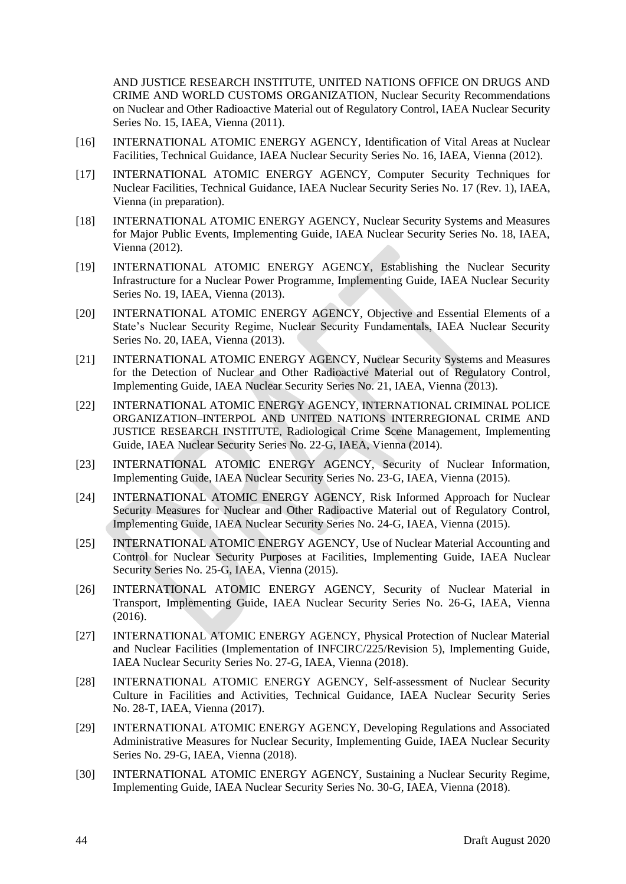AND JUSTICE RESEARCH INSTITUTE, UNITED NATIONS OFFICE ON DRUGS AND CRIME AND WORLD CUSTOMS ORGANIZATION, Nuclear Security Recommendations on Nuclear and Other Radioactive Material out of Regulatory Control, IAEA Nuclear Security Series No. 15, IAEA, Vienna (2011).

- [16] INTERNATIONAL ATOMIC ENERGY AGENCY, Identification of Vital Areas at Nuclear Facilities, Technical Guidance, IAEA Nuclear Security Series No. 16, IAEA, Vienna (2012).
- [17] INTERNATIONAL ATOMIC ENERGY AGENCY, Computer Security Techniques for Nuclear Facilities, Technical Guidance, IAEA Nuclear Security Series No. 17 (Rev. 1), IAEA, Vienna (in preparation).
- [18] INTERNATIONAL ATOMIC ENERGY AGENCY, Nuclear Security Systems and Measures for Major Public Events, Implementing Guide, IAEA Nuclear Security Series No. 18, IAEA, Vienna (2012).
- [19] INTERNATIONAL ATOMIC ENERGY AGENCY, Establishing the Nuclear Security Infrastructure for a Nuclear Power Programme, Implementing Guide, IAEA Nuclear Security Series No. 19, IAEA, Vienna (2013).
- [20] INTERNATIONAL ATOMIC ENERGY AGENCY, Objective and Essential Elements of a State's Nuclear Security Regime, Nuclear Security Fundamentals, IAEA Nuclear Security Series No. 20, IAEA, Vienna (2013).
- [21] INTERNATIONAL ATOMIC ENERGY AGENCY, Nuclear Security Systems and Measures for the Detection of Nuclear and Other Radioactive Material out of Regulatory Control, Implementing Guide, IAEA Nuclear Security Series No. 21, IAEA, Vienna (2013).
- [22] INTERNATIONAL ATOMIC ENERGY AGENCY, INTERNATIONAL CRIMINAL POLICE ORGANIZATION–INTERPOL AND UNITED NATIONS INTERREGIONAL CRIME AND JUSTICE RESEARCH INSTITUTE, Radiological Crime Scene Management, Implementing Guide, IAEA Nuclear Security Series No. 22-G, IAEA, Vienna (2014).
- [23] INTERNATIONAL ATOMIC ENERGY AGENCY, Security of Nuclear Information, Implementing Guide, IAEA Nuclear Security Series No. 23-G, IAEA, Vienna (2015).
- [24] INTERNATIONAL ATOMIC ENERGY AGENCY, Risk Informed Approach for Nuclear Security Measures for Nuclear and Other Radioactive Material out of Regulatory Control, Implementing Guide, IAEA Nuclear Security Series No. 24-G, IAEA, Vienna (2015).
- [25] INTERNATIONAL ATOMIC ENERGY AGENCY, Use of Nuclear Material Accounting and Control for Nuclear Security Purposes at Facilities, Implementing Guide, IAEA Nuclear Security Series No. 25-G, IAEA, Vienna (2015).
- [26] INTERNATIONAL ATOMIC ENERGY AGENCY, Security of Nuclear Material in Transport, Implementing Guide, IAEA Nuclear Security Series No. 26-G, IAEA, Vienna (2016).
- [27] INTERNATIONAL ATOMIC ENERGY AGENCY, Physical Protection of Nuclear Material and Nuclear Facilities (Implementation of INFCIRC/225/Revision 5), Implementing Guide, IAEA Nuclear Security Series No. 27-G, IAEA, Vienna (2018).
- [28] INTERNATIONAL ATOMIC ENERGY AGENCY, Self-assessment of Nuclear Security Culture in Facilities and Activities, Technical Guidance, IAEA Nuclear Security Series No. 28-T, IAEA, Vienna (2017).
- [29] INTERNATIONAL ATOMIC ENERGY AGENCY, Developing Regulations and Associated Administrative Measures for Nuclear Security, Implementing Guide, IAEA Nuclear Security Series No. 29-G, IAEA, Vienna (2018).
- [30] INTERNATIONAL ATOMIC ENERGY AGENCY, Sustaining a Nuclear Security Regime, Implementing Guide, IAEA Nuclear Security Series No. 30-G, IAEA, Vienna (2018).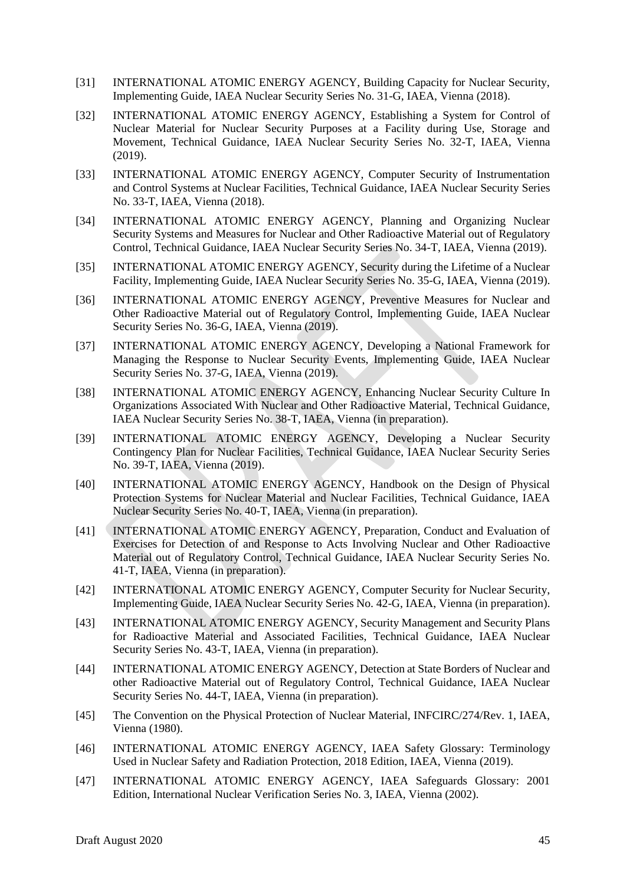- [31] INTERNATIONAL ATOMIC ENERGY AGENCY, Building Capacity for Nuclear Security, Implementing Guide, IAEA Nuclear Security Series No. 31-G, IAEA, Vienna (2018).
- [32] INTERNATIONAL ATOMIC ENERGY AGENCY, Establishing a System for Control of Nuclear Material for Nuclear Security Purposes at a Facility during Use, Storage and Movement, Technical Guidance, IAEA Nuclear Security Series No. 32-T, IAEA, Vienna (2019).
- [33] INTERNATIONAL ATOMIC ENERGY AGENCY, Computer Security of Instrumentation and Control Systems at Nuclear Facilities, Technical Guidance, IAEA Nuclear Security Series No. 33-T, IAEA, Vienna (2018).
- [34] INTERNATIONAL ATOMIC ENERGY AGENCY, Planning and Organizing Nuclear Security Systems and Measures for Nuclear and Other Radioactive Material out of Regulatory Control, Technical Guidance, IAEA Nuclear Security Series No. 34-T, IAEA, Vienna (2019).
- [35] INTERNATIONAL ATOMIC ENERGY AGENCY, Security during the Lifetime of a Nuclear Facility, Implementing Guide, IAEA Nuclear Security Series No. 35-G, IAEA, Vienna (2019).
- [36] INTERNATIONAL ATOMIC ENERGY AGENCY, Preventive Measures for Nuclear and Other Radioactive Material out of Regulatory Control, Implementing Guide, IAEA Nuclear Security Series No. 36-G, IAEA, Vienna (2019).
- [37] INTERNATIONAL ATOMIC ENERGY AGENCY, Developing a National Framework for Managing the Response to Nuclear Security Events, Implementing Guide, IAEA Nuclear Security Series No. 37-G, IAEA, Vienna (2019).
- [38] INTERNATIONAL ATOMIC ENERGY AGENCY, Enhancing Nuclear Security Culture In Organizations Associated With Nuclear and Other Radioactive Material, Technical Guidance, IAEA Nuclear Security Series No. 38-T, IAEA, Vienna (in preparation).
- [39] INTERNATIONAL ATOMIC ENERGY AGENCY, Developing a Nuclear Security Contingency Plan for Nuclear Facilities, Technical Guidance, IAEA Nuclear Security Series No. 39-T, IAEA, Vienna (2019).
- [40] INTERNATIONAL ATOMIC ENERGY AGENCY, Handbook on the Design of Physical Protection Systems for Nuclear Material and Nuclear Facilities, Technical Guidance, IAEA Nuclear Security Series No. 40-T, IAEA, Vienna (in preparation).
- [41] INTERNATIONAL ATOMIC ENERGY AGENCY, Preparation, Conduct and Evaluation of Exercises for Detection of and Response to Acts Involving Nuclear and Other Radioactive Material out of Regulatory Control, Technical Guidance, IAEA Nuclear Security Series No. 41-T, IAEA, Vienna (in preparation).
- [42] INTERNATIONAL ATOMIC ENERGY AGENCY, Computer Security for Nuclear Security, Implementing Guide, IAEA Nuclear Security Series No. 42-G, IAEA, Vienna (in preparation).
- [43] INTERNATIONAL ATOMIC ENERGY AGENCY, Security Management and Security Plans for Radioactive Material and Associated Facilities, Technical Guidance, IAEA Nuclear Security Series No. 43-T, IAEA, Vienna (in preparation).
- [44] INTERNATIONAL ATOMIC ENERGY AGENCY, Detection at State Borders of Nuclear and other Radioactive Material out of Regulatory Control, Technical Guidance, IAEA Nuclear Security Series No. 44-T, IAEA, Vienna (in preparation).
- [45] The Convention on the Physical Protection of Nuclear Material, INFCIRC/274/Rev. 1, IAEA, Vienna (1980).
- [46] INTERNATIONAL ATOMIC ENERGY AGENCY, IAEA Safety Glossary: Terminology Used in Nuclear Safety and Radiation Protection, 2018 Edition, IAEA, Vienna (2019).
- [47] INTERNATIONAL ATOMIC ENERGY AGENCY, IAEA Safeguards Glossary: 2001 Edition, International Nuclear Verification Series No. 3, IAEA, Vienna (2002).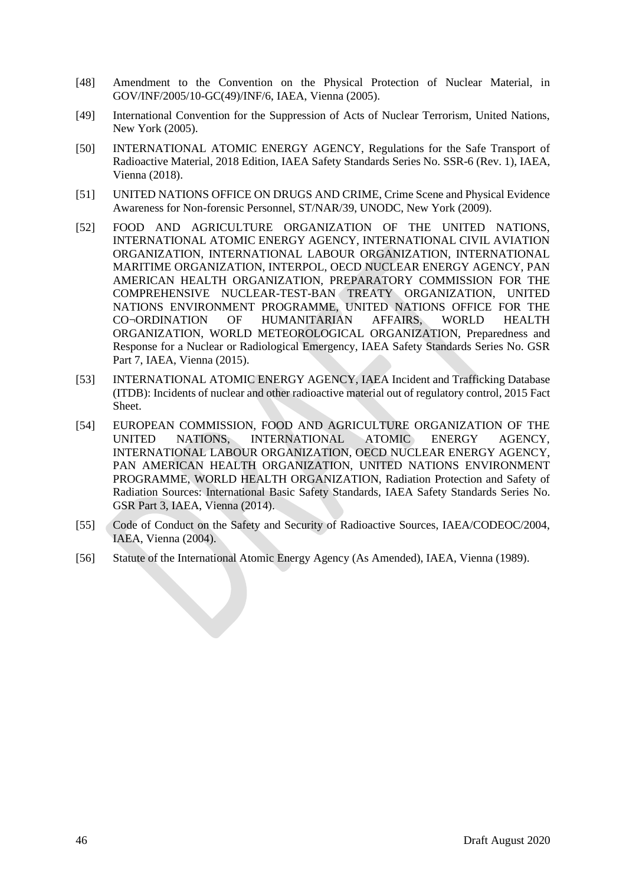- [48] Amendment to the Convention on the Physical Protection of Nuclear Material, in GOV/INF/2005/10-GC(49)/INF/6, IAEA, Vienna (2005).
- [49] International Convention for the Suppression of Acts of Nuclear Terrorism, United Nations, New York (2005).
- [50] INTERNATIONAL ATOMIC ENERGY AGENCY, Regulations for the Safe Transport of Radioactive Material, 2018 Edition, IAEA Safety Standards Series No. SSR-6 (Rev. 1), IAEA, Vienna (2018).
- [51] UNITED NATIONS OFFICE ON DRUGS AND CRIME, Crime Scene and Physical Evidence Awareness for Non-forensic Personnel, ST/NAR/39, UNODC, New York (2009).
- [52] FOOD AND AGRICULTURE ORGANIZATION OF THE UNITED NATIONS, INTERNATIONAL ATOMIC ENERGY AGENCY, INTERNATIONAL CIVIL AVIATION ORGANIZATION, INTERNATIONAL LABOUR ORGANIZATION, INTERNATIONAL MARITIME ORGANIZATION, INTERPOL, OECD NUCLEAR ENERGY AGENCY, PAN AMERICAN HEALTH ORGANIZATION, PREPARATORY COMMISSION FOR THE COMPREHENSIVE NUCLEAR-TEST-BAN TREATY ORGANIZATION, UNITED NATIONS ENVIRONMENT PROGRAMME, UNITED NATIONS OFFICE FOR THE CO¬ORDINATION OF HUMANITARIAN AFFAIRS, WORLD HEALTH ORGANIZATION, WORLD METEOROLOGICAL ORGANIZATION, Preparedness and Response for a Nuclear or Radiological Emergency, IAEA Safety Standards Series No. GSR Part 7, IAEA, Vienna (2015).
- [53] INTERNATIONAL ATOMIC ENERGY AGENCY, IAEA Incident and Trafficking Database (ITDB): Incidents of nuclear and other radioactive material out of regulatory control, 2015 Fact Sheet.
- [54] EUROPEAN COMMISSION, FOOD AND AGRICULTURE ORGANIZATION OF THE UNITED NATIONS, INTERNATIONAL ATOMIC ENERGY AGENCY, INTERNATIONAL LABOUR ORGANIZATION, OECD NUCLEAR ENERGY AGENCY, PAN AMERICAN HEALTH ORGANIZATION, UNITED NATIONS ENVIRONMENT PROGRAMME, WORLD HEALTH ORGANIZATION, Radiation Protection and Safety of Radiation Sources: International Basic Safety Standards, IAEA Safety Standards Series No. GSR Part 3, IAEA, Vienna (2014).
- [55] Code of Conduct on the Safety and Security of Radioactive Sources, IAEA/CODEOC/2004, IAEA, Vienna (2004).
- [56] Statute of the International Atomic Energy Agency (As Amended), IAEA, Vienna (1989).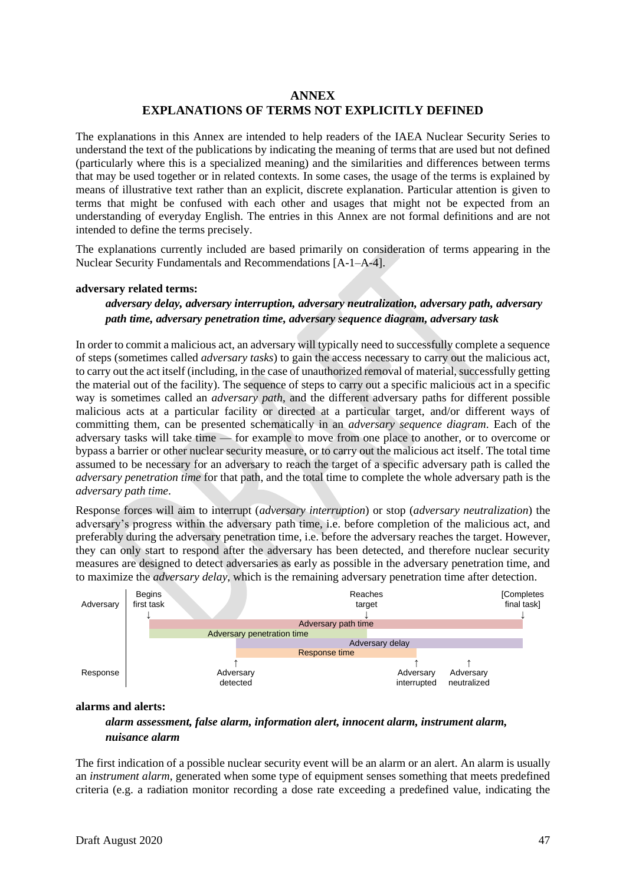# **ANNEX EXPLANATIONS OF TERMS NOT EXPLICITLY DEFINED**

<span id="page-48-0"></span>The explanations in this Annex are intended to help readers of the IAEA Nuclear Security Series to understand the text of the publications by indicating the meaning of terms that are used but not defined (particularly where this is a specialized meaning) and the similarities and differences between terms that may be used together or in related contexts. In some cases, the usage of the terms is explained by means of illustrative text rather than an explicit, discrete explanation. Particular attention is given to terms that might be confused with each other and usages that might not be expected from an understanding of everyday English. The entries in this Annex are not formal definitions and are not intended to define the terms precisely.

The explanations currently included are based primarily on consideration of terms appearing in the Nuclear Security Fundamentals and Recommendations [A-1–A-4].

## **adversary related terms:**

*adversary delay, adversary interruption, adversary neutralization, adversary path, adversary path time, adversary penetration time, adversary sequence diagram, adversary task*

In order to commit a malicious act, an adversary will typically need to successfully complete a sequence of steps (sometimes called *adversary tasks*) to gain the access necessary to carry out the malicious act, to carry out the act itself (including, in the case of unauthorized removal of material, successfully getting the material out of the facility). The sequence of steps to carry out a specific malicious act in a specific way is sometimes called an *adversary path*, and the different adversary paths for different possible malicious acts at a particular facility or directed at a particular target, and/or different ways of committing them, can be presented schematically in an *adversary sequence diagram*. Each of the adversary tasks will take time — for example to move from one place to another, or to overcome or bypass a barrier or other nuclear security measure, or to carry out the malicious act itself. The total time assumed to be necessary for an adversary to reach the target of a specific adversary path is called the *adversary penetration time* for that path, and the total time to complete the whole adversary path is the *adversary path time*.

Response forces will aim to interrupt (*adversary interruption*) or stop (*adversary neutralization*) the adversary's progress within the adversary path time, i.e. before completion of the malicious act, and preferably during the adversary penetration time, i.e. before the adversary reaches the target. However, they can only start to respond after the adversary has been detected, and therefore nuclear security measures are designed to detect adversaries as early as possible in the adversary penetration time, and to maximize the *adversary delay*, which is the remaining adversary penetration time after detection.



#### **alarms and alerts:**

# *alarm assessment, false alarm, information alert, innocent alarm, instrument alarm, nuisance alarm*

The first indication of a possible nuclear security event will be an alarm or an alert. An alarm is usually an *instrument alarm*, generated when some type of equipment senses something that meets predefined criteria (e.g. a radiation monitor recording a dose rate exceeding a predefined value, indicating the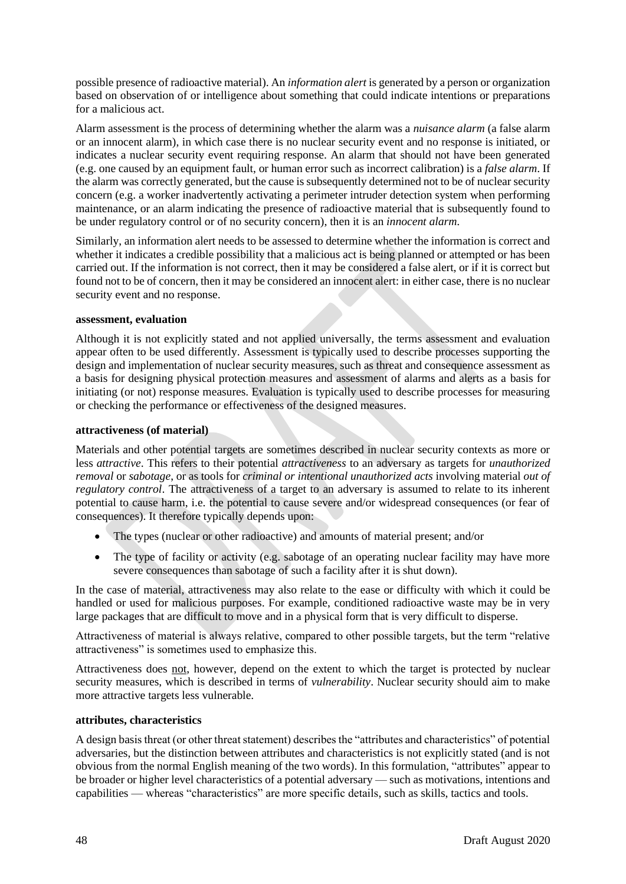possible presence of radioactive material). An *information alert* is generated by a person or organization based on observation of or intelligence about something that could indicate intentions or preparations for a malicious act.

Alarm assessment is the process of determining whether the alarm was a *nuisance alarm* (a false alarm or an innocent alarm), in which case there is no nuclear security event and no response is initiated, or indicates a nuclear security event requiring response. An alarm that should not have been generated (e.g. one caused by an equipment fault, or human error such as incorrect calibration) is a *false alarm*. If the alarm was correctly generated, but the cause is subsequently determined not to be of nuclear security concern (e.g. a worker inadvertently activating a perimeter intruder detection system when performing maintenance, or an alarm indicating the presence of radioactive material that is subsequently found to be under regulatory control or of no security concern), then it is an *innocent alarm*.

Similarly, an information alert needs to be assessed to determine whether the information is correct and whether it indicates a credible possibility that a malicious act is being planned or attempted or has been carried out. If the information is not correct, then it may be considered a false alert, or if it is correct but found not to be of concern, then it may be considered an innocent alert: in either case, there is no nuclear security event and no response.

## **assessment, evaluation**

Although it is not explicitly stated and not applied universally, the terms assessment and evaluation appear often to be used differently. Assessment is typically used to describe processes supporting the design and implementation of nuclear security measures, such as threat and consequence assessment as a basis for designing physical protection measures and assessment of alarms and alerts as a basis for initiating (or not) response measures. Evaluation is typically used to describe processes for measuring or checking the performance or effectiveness of the designed measures.

## **attractiveness (of material)**

Materials and other potential targets are sometimes described in nuclear security contexts as more or less *attractive*. This refers to their potential *attractiveness* to an adversary as targets for *unauthorized removal* or *sabotage*, or as tools for *criminal or intentional unauthorized acts* involving material *out of regulatory control*. The attractiveness of a target to an adversary is assumed to relate to its inherent potential to cause harm, i.e. the potential to cause severe and/or widespread consequences (or fear of consequences). It therefore typically depends upon:

- The types (nuclear or other radioactive) and amounts of material present; and/or
- The type of facility or activity (e.g. sabotage of an operating nuclear facility may have more severe consequences than sabotage of such a facility after it is shut down).

In the case of material, attractiveness may also relate to the ease or difficulty with which it could be handled or used for malicious purposes. For example, conditioned radioactive waste may be in very large packages that are difficult to move and in a physical form that is very difficult to disperse.

Attractiveness of material is always relative, compared to other possible targets, but the term "relative attractiveness" is sometimes used to emphasize this.

Attractiveness does not, however, depend on the extent to which the target is protected by nuclear security measures, which is described in terms of *vulnerability*. Nuclear security should aim to make more attractive targets less vulnerable.

## **attributes, characteristics**

A design basis threat (or other threat statement) describes the "attributes and characteristics" of potential adversaries, but the distinction between attributes and characteristics is not explicitly stated (and is not obvious from the normal English meaning of the two words). In this formulation, "attributes" appear to be broader or higher level characteristics of a potential adversary — such as motivations, intentions and capabilities — whereas "characteristics" are more specific details, such as skills, tactics and tools.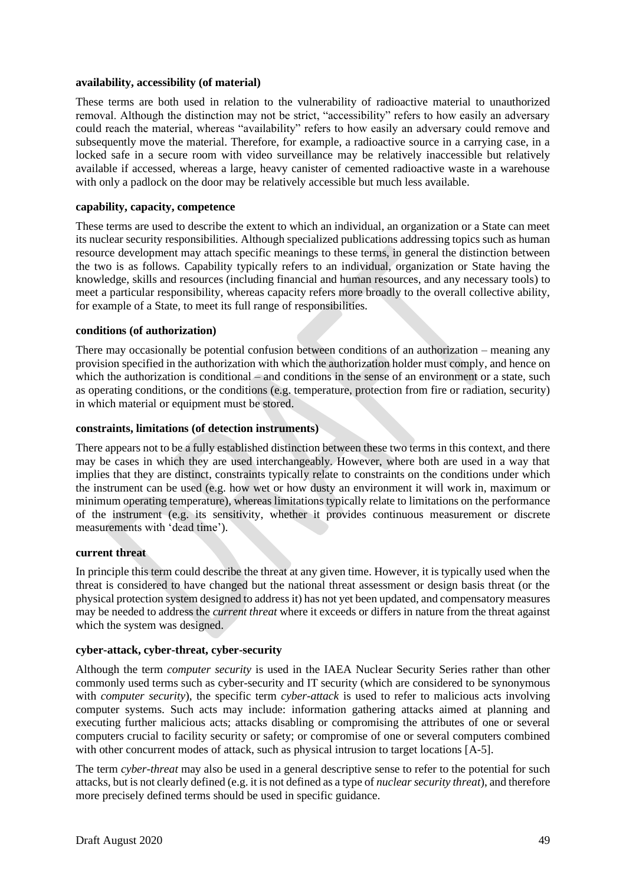## **availability, accessibility (of material)**

These terms are both used in relation to the vulnerability of radioactive material to unauthorized removal. Although the distinction may not be strict, "accessibility" refers to how easily an adversary could reach the material, whereas "availability" refers to how easily an adversary could remove and subsequently move the material. Therefore, for example, a radioactive source in a carrying case, in a locked safe in a secure room with video surveillance may be relatively inaccessible but relatively available if accessed, whereas a large, heavy canister of cemented radioactive waste in a warehouse with only a padlock on the door may be relatively accessible but much less available.

## **capability, capacity, competence**

These terms are used to describe the extent to which an individual, an organization or a State can meet its nuclear security responsibilities. Although specialized publications addressing topics such as human resource development may attach specific meanings to these terms, in general the distinction between the two is as follows. Capability typically refers to an individual, organization or State having the knowledge, skills and resources (including financial and human resources, and any necessary tools) to meet a particular responsibility, whereas capacity refers more broadly to the overall collective ability, for example of a State, to meet its full range of responsibilities.

## **conditions (of authorization)**

There may occasionally be potential confusion between conditions of an authorization – meaning any provision specified in the authorization with which the authorization holder must comply, and hence on which the authorization is conditional – and conditions in the sense of an environment or a state, such as operating conditions, or the conditions (e.g. temperature, protection from fire or radiation, security) in which material or equipment must be stored.

# **constraints, limitations (of detection instruments)**

There appears not to be a fully established distinction between these two terms in this context, and there may be cases in which they are used interchangeably. However, where both are used in a way that implies that they are distinct, constraints typically relate to constraints on the conditions under which the instrument can be used (e.g. how wet or how dusty an environment it will work in, maximum or minimum operating temperature), whereas limitations typically relate to limitations on the performance of the instrument (e.g. its sensitivity, whether it provides continuous measurement or discrete measurements with 'dead time').

# **current threat**

In principle this term could describe the threat at any given time. However, it is typically used when the threat is considered to have changed but the national threat assessment or design basis threat (or the physical protection system designed to address it) has not yet been updated, and compensatory measures may be needed to address the *current threat* where it exceeds or differs in nature from the threat against which the system was designed.

## **cyber-attack, cyber-threat, cyber-security**

Although the term *computer security* is used in the IAEA Nuclear Security Series rather than other commonly used terms such as cyber-security and IT security (which are considered to be synonymous with *computer security*), the specific term *cyber-attack* is used to refer to malicious acts involving computer systems. Such acts may include: information gathering attacks aimed at planning and executing further malicious acts; attacks disabling or compromising the attributes of one or several computers crucial to facility security or safety; or compromise of one or several computers combined with other concurrent modes of attack, such as physical intrusion to target locations [A-5].

The term *cyber-threat* may also be used in a general descriptive sense to refer to the potential for such attacks, but is not clearly defined (e.g. it is not defined as a type of *nuclear security threat*), and therefore more precisely defined terms should be used in specific guidance.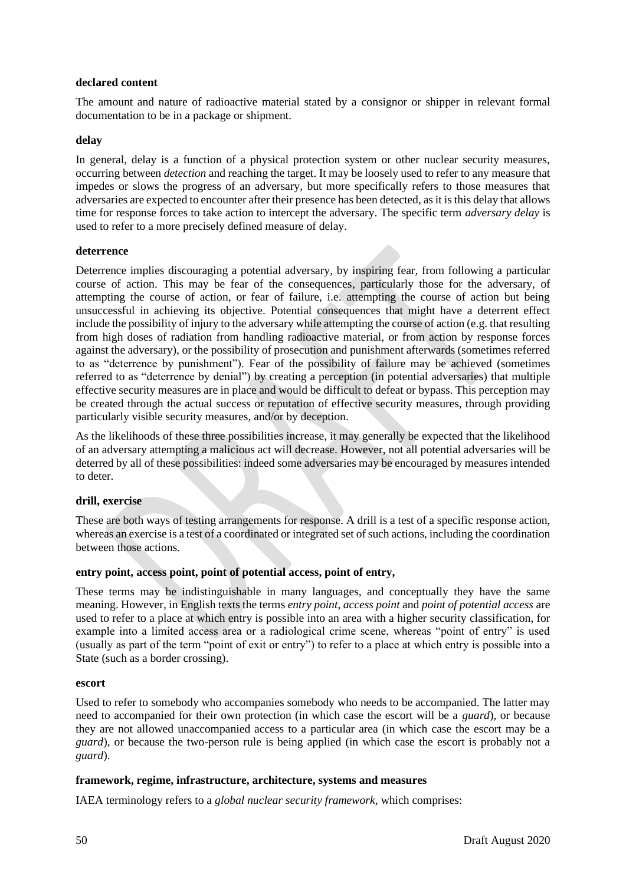## **declared content**

The amount and nature of radioactive material stated by a consignor or shipper in relevant formal documentation to be in a package or shipment.

## **delay**

In general, delay is a function of a physical protection system or other nuclear security measures, occurring between *detection* and reaching the target. It may be loosely used to refer to any measure that impedes or slows the progress of an adversary, but more specifically refers to those measures that adversaries are expected to encounter after their presence has been detected, as it is this delay that allows time for response forces to take action to intercept the adversary. The specific term *adversary delay* is used to refer to a more precisely defined measure of delay.

## **deterrence**

Deterrence implies discouraging a potential adversary, by inspiring fear, from following a particular course of action. This may be fear of the consequences, particularly those for the adversary, of attempting the course of action, or fear of failure, i.e. attempting the course of action but being unsuccessful in achieving its objective. Potential consequences that might have a deterrent effect include the possibility of injury to the adversary while attempting the course of action (e.g. that resulting from high doses of radiation from handling radioactive material, or from action by response forces against the adversary), or the possibility of prosecution and punishment afterwards (sometimes referred to as "deterrence by punishment"). Fear of the possibility of failure may be achieved (sometimes referred to as "deterrence by denial") by creating a perception (in potential adversaries) that multiple effective security measures are in place and would be difficult to defeat or bypass. This perception may be created through the actual success or reputation of effective security measures, through providing particularly visible security measures, and/or by deception.

As the likelihoods of these three possibilities increase, it may generally be expected that the likelihood of an adversary attempting a malicious act will decrease. However, not all potential adversaries will be deterred by all of these possibilities: indeed some adversaries may be encouraged by measures intended to deter.

# **drill, exercise**

These are both ways of testing arrangements for response. A drill is a test of a specific response action, whereas an exercise is a test of a coordinated or integrated set of such actions, including the coordination between those actions.

# **entry point, access point, point of potential access, point of entry,**

These terms may be indistinguishable in many languages, and conceptually they have the same meaning. However, in English texts the terms *entry point*, *access point* and *point of potential access* are used to refer to a place at which entry is possible into an area with a higher security classification, for example into a limited access area or a radiological crime scene, whereas "point of entry" is used (usually as part of the term "point of exit or entry") to refer to a place at which entry is possible into a State (such as a border crossing).

## **escort**

Used to refer to somebody who accompanies somebody who needs to be accompanied. The latter may need to accompanied for their own protection (in which case the escort will be a *guard*), or because they are not allowed unaccompanied access to a particular area (in which case the escort may be a *guard*), or because the two-person rule is being applied (in which case the escort is probably not a *guard*).

# **framework, regime, infrastructure, architecture, systems and measures**

IAEA terminology refers to a *global nuclear security framework*, which comprises: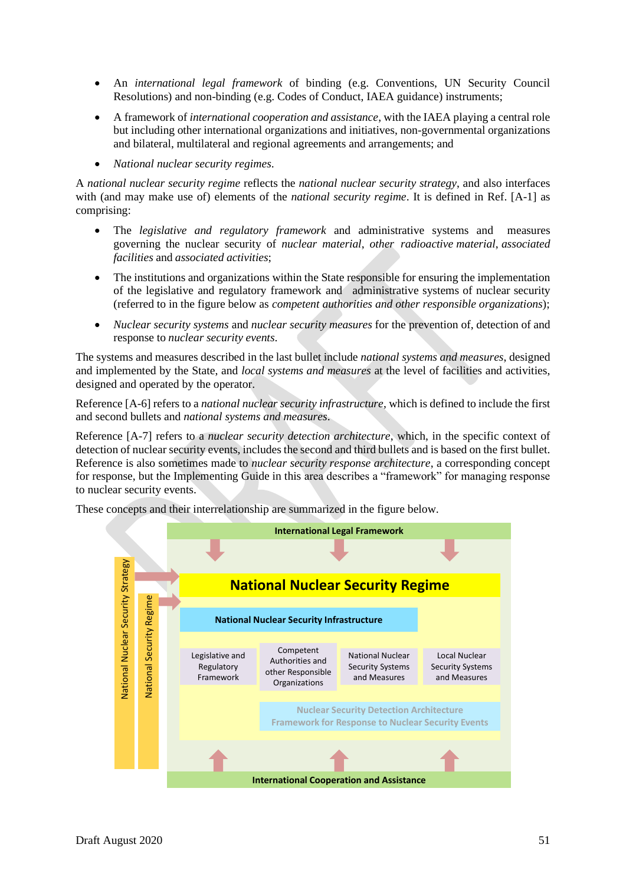- An *international legal framework* of binding (e.g. Conventions, UN Security Council Resolutions) and non-binding (e.g. Codes of Conduct, IAEA guidance) instruments;
- A framework of *international cooperation and assistance*, with the IAEA playing a central role but including other international organizations and initiatives, non-governmental organizations and bilateral, multilateral and regional agreements and arrangements; and
- *National nuclear security regimes*.

A *national nuclear security regime* reflects the *national nuclear security strategy*, and also interfaces with (and may make use of) elements of the *national security regime*. It is defined in Ref. [A-1] as comprising:

- The *legislative and regulatory framework* and administrative systems and measures governing the nuclear security of *nuclear material*, *other radioactive material*, *associated facilities* and *associated activities*;
- The institutions and organizations within the State responsible for ensuring the implementation of the legislative and regulatory framework and administrative systems of nuclear security (referred to in the figure below as *competent authorities and other responsible organizations*);
- *Nuclear security systems* and *nuclear security measures* for the prevention of, detection of and response to *nuclear security events*.

The systems and measures described in the last bullet include *national systems and measures*, designed and implemented by the State, and *local systems and measures* at the level of facilities and activities, designed and operated by the operator.

Reference [A-6] refers to a *national nuclear security infrastructure*, which is defined to include the first and second bullets and *national systems and measures*.

Reference [A-7] refers to a *nuclear security detection architecture*, which, in the specific context of detection of nuclear security events, includes the second and third bullets and is based on the first bullet. Reference is also sometimes made to *nuclear security response architecture*, a corresponding concept for response, but the Implementing Guide in this area describes a "framework" for managing response to nuclear security events.

These concepts and their interrelationship are summarized in the figure below.

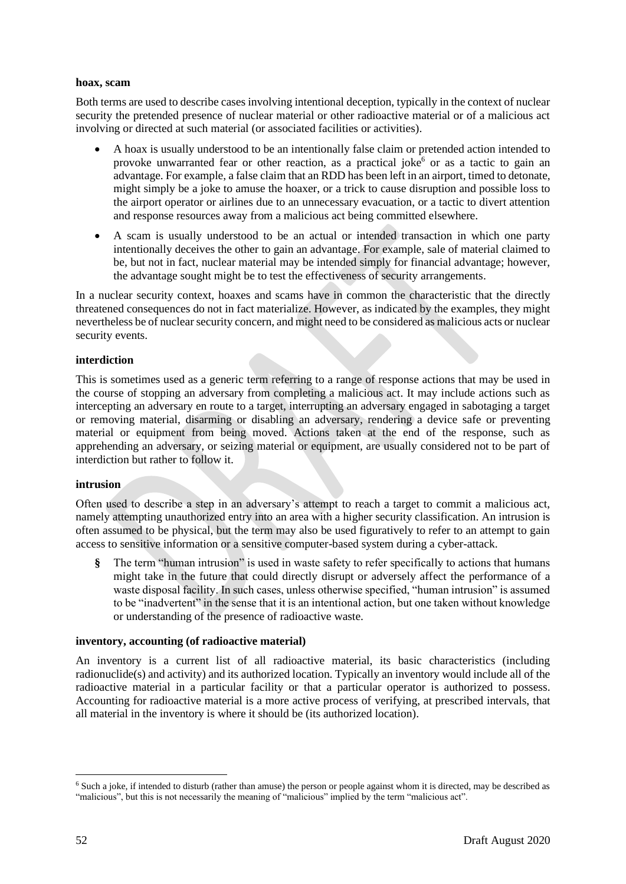## **hoax, scam**

Both terms are used to describe cases involving intentional deception, typically in the context of nuclear security the pretended presence of nuclear material or other radioactive material or of a malicious act involving or directed at such material (or associated facilities or activities).

- A hoax is usually understood to be an intentionally false claim or pretended action intended to provoke unwarranted fear or other reaction, as a practical joke $<sup>6</sup>$  or as a tactic to gain an</sup> advantage. For example, a false claim that an RDD has been left in an airport, timed to detonate, might simply be a joke to amuse the hoaxer, or a trick to cause disruption and possible loss to the airport operator or airlines due to an unnecessary evacuation, or a tactic to divert attention and response resources away from a malicious act being committed elsewhere.
- A scam is usually understood to be an actual or intended transaction in which one party intentionally deceives the other to gain an advantage. For example, sale of material claimed to be, but not in fact, nuclear material may be intended simply for financial advantage; however, the advantage sought might be to test the effectiveness of security arrangements.

In a nuclear security context, hoaxes and scams have in common the characteristic that the directly threatened consequences do not in fact materialize. However, as indicated by the examples, they might nevertheless be of nuclear security concern, and might need to be considered as malicious acts or nuclear security events.

## **interdiction**

This is sometimes used as a generic term referring to a range of response actions that may be used in the course of stopping an adversary from completing a malicious act. It may include actions such as intercepting an adversary en route to a target, interrupting an adversary engaged in sabotaging a target or removing material, disarming or disabling an adversary, rendering a device safe or preventing material or equipment from being moved. Actions taken at the end of the response, such as apprehending an adversary, or seizing material or equipment, are usually considered not to be part of interdiction but rather to follow it.

## **intrusion**

Often used to describe a step in an adversary's attempt to reach a target to commit a malicious act, namely attempting unauthorized entry into an area with a higher security classification. An intrusion is often assumed to be physical, but the term may also be used figuratively to refer to an attempt to gain access to sensitive information or a sensitive computer-based system during a cyber-attack.

**§** The term "human intrusion" is used in waste safety to refer specifically to actions that humans might take in the future that could directly disrupt or adversely affect the performance of a waste disposal facility. In such cases, unless otherwise specified, "human intrusion" is assumed to be "inadvertent" in the sense that it is an intentional action, but one taken without knowledge or understanding of the presence of radioactive waste.

## **inventory, accounting (of radioactive material)**

An inventory is a current list of all radioactive material, its basic characteristics (including radionuclide(s) and activity) and its authorized location. Typically an inventory would include all of the radioactive material in a particular facility or that a particular operator is authorized to possess. Accounting for radioactive material is a more active process of verifying, at prescribed intervals, that all material in the inventory is where it should be (its authorized location).

<sup>6</sup> Such a joke, if intended to disturb (rather than amuse) the person or people against whom it is directed, may be described as "malicious", but this is not necessarily the meaning of "malicious" implied by the term "malicious act".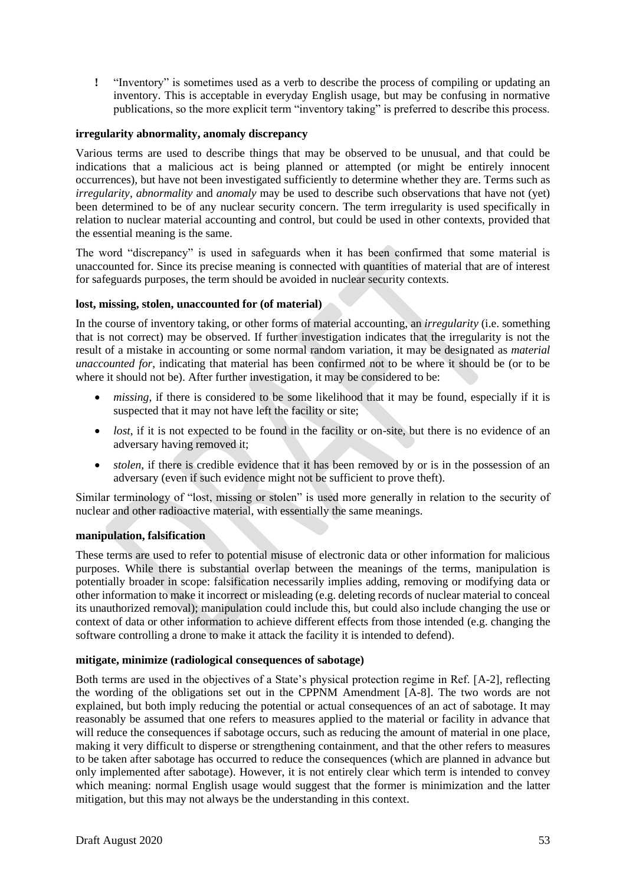**!** "Inventory" is sometimes used as a verb to describe the process of compiling or updating an inventory. This is acceptable in everyday English usage, but may be confusing in normative publications, so the more explicit term "inventory taking" is preferred to describe this process.

## **irregularity abnormality, anomaly discrepancy**

Various terms are used to describe things that may be observed to be unusual, and that could be indications that a malicious act is being planned or attempted (or might be entirely innocent occurrences), but have not been investigated sufficiently to determine whether they are. Terms such as *irregularity*, *abnormality* and *anomaly* may be used to describe such observations that have not (yet) been determined to be of any nuclear security concern. The term irregularity is used specifically in relation to nuclear material accounting and control, but could be used in other contexts, provided that the essential meaning is the same.

The word "discrepancy" is used in safeguards when it has been confirmed that some material is unaccounted for. Since its precise meaning is connected with quantities of material that are of interest for safeguards purposes, the term should be avoided in nuclear security contexts.

## **lost, missing, stolen, unaccounted for (of material)**

In the course of inventory taking, or other forms of material accounting, an *irregularity* (i.e. something that is not correct) may be observed. If further investigation indicates that the irregularity is not the result of a mistake in accounting or some normal random variation, it may be designated as *material unaccounted for*, indicating that material has been confirmed not to be where it should be (or to be where it should not be). After further investigation, it may be considered to be:

- *missing*, if there is considered to be some likelihood that it may be found, especially if it is suspected that it may not have left the facility or site;
- *lost*, if it is not expected to be found in the facility or on-site, but there is no evidence of an adversary having removed it;
- *stolen*, if there is credible evidence that it has been removed by or is in the possession of an adversary (even if such evidence might not be sufficient to prove theft).

Similar terminology of "lost, missing or stolen" is used more generally in relation to the security of nuclear and other radioactive material, with essentially the same meanings.

## **manipulation, falsification**

These terms are used to refer to potential misuse of electronic data or other information for malicious purposes. While there is substantial overlap between the meanings of the terms, manipulation is potentially broader in scope: falsification necessarily implies adding, removing or modifying data or other information to make it incorrect or misleading (e.g. deleting records of nuclear material to conceal its unauthorized removal); manipulation could include this, but could also include changing the use or context of data or other information to achieve different effects from those intended (e.g. changing the software controlling a drone to make it attack the facility it is intended to defend).

## **mitigate, minimize (radiological consequences of sabotage)**

Both terms are used in the objectives of a State's physical protection regime in Ref. [A-2], reflecting the wording of the obligations set out in the CPPNM Amendment [A-8]. The two words are not explained, but both imply reducing the potential or actual consequences of an act of sabotage. It may reasonably be assumed that one refers to measures applied to the material or facility in advance that will reduce the consequences if sabotage occurs, such as reducing the amount of material in one place, making it very difficult to disperse or strengthening containment, and that the other refers to measures to be taken after sabotage has occurred to reduce the consequences (which are planned in advance but only implemented after sabotage). However, it is not entirely clear which term is intended to convey which meaning: normal English usage would suggest that the former is minimization and the latter mitigation, but this may not always be the understanding in this context.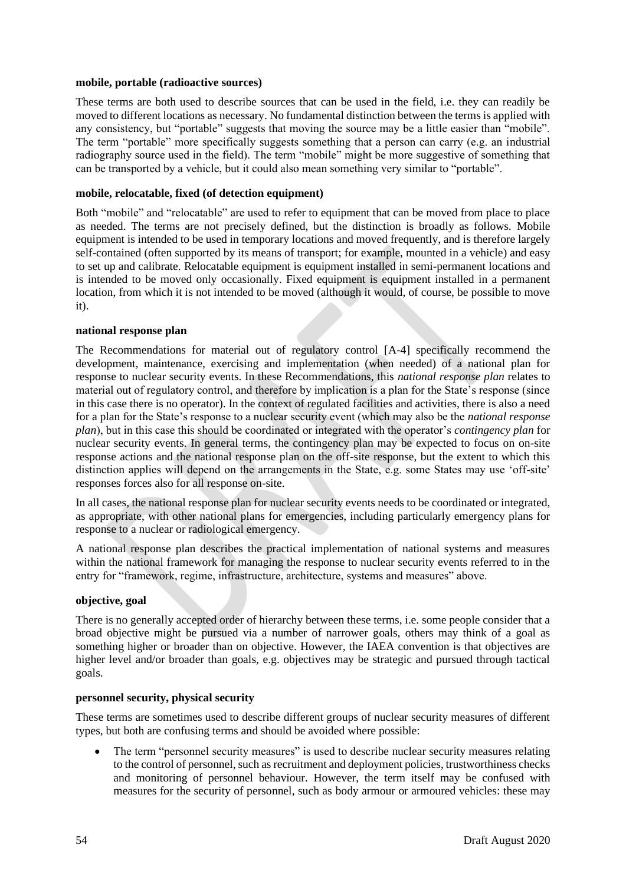## **mobile, portable (radioactive sources)**

These terms are both used to describe sources that can be used in the field, i.e. they can readily be moved to different locations as necessary. No fundamental distinction between the terms is applied with any consistency, but "portable" suggests that moving the source may be a little easier than "mobile". The term "portable" more specifically suggests something that a person can carry (e.g. an industrial radiography source used in the field). The term "mobile" might be more suggestive of something that can be transported by a vehicle, but it could also mean something very similar to "portable".

## **mobile, relocatable, fixed (of detection equipment)**

Both "mobile" and "relocatable" are used to refer to equipment that can be moved from place to place as needed. The terms are not precisely defined, but the distinction is broadly as follows. Mobile equipment is intended to be used in temporary locations and moved frequently, and is therefore largely self-contained (often supported by its means of transport; for example, mounted in a vehicle) and easy to set up and calibrate. Relocatable equipment is equipment installed in semi-permanent locations and is intended to be moved only occasionally. Fixed equipment is equipment installed in a permanent location, from which it is not intended to be moved (although it would, of course, be possible to move it).

## **national response plan**

The Recommendations for material out of regulatory control [A-4] specifically recommend the development, maintenance, exercising and implementation (when needed) of a national plan for response to nuclear security events. In these Recommendations, this *national response plan* relates to material out of regulatory control, and therefore by implication is a plan for the State's response (since in this case there is no operator). In the context of regulated facilities and activities, there is also a need for a plan for the State's response to a nuclear security event (which may also be the *national response plan*), but in this case this should be coordinated or integrated with the operator's *contingency plan* for nuclear security events. In general terms, the contingency plan may be expected to focus on on-site response actions and the national response plan on the off-site response, but the extent to which this distinction applies will depend on the arrangements in the State, e.g. some States may use 'off-site' responses forces also for all response on-site.

In all cases, the national response plan for nuclear security events needs to be coordinated or integrated, as appropriate, with other national plans for emergencies, including particularly emergency plans for response to a nuclear or radiological emergency.

A national response plan describes the practical implementation of national systems and measures within the national framework for managing the response to nuclear security events referred to in the entry for "framework, regime, infrastructure, architecture, systems and measures" above.

## **objective, goal**

There is no generally accepted order of hierarchy between these terms, i.e. some people consider that a broad objective might be pursued via a number of narrower goals, others may think of a goal as something higher or broader than on objective. However, the IAEA convention is that objectives are higher level and/or broader than goals, e.g. objectives may be strategic and pursued through tactical goals.

## **personnel security, physical security**

These terms are sometimes used to describe different groups of nuclear security measures of different types, but both are confusing terms and should be avoided where possible:

The term "personnel security measures" is used to describe nuclear security measures relating to the control of personnel, such as recruitment and deployment policies, trustworthiness checks and monitoring of personnel behaviour. However, the term itself may be confused with measures for the security of personnel, such as body armour or armoured vehicles: these may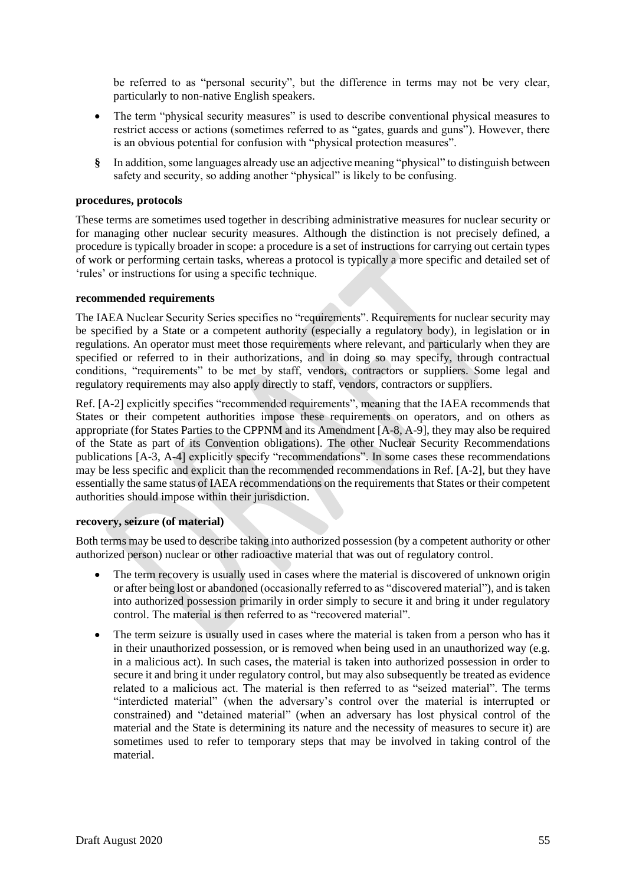be referred to as "personal security", but the difference in terms may not be very clear, particularly to non-native English speakers.

- The term "physical security measures" is used to describe conventional physical measures to restrict access or actions (sometimes referred to as "gates, guards and guns"). However, there is an obvious potential for confusion with "physical protection measures".
- **§** In addition, some languages already use an adjective meaning "physical" to distinguish between safety and security, so adding another "physical" is likely to be confusing.

## **procedures, protocols**

These terms are sometimes used together in describing administrative measures for nuclear security or for managing other nuclear security measures. Although the distinction is not precisely defined, a procedure is typically broader in scope: a procedure is a set of instructions for carrying out certain types of work or performing certain tasks, whereas a protocol is typically a more specific and detailed set of 'rules' or instructions for using a specific technique.

#### **recommended requirements**

The IAEA Nuclear Security Series specifies no "requirements". Requirements for nuclear security may be specified by a State or a competent authority (especially a regulatory body), in legislation or in regulations. An operator must meet those requirements where relevant, and particularly when they are specified or referred to in their authorizations, and in doing so may specify, through contractual conditions, "requirements" to be met by staff, vendors, contractors or suppliers. Some legal and regulatory requirements may also apply directly to staff, vendors, contractors or suppliers.

Ref. [A-2] explicitly specifies "recommended requirements", meaning that the IAEA recommends that States or their competent authorities impose these requirements on operators, and on others as appropriate (for States Parties to the CPPNM and its Amendment [A-8, A-9], they may also be required of the State as part of its Convention obligations). The other Nuclear Security Recommendations publications [A-3, A-4] explicitly specify "recommendations". In some cases these recommendations may be less specific and explicit than the recommended recommendations in Ref. [A-2], but they have essentially the same status of IAEA recommendations on the requirements that States or their competent authorities should impose within their jurisdiction.

#### **recovery, seizure (of material)**

Both terms may be used to describe taking into authorized possession (by a competent authority or other authorized person) nuclear or other radioactive material that was out of regulatory control.

- The term recovery is usually used in cases where the material is discovered of unknown origin or after being lost or abandoned (occasionally referred to as "discovered material"), and is taken into authorized possession primarily in order simply to secure it and bring it under regulatory control. The material is then referred to as "recovered material".
- The term seizure is usually used in cases where the material is taken from a person who has it in their unauthorized possession, or is removed when being used in an unauthorized way (e.g. in a malicious act). In such cases, the material is taken into authorized possession in order to secure it and bring it under regulatory control, but may also subsequently be treated as evidence related to a malicious act. The material is then referred to as "seized material". The terms "interdicted material" (when the adversary's control over the material is interrupted or constrained) and "detained material" (when an adversary has lost physical control of the material and the State is determining its nature and the necessity of measures to secure it) are sometimes used to refer to temporary steps that may be involved in taking control of the material.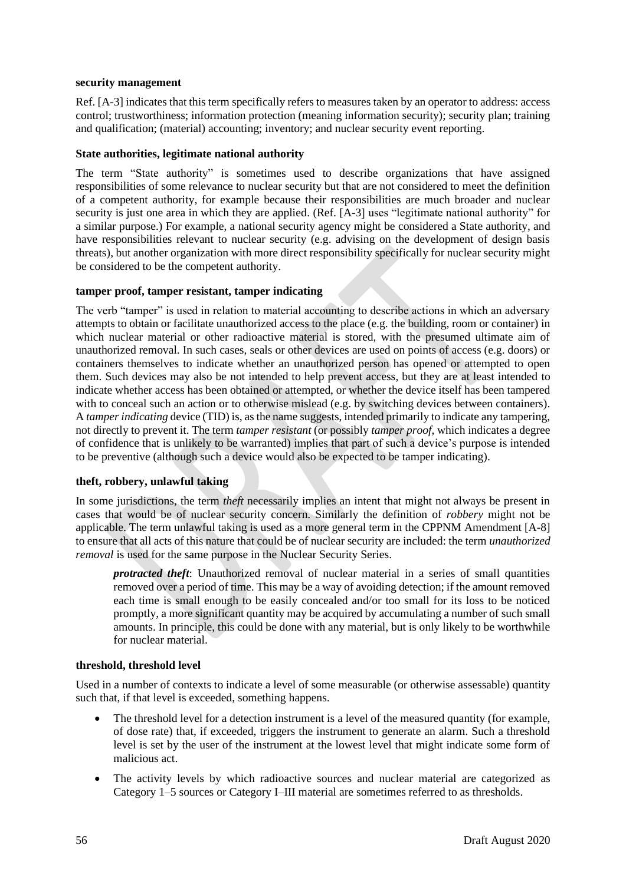## **security management**

Ref. [A-3] indicates that this term specifically refers to measures taken by an operator to address: access control; trustworthiness; information protection (meaning information security); security plan; training and qualification; (material) accounting; inventory; and nuclear security event reporting.

## **State authorities, legitimate national authority**

The term "State authority" is sometimes used to describe organizations that have assigned responsibilities of some relevance to nuclear security but that are not considered to meet the definition of a competent authority, for example because their responsibilities are much broader and nuclear security is just one area in which they are applied. (Ref. [A-3] uses "legitimate national authority" for a similar purpose.) For example, a national security agency might be considered a State authority, and have responsibilities relevant to nuclear security (e.g. advising on the development of design basis threats), but another organization with more direct responsibility specifically for nuclear security might be considered to be the competent authority.

# **tamper proof, tamper resistant, tamper indicating**

The verb "tamper" is used in relation to material accounting to describe actions in which an adversary attempts to obtain or facilitate unauthorized access to the place (e.g. the building, room or container) in which nuclear material or other radioactive material is stored, with the presumed ultimate aim of unauthorized removal. In such cases, seals or other devices are used on points of access (e.g. doors) or containers themselves to indicate whether an unauthorized person has opened or attempted to open them. Such devices may also be not intended to help prevent access, but they are at least intended to indicate whether access has been obtained or attempted, or whether the device itself has been tampered with to conceal such an action or to otherwise mislead (e.g. by switching devices between containers). A *tamper indicating* device (TID) is, as the name suggests, intended primarily to indicate any tampering, not directly to prevent it. The term *tamper resistant* (or possibly *tamper proof*, which indicates a degree of confidence that is unlikely to be warranted) implies that part of such a device's purpose is intended to be preventive (although such a device would also be expected to be tamper indicating).

## **theft, robbery, unlawful taking**

In some jurisdictions, the term *theft* necessarily implies an intent that might not always be present in cases that would be of nuclear security concern. Similarly the definition of *robbery* might not be applicable. The term unlawful taking is used as a more general term in the CPPNM Amendment [A-8] to ensure that all acts of this nature that could be of nuclear security are included: the term *unauthorized removal* is used for the same purpose in the Nuclear Security Series.

*protracted theft*: Unauthorized removal of nuclear material in a series of small quantities removed over a period of time. This may be a way of avoiding detection; if the amount removed each time is small enough to be easily concealed and/or too small for its loss to be noticed promptly, a more significant quantity may be acquired by accumulating a number of such small amounts. In principle, this could be done with any material, but is only likely to be worthwhile for nuclear material.

## **threshold, threshold level**

Used in a number of contexts to indicate a level of some measurable (or otherwise assessable) quantity such that, if that level is exceeded, something happens.

- The threshold level for a detection instrument is a level of the measured quantity (for example, of dose rate) that, if exceeded, triggers the instrument to generate an alarm. Such a threshold level is set by the user of the instrument at the lowest level that might indicate some form of malicious act.
- The activity levels by which radioactive sources and nuclear material are categorized as Category 1–5 sources or Category I–III material are sometimes referred to as thresholds.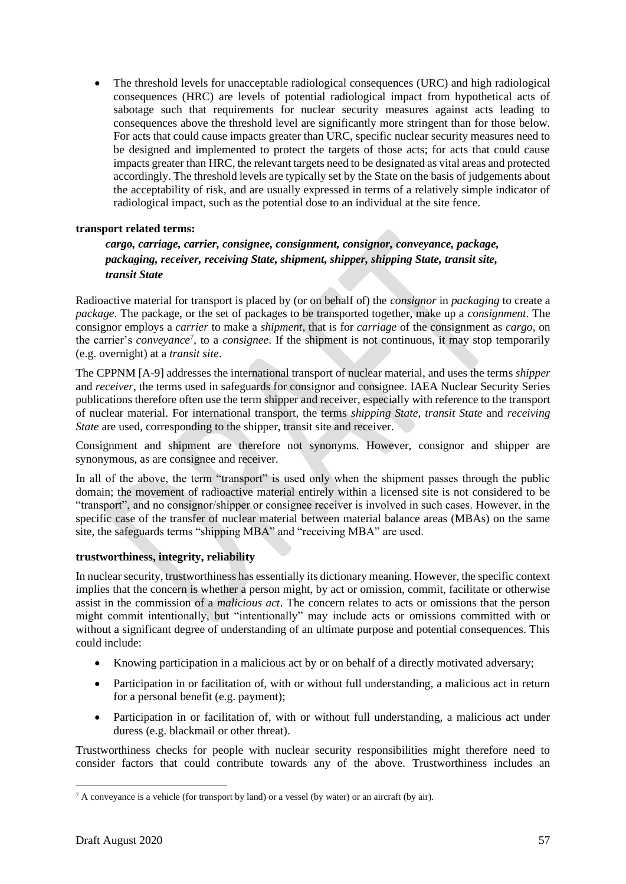• The threshold levels for unacceptable radiological consequences (URC) and high radiological consequences (HRC) are levels of potential radiological impact from hypothetical acts of sabotage such that requirements for nuclear security measures against acts leading to consequences above the threshold level are significantly more stringent than for those below. For acts that could cause impacts greater than URC, specific nuclear security measures need to be designed and implemented to protect the targets of those acts; for acts that could cause impacts greater than HRC, the relevant targets need to be designated as vital areas and protected accordingly. The threshold levels are typically set by the State on the basis of judgements about the acceptability of risk, and are usually expressed in terms of a relatively simple indicator of radiological impact, such as the potential dose to an individual at the site fence.

# **transport related terms:**

# *cargo, carriage, carrier, consignee, consignment, consignor, conveyance, package, packaging, receiver, receiving State, shipment, shipper, shipping State, transit site, transit State*

Radioactive material for transport is placed by (or on behalf of) the *consignor* in *packaging* to create a *package*. The package, or the set of packages to be transported together, make up a *consignment*. The consignor employs a *carrier* to make a *shipment*, that is for *carriage* of the consignment as *cargo*, on the carrier's *conveyance*<sup>7</sup> , to a *consignee*. If the shipment is not continuous, it may stop temporarily (e.g. overnight) at a *transit site*.

The CPPNM [A-9] addresses the international transport of nuclear material, and uses the terms *shipper* and *receiver*, the terms used in safeguards for consignor and consignee. IAEA Nuclear Security Series publications therefore often use the term shipper and receiver, especially with reference to the transport of nuclear material. For international transport, the terms *shipping State*, *transit State* and *receiving State* are used, corresponding to the shipper, transit site and receiver.

Consignment and shipment are therefore not synonyms. However, consignor and shipper are synonymous, as are consignee and receiver.

In all of the above, the term "transport" is used only when the shipment passes through the public domain; the movement of radioactive material entirely within a licensed site is not considered to be "transport", and no consignor/shipper or consignee receiver is involved in such cases. However, in the specific case of the transfer of nuclear material between material balance areas (MBAs) on the same site, the safeguards terms "shipping MBA" and "receiving MBA" are used.

## **trustworthiness, integrity, reliability**

In nuclear security, trustworthiness has essentially its dictionary meaning. However, the specific context implies that the concern is whether a person might, by act or omission, commit, facilitate or otherwise assist in the commission of a *malicious act*. The concern relates to acts or omissions that the person might commit intentionally, but "intentionally" may include acts or omissions committed with or without a significant degree of understanding of an ultimate purpose and potential consequences. This could include:

- Knowing participation in a malicious act by or on behalf of a directly motivated adversary;
- Participation in or facilitation of, with or without full understanding, a malicious act in return for a personal benefit (e.g. payment);
- Participation in or facilitation of, with or without full understanding, a malicious act under duress (e.g. blackmail or other threat).

Trustworthiness checks for people with nuclear security responsibilities might therefore need to consider factors that could contribute towards any of the above. Trustworthiness includes an

 $7 A$  conveyance is a vehicle (for transport by land) or a vessel (by water) or an aircraft (by air).